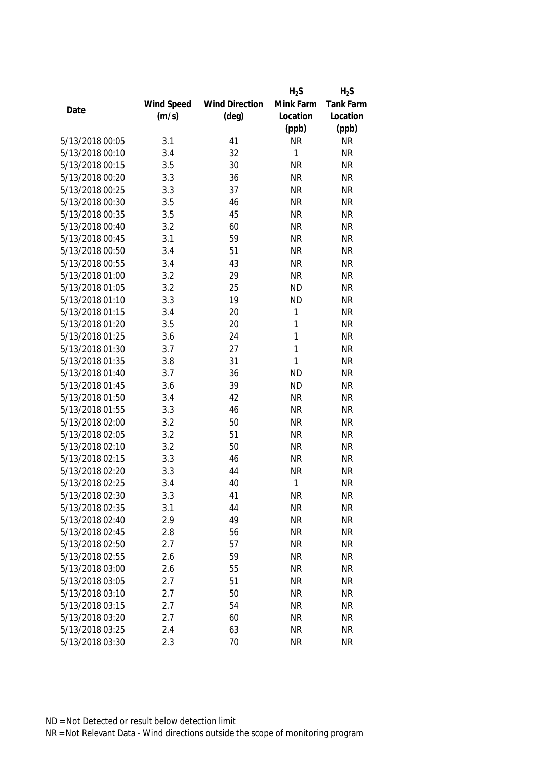|                 |            |                       | $H_2S$    | $H_2S$           |
|-----------------|------------|-----------------------|-----------|------------------|
|                 | Wind Speed | <b>Wind Direction</b> | Mink Farm | <b>Tank Farm</b> |
| Date            | (m/s)      | $(\text{deg})$        | Location  | Location         |
|                 |            |                       | (ppb)     | (ppb)            |
| 5/13/2018 00:05 | 3.1        | 41                    | <b>NR</b> | <b>NR</b>        |
| 5/13/2018 00:10 | 3.4        | 32                    | 1         | <b>NR</b>        |
| 5/13/2018 00:15 | 3.5        | 30                    | <b>NR</b> | <b>NR</b>        |
| 5/13/2018 00:20 | 3.3        | 36                    | <b>NR</b> | <b>NR</b>        |
| 5/13/2018 00:25 | 3.3        | 37                    | <b>NR</b> | <b>NR</b>        |
| 5/13/2018 00:30 | 3.5        | 46                    | <b>NR</b> | <b>NR</b>        |
| 5/13/2018 00:35 | 3.5        | 45                    | <b>NR</b> | <b>NR</b>        |
| 5/13/2018 00:40 | 3.2        | 60                    | <b>NR</b> | <b>NR</b>        |
| 5/13/2018 00:45 | 3.1        | 59                    | <b>NR</b> | <b>NR</b>        |
| 5/13/2018 00:50 | 3.4        | 51                    | <b>NR</b> | <b>NR</b>        |
| 5/13/2018 00:55 | 3.4        | 43                    | <b>NR</b> | <b>NR</b>        |
| 5/13/2018 01:00 | 3.2        | 29                    | <b>NR</b> | <b>NR</b>        |
| 5/13/2018 01:05 | 3.2        | 25                    | <b>ND</b> | <b>NR</b>        |
| 5/13/2018 01:10 | 3.3        | 19                    | <b>ND</b> | <b>NR</b>        |
| 5/13/2018 01:15 | 3.4        | 20                    | 1         | <b>NR</b>        |
| 5/13/2018 01:20 | 3.5        | 20                    | 1         | <b>NR</b>        |
| 5/13/2018 01:25 | 3.6        | 24                    | 1         | <b>NR</b>        |
| 5/13/2018 01:30 | 3.7        | 27                    | 1         | <b>NR</b>        |
| 5/13/2018 01:35 | 3.8        | 31                    | 1         | <b>NR</b>        |
| 5/13/2018 01:40 | 3.7        | 36                    | <b>ND</b> | <b>NR</b>        |
| 5/13/2018 01:45 | 3.6        | 39                    | <b>ND</b> | <b>NR</b>        |
| 5/13/2018 01:50 | 3.4        | 42                    | <b>NR</b> | <b>NR</b>        |
| 5/13/2018 01:55 | 3.3        | 46                    | <b>NR</b> | <b>NR</b>        |
| 5/13/2018 02:00 | 3.2        | 50                    | <b>NR</b> | <b>NR</b>        |
| 5/13/2018 02:05 | 3.2        | 51                    | <b>NR</b> | <b>NR</b>        |
| 5/13/2018 02:10 | 3.2        | 50                    | <b>NR</b> | <b>NR</b>        |
| 5/13/2018 02:15 | 3.3        | 46                    | <b>NR</b> | <b>NR</b>        |
| 5/13/2018 02:20 | 3.3        | 44                    | <b>NR</b> | <b>NR</b>        |
| 5/13/2018 02:25 | 3.4        | 40                    | 1         | <b>NR</b>        |
| 5/13/2018 02:30 | 3.3        | 41                    | <b>NR</b> | <b>NR</b>        |
| 5/13/2018 02:35 | 3.1        | 44                    | <b>NR</b> | <b>NR</b>        |
| 5/13/2018 02:40 | 2.9        | 49                    | <b>NR</b> | <b>NR</b>        |
| 5/13/2018 02:45 | 2.8        | 56                    | <b>NR</b> | <b>NR</b>        |
| 5/13/2018 02:50 | 2.7        | 57                    | <b>NR</b> | NR               |
| 5/13/2018 02:55 | 2.6        | 59                    | <b>NR</b> | <b>NR</b>        |
| 5/13/2018 03:00 | 2.6        | 55                    | <b>NR</b> | <b>NR</b>        |
| 5/13/2018 03:05 | 2.7        | 51                    | <b>NR</b> | <b>NR</b>        |
| 5/13/2018 03:10 | 2.7        | 50                    | <b>NR</b> | <b>NR</b>        |
| 5/13/2018 03:15 | 2.7        | 54                    | <b>NR</b> | <b>NR</b>        |
| 5/13/2018 03:20 | 2.7        | 60                    | <b>NR</b> | <b>NR</b>        |
| 5/13/2018 03:25 | 2.4        | 63                    | <b>NR</b> | <b>NR</b>        |
| 5/13/2018 03:30 | 2.3        | 70                    | <b>NR</b> | <b>NR</b>        |
|                 |            |                       |           |                  |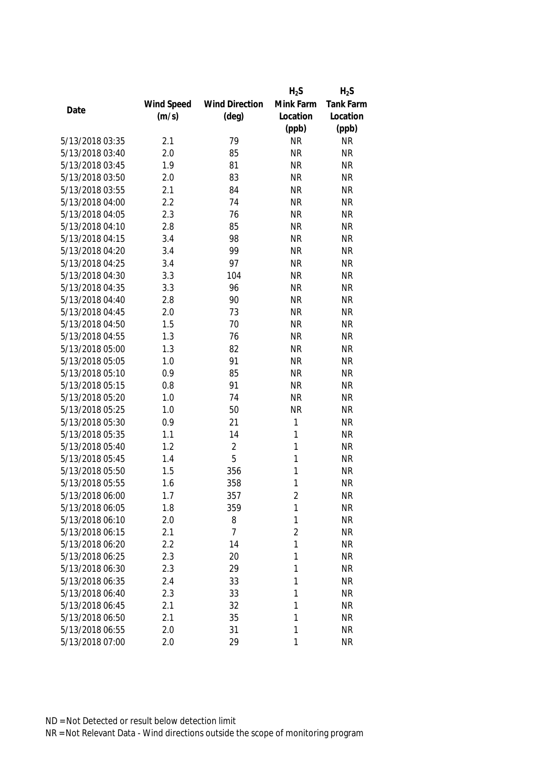|                 |            |                       | $H_2S$         | $H_2S$    |
|-----------------|------------|-----------------------|----------------|-----------|
|                 | Wind Speed | <b>Wind Direction</b> | Mink Farm      | Tank Farm |
| Date            | (m/s)      | $(\text{deg})$        | Location       | Location  |
|                 |            |                       | (ppb)          | (ppb)     |
| 5/13/2018 03:35 | 2.1        | 79                    | <b>NR</b>      | <b>NR</b> |
| 5/13/2018 03:40 | 2.0        | 85                    | <b>NR</b>      | <b>NR</b> |
| 5/13/2018 03:45 | 1.9        | 81                    | <b>NR</b>      | <b>NR</b> |
| 5/13/2018 03:50 | 2.0        | 83                    | <b>NR</b>      | <b>NR</b> |
| 5/13/2018 03:55 | 2.1        | 84                    | <b>NR</b>      | <b>NR</b> |
| 5/13/2018 04:00 | 2.2        | 74                    | <b>NR</b>      | <b>NR</b> |
| 5/13/2018 04:05 | 2.3        | 76                    | <b>NR</b>      | <b>NR</b> |
| 5/13/2018 04:10 | 2.8        | 85                    | <b>NR</b>      | <b>NR</b> |
| 5/13/2018 04:15 | 3.4        | 98                    | <b>NR</b>      | <b>NR</b> |
| 5/13/2018 04:20 | 3.4        | 99                    | <b>NR</b>      | <b>NR</b> |
| 5/13/2018 04:25 | 3.4        | 97                    | <b>NR</b>      | <b>NR</b> |
| 5/13/2018 04:30 | 3.3        | 104                   | <b>NR</b>      | <b>NR</b> |
| 5/13/2018 04:35 | 3.3        | 96                    | <b>NR</b>      | <b>NR</b> |
| 5/13/2018 04:40 | 2.8        | 90                    | <b>NR</b>      | <b>NR</b> |
| 5/13/2018 04:45 | 2.0        | 73                    | <b>NR</b>      | <b>NR</b> |
| 5/13/2018 04:50 | 1.5        | 70                    | <b>NR</b>      | <b>NR</b> |
| 5/13/2018 04:55 | 1.3        | 76                    | <b>NR</b>      | <b>NR</b> |
| 5/13/2018 05:00 | 1.3        | 82                    | <b>NR</b>      | <b>NR</b> |
| 5/13/2018 05:05 | 1.0        | 91                    | <b>NR</b>      | <b>NR</b> |
| 5/13/2018 05:10 | 0.9        | 85                    | <b>NR</b>      | <b>NR</b> |
| 5/13/2018 05:15 | 0.8        | 91                    | <b>NR</b>      | <b>NR</b> |
| 5/13/2018 05:20 | 1.0        | 74                    | <b>NR</b>      | <b>NR</b> |
| 5/13/2018 05:25 | 1.0        | 50                    | <b>NR</b>      | <b>NR</b> |
| 5/13/2018 05:30 | 0.9        | 21                    | 1              | <b>NR</b> |
| 5/13/2018 05:35 | 1.1        | 14                    | 1              | <b>NR</b> |
| 5/13/2018 05:40 | 1.2        | $\sqrt{2}$            | 1              | <b>NR</b> |
| 5/13/2018 05:45 | 1.4        | 5                     | 1              | <b>NR</b> |
| 5/13/2018 05:50 | 1.5        | 356                   | 1              | <b>NR</b> |
| 5/13/2018 05:55 | 1.6        | 358                   | 1              | <b>NR</b> |
| 5/13/2018 06:00 | 1.7        | 357                   | 2              | <b>NR</b> |
| 5/13/2018 06:05 | 1.8        | 359                   | 1              | <b>NR</b> |
| 5/13/2018 06:10 | 2.0        | 8                     | 1              | <b>NR</b> |
| 5/13/2018 06:15 | 2.1        | $\overline{7}$        | $\overline{2}$ | <b>NR</b> |
| 5/13/2018 06:20 | 2.2        | 14                    | 1              | <b>NR</b> |
| 5/13/2018 06:25 | 2.3        | 20                    | 1              | <b>NR</b> |
| 5/13/2018 06:30 | 2.3        | 29                    | 1              | <b>NR</b> |
| 5/13/2018 06:35 | 2.4        | 33                    | 1              | <b>NR</b> |
| 5/13/2018 06:40 | 2.3        | 33                    | 1              | <b>NR</b> |
| 5/13/2018 06:45 | 2.1        | 32                    | 1              | <b>NR</b> |
| 5/13/2018 06:50 | 2.1        | 35                    | 1              | <b>NR</b> |
| 5/13/2018 06:55 | 2.0        | 31                    | 1              | <b>NR</b> |
| 5/13/2018 07:00 | 2.0        | 29                    | 1              | <b>NR</b> |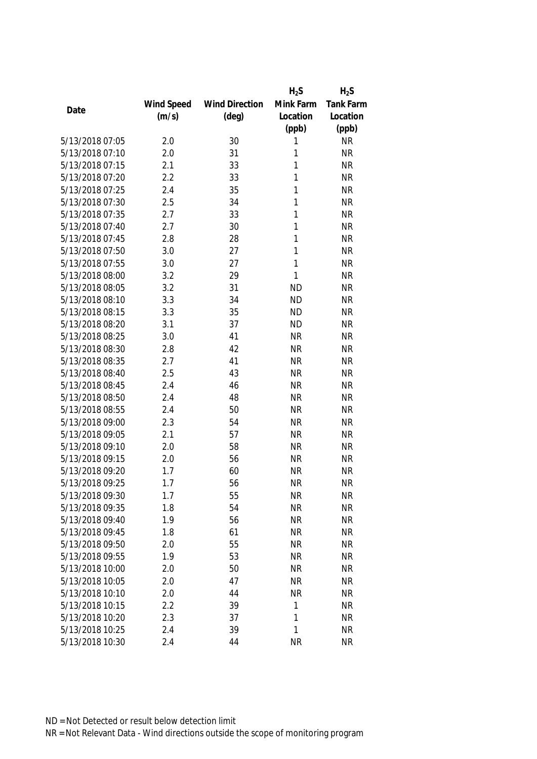|                 |            |                       | $H_2S$    | $H_2S$           |
|-----------------|------------|-----------------------|-----------|------------------|
|                 | Wind Speed | <b>Wind Direction</b> | Mink Farm | <b>Tank Farm</b> |
| Date            | (m/s)      | $(\text{deg})$        | Location  | Location         |
|                 |            |                       | (ppb)     | (ppb)            |
| 5/13/2018 07:05 | 2.0        | 30                    | 1         | <b>NR</b>        |
| 5/13/2018 07:10 | 2.0        | 31                    | 1         | <b>NR</b>        |
| 5/13/2018 07:15 | 2.1        | 33                    | 1         | <b>NR</b>        |
| 5/13/2018 07:20 | 2.2        | 33                    | 1         | <b>NR</b>        |
| 5/13/2018 07:25 | 2.4        | 35                    | 1         | <b>NR</b>        |
| 5/13/2018 07:30 | 2.5        | 34                    | 1         | <b>NR</b>        |
| 5/13/2018 07:35 | 2.7        | 33                    | 1         | <b>NR</b>        |
| 5/13/2018 07:40 | 2.7        | 30                    | 1         | <b>NR</b>        |
| 5/13/2018 07:45 | 2.8        | 28                    | 1         | <b>NR</b>        |
| 5/13/2018 07:50 | 3.0        | 27                    | 1         | <b>NR</b>        |
| 5/13/2018 07:55 | 3.0        | 27                    | 1         | <b>NR</b>        |
| 5/13/2018 08:00 | 3.2        | 29                    | 1         | <b>NR</b>        |
| 5/13/2018 08:05 | 3.2        | 31                    | <b>ND</b> | <b>NR</b>        |
| 5/13/2018 08:10 | 3.3        | 34                    | <b>ND</b> | <b>NR</b>        |
| 5/13/2018 08:15 | 3.3        | 35                    | <b>ND</b> | <b>NR</b>        |
| 5/13/2018 08:20 | 3.1        | 37                    | <b>ND</b> | <b>NR</b>        |
| 5/13/2018 08:25 | 3.0        | 41                    | <b>NR</b> | <b>NR</b>        |
| 5/13/2018 08:30 | 2.8        | 42                    | <b>NR</b> | <b>NR</b>        |
| 5/13/2018 08:35 | 2.7        | 41                    | <b>NR</b> | <b>NR</b>        |
| 5/13/2018 08:40 | 2.5        | 43                    | <b>NR</b> | <b>NR</b>        |
| 5/13/2018 08:45 | 2.4        | 46                    | <b>NR</b> | <b>NR</b>        |
| 5/13/2018 08:50 | 2.4        | 48                    | <b>NR</b> | <b>NR</b>        |
| 5/13/2018 08:55 | 2.4        | 50                    | <b>NR</b> | <b>NR</b>        |
| 5/13/2018 09:00 | 2.3        | 54                    | <b>NR</b> | <b>NR</b>        |
| 5/13/2018 09:05 | 2.1        | 57                    | <b>NR</b> | <b>NR</b>        |
| 5/13/2018 09:10 | 2.0        | 58                    | <b>NR</b> | <b>NR</b>        |
| 5/13/2018 09:15 | 2.0        | 56                    | <b>NR</b> | <b>NR</b>        |
| 5/13/2018 09:20 | 1.7        | 60                    | <b>NR</b> | <b>NR</b>        |
| 5/13/2018 09:25 | 1.7        | 56                    | <b>NR</b> | <b>NR</b>        |
| 5/13/2018 09:30 | 1.7        | 55                    | <b>NR</b> | <b>NR</b>        |
| 5/13/2018 09:35 | 1.8        | 54                    | <b>NR</b> | <b>NR</b>        |
| 5/13/2018 09:40 | 1.9        | 56                    | <b>NR</b> | <b>NR</b>        |
| 5/13/2018 09:45 | 1.8        | 61                    | <b>NR</b> | <b>NR</b>        |
| 5/13/2018 09:50 | 2.0        | 55                    | <b>NR</b> | <b>NR</b>        |
| 5/13/2018 09:55 | 1.9        | 53                    | <b>NR</b> | <b>NR</b>        |
| 5/13/2018 10:00 | 2.0        | 50                    | <b>NR</b> | <b>NR</b>        |
| 5/13/2018 10:05 | 2.0        | 47                    | <b>NR</b> | <b>NR</b>        |
| 5/13/2018 10:10 | 2.0        | 44                    | <b>NR</b> | <b>NR</b>        |
| 5/13/2018 10:15 | 2.2        | 39                    | 1         | <b>NR</b>        |
| 5/13/2018 10:20 | 2.3        | 37                    | 1         | <b>NR</b>        |
|                 |            |                       | 1         |                  |
| 5/13/2018 10:25 | 2.4        | 39                    |           | <b>NR</b>        |
| 5/13/2018 10:30 | 2.4        | 44                    | <b>NR</b> | <b>NR</b>        |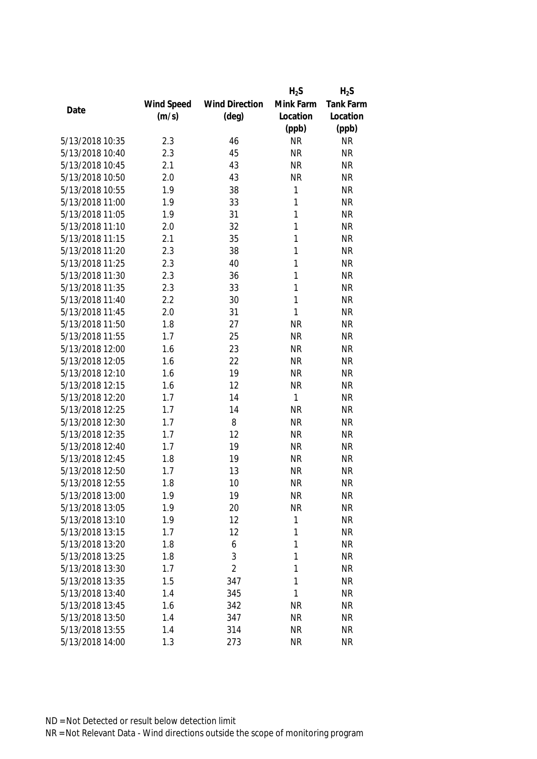|                 |            |                       | $H_2S$       | $H_2S$           |
|-----------------|------------|-----------------------|--------------|------------------|
|                 | Wind Speed | <b>Wind Direction</b> | Mink Farm    | <b>Tank Farm</b> |
| Date            | (m/s)      | $(\text{deg})$        | Location     | Location         |
|                 |            |                       | (ppb)        | (ppb)            |
| 5/13/2018 10:35 | 2.3        | 46                    | <b>NR</b>    | <b>NR</b>        |
| 5/13/2018 10:40 | 2.3        | 45                    | <b>NR</b>    | <b>NR</b>        |
| 5/13/2018 10:45 | 2.1        | 43                    | <b>NR</b>    | <b>NR</b>        |
| 5/13/2018 10:50 | 2.0        | 43                    | <b>NR</b>    | <b>NR</b>        |
| 5/13/2018 10:55 | 1.9        | 38                    | 1            | <b>NR</b>        |
| 5/13/2018 11:00 | 1.9        | 33                    | 1            | <b>NR</b>        |
| 5/13/2018 11:05 | 1.9        | 31                    | 1            | <b>NR</b>        |
| 5/13/2018 11:10 | 2.0        | 32                    | 1            | <b>NR</b>        |
| 5/13/2018 11:15 | 2.1        | 35                    | 1            | <b>NR</b>        |
| 5/13/2018 11:20 | 2.3        | 38                    | 1            | <b>NR</b>        |
| 5/13/2018 11:25 | 2.3        | 40                    | 1            | <b>NR</b>        |
| 5/13/2018 11:30 | 2.3        | 36                    | 1            | <b>NR</b>        |
| 5/13/2018 11:35 | 2.3        | 33                    | 1            | <b>NR</b>        |
| 5/13/2018 11:40 | 2.2        | 30                    | 1            | <b>NR</b>        |
| 5/13/2018 11:45 | 2.0        | 31                    | $\mathbf{1}$ | <b>NR</b>        |
| 5/13/2018 11:50 | 1.8        | 27                    | <b>NR</b>    | <b>NR</b>        |
| 5/13/2018 11:55 | 1.7        | 25                    | <b>NR</b>    | <b>NR</b>        |
| 5/13/2018 12:00 | 1.6        | 23                    | <b>NR</b>    | <b>NR</b>        |
| 5/13/2018 12:05 | 1.6        | 22                    | <b>NR</b>    | <b>NR</b>        |
| 5/13/2018 12:10 | 1.6        | 19                    | <b>NR</b>    | <b>NR</b>        |
| 5/13/2018 12:15 | 1.6        | 12                    | <b>NR</b>    | <b>NR</b>        |
| 5/13/2018 12:20 | 1.7        | 14                    | 1            | <b>NR</b>        |
| 5/13/2018 12:25 | 1.7        | 14                    | <b>NR</b>    | <b>NR</b>        |
| 5/13/2018 12:30 | 1.7        | 8                     | <b>NR</b>    | <b>NR</b>        |
| 5/13/2018 12:35 | 1.7        | 12                    | <b>NR</b>    | <b>NR</b>        |
| 5/13/2018 12:40 | 1.7        | 19                    | <b>NR</b>    | <b>NR</b>        |
| 5/13/2018 12:45 | 1.8        | 19                    | <b>NR</b>    | <b>NR</b>        |
| 5/13/2018 12:50 | 1.7        | 13                    | <b>NR</b>    | <b>NR</b>        |
| 5/13/2018 12:55 | 1.8        | 10                    | <b>NR</b>    | <b>NR</b>        |
| 5/13/2018 13:00 | 1.9        | 19                    | <b>NR</b>    | <b>NR</b>        |
| 5/13/2018 13:05 | 1.9        | 20                    | <b>NR</b>    | <b>NR</b>        |
| 5/13/2018 13:10 | 1.9        | 12                    | 1            | <b>NR</b>        |
| 5/13/2018 13:15 | 1.7        | 12                    | 1            | <b>NR</b>        |
| 5/13/2018 13:20 | 1.8        | 6                     | 1            | <b>NR</b>        |
| 5/13/2018 13:25 | 1.8        | 3                     | 1            | <b>NR</b>        |
| 5/13/2018 13:30 | 1.7        | $\overline{2}$        | 1            | <b>NR</b>        |
| 5/13/2018 13:35 | 1.5        | 347                   | 1            | <b>NR</b>        |
| 5/13/2018 13:40 | 1.4        | 345                   | 1            | <b>NR</b>        |
| 5/13/2018 13:45 | 1.6        | 342                   | <b>NR</b>    | <b>NR</b>        |
| 5/13/2018 13:50 | 1.4        | 347                   | <b>NR</b>    | <b>NR</b>        |
| 5/13/2018 13:55 | 1.4        | 314                   | <b>NR</b>    | <b>NR</b>        |
| 5/13/2018 14:00 | 1.3        | 273                   | <b>NR</b>    | <b>NR</b>        |
|                 |            |                       |              |                  |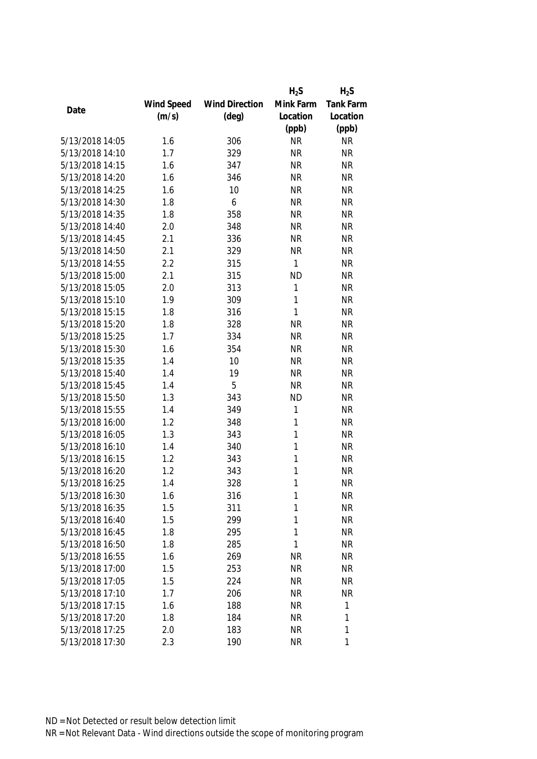|                 |            |                       | $H_2S$       | $H_2S$           |
|-----------------|------------|-----------------------|--------------|------------------|
|                 | Wind Speed | <b>Wind Direction</b> | Mink Farm    | <b>Tank Farm</b> |
| Date            | (m/s)      | $(\text{deg})$        | Location     | Location         |
|                 |            |                       | (ppb)        | (ppb)            |
| 5/13/2018 14:05 | 1.6        | 306                   | <b>NR</b>    | <b>NR</b>        |
| 5/13/2018 14:10 | 1.7        | 329                   | <b>NR</b>    | <b>NR</b>        |
| 5/13/2018 14:15 | 1.6        | 347                   | <b>NR</b>    | <b>NR</b>        |
| 5/13/2018 14:20 | 1.6        | 346                   | <b>NR</b>    | <b>NR</b>        |
| 5/13/2018 14:25 | 1.6        | 10                    | <b>NR</b>    | <b>NR</b>        |
| 5/13/2018 14:30 | 1.8        | 6                     | <b>NR</b>    | <b>NR</b>        |
| 5/13/2018 14:35 | 1.8        | 358                   | <b>NR</b>    | <b>NR</b>        |
| 5/13/2018 14:40 | 2.0        | 348                   | <b>NR</b>    | <b>NR</b>        |
| 5/13/2018 14:45 | 2.1        | 336                   | <b>NR</b>    | <b>NR</b>        |
| 5/13/2018 14:50 | 2.1        | 329                   | <b>NR</b>    | <b>NR</b>        |
| 5/13/2018 14:55 | 2.2        | 315                   | $\mathbf{1}$ | <b>NR</b>        |
| 5/13/2018 15:00 | 2.1        | 315                   | <b>ND</b>    | <b>NR</b>        |
| 5/13/2018 15:05 | 2.0        | 313                   | 1            | <b>NR</b>        |
| 5/13/2018 15:10 | 1.9        | 309                   | 1            | <b>NR</b>        |
| 5/13/2018 15:15 | 1.8        | 316                   | 1            | <b>NR</b>        |
| 5/13/2018 15:20 | 1.8        | 328                   | <b>NR</b>    | <b>NR</b>        |
| 5/13/2018 15:25 | 1.7        | 334                   | <b>NR</b>    | <b>NR</b>        |
| 5/13/2018 15:30 | 1.6        | 354                   | <b>NR</b>    | <b>NR</b>        |
| 5/13/2018 15:35 | 1.4        | 10                    | <b>NR</b>    | <b>NR</b>        |
| 5/13/2018 15:40 | 1.4        | 19                    | <b>NR</b>    | <b>NR</b>        |
| 5/13/2018 15:45 | 1.4        | 5                     | <b>NR</b>    | <b>NR</b>        |
| 5/13/2018 15:50 | 1.3        | 343                   | <b>ND</b>    | <b>NR</b>        |
| 5/13/2018 15:55 | 1.4        | 349                   | 1            | <b>NR</b>        |
| 5/13/2018 16:00 | 1.2        | 348                   | 1            | <b>NR</b>        |
| 5/13/2018 16:05 | 1.3        | 343                   | 1            | <b>NR</b>        |
| 5/13/2018 16:10 | 1.4        | 340                   | 1            | <b>NR</b>        |
| 5/13/2018 16:15 | 1.2        | 343                   | 1            | <b>NR</b>        |
| 5/13/2018 16:20 | 1.2        | 343                   | 1            | <b>NR</b>        |
| 5/13/2018 16:25 | 1.4        | 328                   | 1            | <b>NR</b>        |
| 5/13/2018 16:30 | 1.6        | 316                   | 1            | <b>NR</b>        |
| 5/13/2018 16:35 | 1.5        | 311                   | 1            | <b>NR</b>        |
| 5/13/2018 16:40 | 1.5        | 299                   | 1            | <b>NR</b>        |
| 5/13/2018 16:45 | 1.8        | 295                   | 1            | <b>NR</b>        |
| 5/13/2018 16:50 | 1.8        | 285                   | 1            | <b>NR</b>        |
| 5/13/2018 16:55 | 1.6        | 269                   | <b>NR</b>    | <b>NR</b>        |
| 5/13/2018 17:00 | 1.5        | 253                   | <b>NR</b>    | <b>NR</b>        |
| 5/13/2018 17:05 | 1.5        | 224                   | <b>NR</b>    | <b>NR</b>        |
| 5/13/2018 17:10 | 1.7        | 206                   | <b>NR</b>    | <b>NR</b>        |
| 5/13/2018 17:15 | 1.6        | 188                   | <b>NR</b>    | 1                |
| 5/13/2018 17:20 | 1.8        | 184                   | <b>NR</b>    | 1                |
| 5/13/2018 17:25 | 2.0        | 183                   | <b>NR</b>    | 1                |
| 5/13/2018 17:30 | 2.3        | 190                   | <b>NR</b>    | 1                |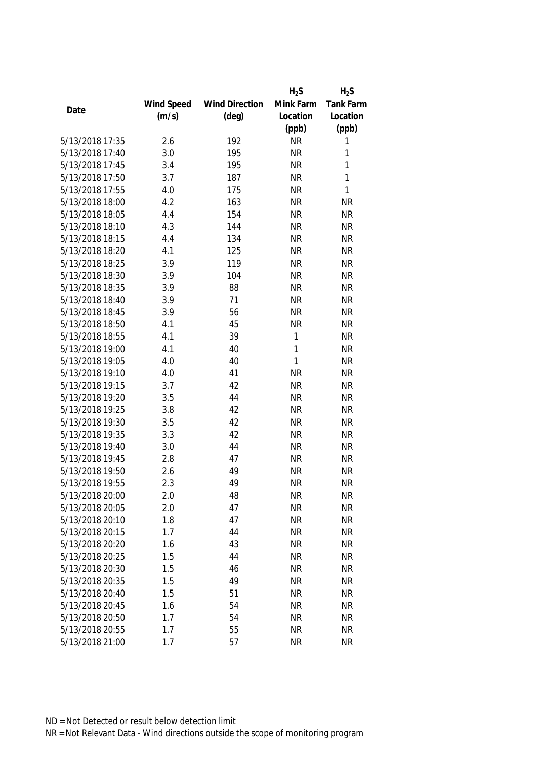|                 |            |                       | $H_2S$       | $H_2S$    |
|-----------------|------------|-----------------------|--------------|-----------|
|                 | Wind Speed | <b>Wind Direction</b> | Mink Farm    | Tank Farm |
| Date            | (m/s)      | $(\text{deg})$        | Location     | Location  |
|                 |            |                       | (ppb)        | (ppb)     |
| 5/13/2018 17:35 | 2.6        | 192                   | <b>NR</b>    | 1         |
| 5/13/2018 17:40 | 3.0        | 195                   | <b>NR</b>    | 1         |
| 5/13/2018 17:45 | 3.4        | 195                   | <b>NR</b>    | 1         |
| 5/13/2018 17:50 | 3.7        | 187                   | <b>NR</b>    | 1         |
| 5/13/2018 17:55 | 4.0        | 175                   | <b>NR</b>    | 1         |
| 5/13/2018 18:00 | 4.2        | 163                   | <b>NR</b>    | <b>NR</b> |
| 5/13/2018 18:05 | 4.4        | 154                   | <b>NR</b>    | <b>NR</b> |
| 5/13/2018 18:10 | 4.3        | 144                   | <b>NR</b>    | <b>NR</b> |
| 5/13/2018 18:15 | 4.4        | 134                   | <b>NR</b>    | <b>NR</b> |
| 5/13/2018 18:20 | 4.1        | 125                   | <b>NR</b>    | <b>NR</b> |
| 5/13/2018 18:25 | 3.9        | 119                   | <b>NR</b>    | <b>NR</b> |
| 5/13/2018 18:30 | 3.9        | 104                   | <b>NR</b>    | <b>NR</b> |
| 5/13/2018 18:35 | 3.9        | 88                    | <b>NR</b>    | <b>NR</b> |
| 5/13/2018 18:40 | 3.9        | 71                    | <b>NR</b>    | <b>NR</b> |
| 5/13/2018 18:45 | 3.9        | 56                    | <b>NR</b>    | <b>NR</b> |
| 5/13/2018 18:50 | 4.1        | 45                    | <b>NR</b>    | <b>NR</b> |
| 5/13/2018 18:55 | 4.1        | 39                    | $\mathbf{1}$ | <b>NR</b> |
| 5/13/2018 19:00 | 4.1        | 40                    | 1            | <b>NR</b> |
| 5/13/2018 19:05 | 4.0        | 40                    | 1            | <b>NR</b> |
| 5/13/2018 19:10 | 4.0        | 41                    | <b>NR</b>    | <b>NR</b> |
| 5/13/2018 19:15 | 3.7        | 42                    | <b>NR</b>    | <b>NR</b> |
| 5/13/2018 19:20 | 3.5        | 44                    | <b>NR</b>    | <b>NR</b> |
| 5/13/2018 19:25 | 3.8        | 42                    | <b>NR</b>    | <b>NR</b> |
| 5/13/2018 19:30 | 3.5        | 42                    | <b>NR</b>    | <b>NR</b> |
| 5/13/2018 19:35 | 3.3        | 42                    | <b>NR</b>    | <b>NR</b> |
| 5/13/2018 19:40 | 3.0        | 44                    | <b>NR</b>    | <b>NR</b> |
| 5/13/2018 19:45 | 2.8        | 47                    | <b>NR</b>    | <b>NR</b> |
| 5/13/2018 19:50 | 2.6        | 49                    | <b>NR</b>    | <b>NR</b> |
| 5/13/2018 19:55 | 2.3        | 49                    | <b>NR</b>    | <b>NR</b> |
| 5/13/2018 20:00 | 2.0        | 48                    | <b>NR</b>    | <b>NR</b> |
| 5/13/2018 20:05 | 2.0        | 47                    | <b>NR</b>    | <b>NR</b> |
| 5/13/2018 20:10 | 1.8        | 47                    | <b>NR</b>    | <b>NR</b> |
| 5/13/2018 20:15 | 1.7        | 44                    | <b>NR</b>    | <b>NR</b> |
| 5/13/2018 20:20 | 1.6        | 43                    | <b>NR</b>    | <b>NR</b> |
| 5/13/2018 20:25 | 1.5        | 44                    | <b>NR</b>    | <b>NR</b> |
| 5/13/2018 20:30 | 1.5        | 46                    | <b>NR</b>    | <b>NR</b> |
| 5/13/2018 20:35 | 1.5        | 49                    | <b>NR</b>    | <b>NR</b> |
| 5/13/2018 20:40 | 1.5        | 51                    | <b>NR</b>    | <b>NR</b> |
| 5/13/2018 20:45 | 1.6        | 54                    | <b>NR</b>    | <b>NR</b> |
| 5/13/2018 20:50 | 1.7        | 54                    | <b>NR</b>    | <b>NR</b> |
| 5/13/2018 20:55 | 1.7        | 55                    | <b>NR</b>    | <b>NR</b> |
| 5/13/2018 21:00 | 1.7        | 57                    | <b>NR</b>    | <b>NR</b> |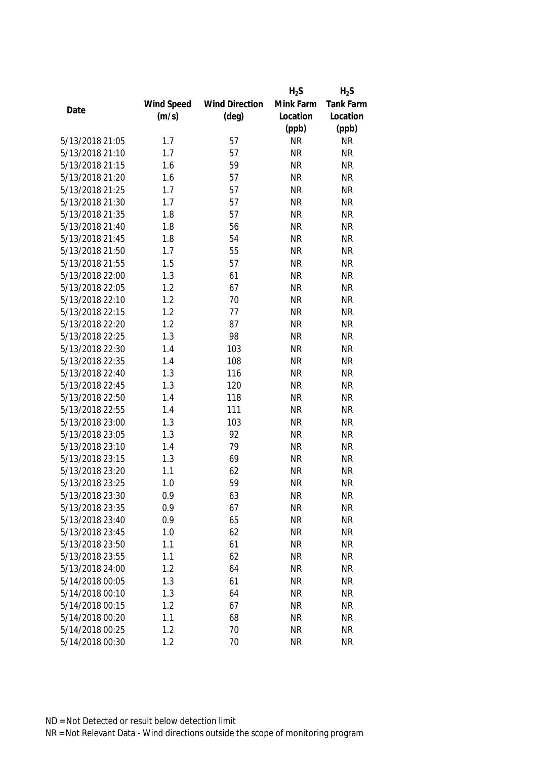|                 |            |                       | $H_2S$    | $H_2S$           |
|-----------------|------------|-----------------------|-----------|------------------|
|                 | Wind Speed | <b>Wind Direction</b> | Mink Farm | <b>Tank Farm</b> |
| Date            | (m/s)      | $(\text{deg})$        | Location  | Location         |
|                 |            |                       | (ppb)     | (ppb)            |
| 5/13/2018 21:05 | 1.7        | 57                    | <b>NR</b> | <b>NR</b>        |
| 5/13/2018 21:10 | 1.7        | 57                    | <b>NR</b> | <b>NR</b>        |
| 5/13/2018 21:15 | 1.6        | 59                    | <b>NR</b> | <b>NR</b>        |
| 5/13/2018 21:20 | 1.6        | 57                    | <b>NR</b> | <b>NR</b>        |
| 5/13/2018 21:25 | 1.7        | 57                    | <b>NR</b> | <b>NR</b>        |
| 5/13/2018 21:30 | 1.7        | 57                    | <b>NR</b> | <b>NR</b>        |
| 5/13/2018 21:35 | 1.8        | 57                    | <b>NR</b> | <b>NR</b>        |
| 5/13/2018 21:40 | 1.8        | 56                    | <b>NR</b> | <b>NR</b>        |
| 5/13/2018 21:45 | 1.8        | 54                    | <b>NR</b> | <b>NR</b>        |
| 5/13/2018 21:50 | 1.7        | 55                    | <b>NR</b> | <b>NR</b>        |
| 5/13/2018 21:55 | 1.5        | 57                    | <b>NR</b> | <b>NR</b>        |
| 5/13/2018 22:00 | 1.3        | 61                    | <b>NR</b> | <b>NR</b>        |
| 5/13/2018 22:05 | 1.2        | 67                    | <b>NR</b> | <b>NR</b>        |
| 5/13/2018 22:10 | 1.2        | 70                    | <b>NR</b> | <b>NR</b>        |
| 5/13/2018 22:15 | 1.2        | 77                    | <b>NR</b> | <b>NR</b>        |
| 5/13/2018 22:20 | 1.2        | 87                    | <b>NR</b> | <b>NR</b>        |
| 5/13/2018 22:25 | 1.3        | 98                    | <b>NR</b> | <b>NR</b>        |
| 5/13/2018 22:30 | 1.4        | 103                   | <b>NR</b> | <b>NR</b>        |
| 5/13/2018 22:35 | 1.4        | 108                   | <b>NR</b> | <b>NR</b>        |
| 5/13/2018 22:40 | 1.3        | 116                   | <b>NR</b> | <b>NR</b>        |
| 5/13/2018 22:45 | 1.3        | 120                   | <b>NR</b> | <b>NR</b>        |
| 5/13/2018 22:50 | 1.4        | 118                   | <b>NR</b> | <b>NR</b>        |
| 5/13/2018 22:55 | 1.4        | 111                   | <b>NR</b> | <b>NR</b>        |
| 5/13/2018 23:00 | 1.3        | 103                   | <b>NR</b> | <b>NR</b>        |
| 5/13/2018 23:05 | 1.3        | 92                    | <b>NR</b> | <b>NR</b>        |
| 5/13/2018 23:10 | 1.4        | 79                    | <b>NR</b> | <b>NR</b>        |
| 5/13/2018 23:15 | 1.3        | 69                    | <b>NR</b> | <b>NR</b>        |
| 5/13/2018 23:20 | 1.1        | 62                    | <b>NR</b> | <b>NR</b>        |
| 5/13/2018 23:25 | 1.0        | 59                    | <b>NR</b> | <b>NR</b>        |
| 5/13/2018 23:30 | 0.9        | 63                    | <b>NR</b> | <b>NR</b>        |
| 5/13/2018 23:35 | 0.9        | 67                    | <b>NR</b> | <b>NR</b>        |
| 5/13/2018 23:40 | 0.9        | 65                    | <b>NR</b> | <b>NR</b>        |
| 5/13/2018 23:45 | 1.0        | 62                    | <b>NR</b> | <b>NR</b>        |
| 5/13/2018 23:50 | 1.1        | 61                    | <b>NR</b> | <b>NR</b>        |
| 5/13/2018 23:55 | 1.1        | 62                    | <b>NR</b> | <b>NR</b>        |
| 5/13/2018 24:00 | 1.2        | 64                    | <b>NR</b> | <b>NR</b>        |
| 5/14/2018 00:05 | 1.3        | 61                    | <b>NR</b> | <b>NR</b>        |
| 5/14/2018 00:10 | 1.3        | 64                    | <b>NR</b> | <b>NR</b>        |
| 5/14/2018 00:15 | 1.2        | 67                    | <b>NR</b> | <b>NR</b>        |
| 5/14/2018 00:20 | 1.1        | 68                    | <b>NR</b> | <b>NR</b>        |
| 5/14/2018 00:25 | 1.2        | 70                    | <b>NR</b> | <b>NR</b>        |
| 5/14/2018 00:30 | 1.2        | 70                    | <b>NR</b> | <b>NR</b>        |
|                 |            |                       |           |                  |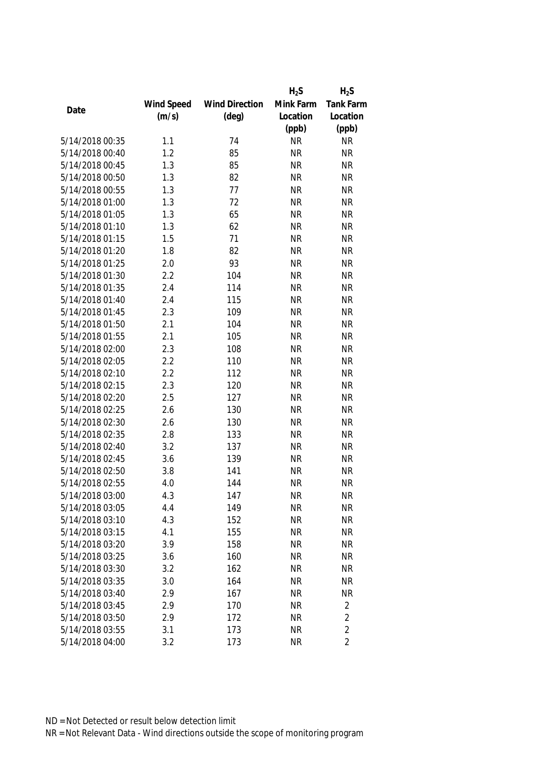|                 |            |                       | $H_2S$    | $H_2S$         |
|-----------------|------------|-----------------------|-----------|----------------|
|                 | Wind Speed | <b>Wind Direction</b> | Mink Farm | Tank Farm      |
| Date            | (m/s)      | $(\text{deg})$        | Location  | Location       |
|                 |            |                       | (ppb)     | (ppb)          |
| 5/14/2018 00:35 | 1.1        | 74                    | <b>NR</b> | <b>NR</b>      |
| 5/14/2018 00:40 | 1.2        | 85                    | <b>NR</b> | <b>NR</b>      |
| 5/14/2018 00:45 | 1.3        | 85                    | <b>NR</b> | <b>NR</b>      |
| 5/14/2018 00:50 | 1.3        | 82                    | <b>NR</b> | <b>NR</b>      |
| 5/14/2018 00:55 | 1.3        | 77                    | <b>NR</b> | <b>NR</b>      |
| 5/14/2018 01:00 | 1.3        | 72                    | <b>NR</b> | <b>NR</b>      |
| 5/14/2018 01:05 | 1.3        | 65                    | <b>NR</b> | <b>NR</b>      |
| 5/14/2018 01:10 | 1.3        | 62                    | <b>NR</b> | <b>NR</b>      |
| 5/14/2018 01:15 | 1.5        | 71                    | <b>NR</b> | <b>NR</b>      |
| 5/14/2018 01:20 | 1.8        | 82                    | <b>NR</b> | <b>NR</b>      |
| 5/14/2018 01:25 | 2.0        | 93                    | <b>NR</b> | <b>NR</b>      |
| 5/14/2018 01:30 | 2.2        | 104                   | <b>NR</b> | <b>NR</b>      |
| 5/14/2018 01:35 | 2.4        | 114                   | <b>NR</b> | <b>NR</b>      |
| 5/14/2018 01:40 | 2.4        | 115                   | <b>NR</b> | <b>NR</b>      |
| 5/14/2018 01:45 | 2.3        | 109                   | <b>NR</b> | <b>NR</b>      |
| 5/14/2018 01:50 | 2.1        | 104                   | <b>NR</b> | <b>NR</b>      |
| 5/14/2018 01:55 | 2.1        | 105                   | <b>NR</b> | <b>NR</b>      |
| 5/14/2018 02:00 | 2.3        | 108                   | <b>NR</b> | <b>NR</b>      |
| 5/14/2018 02:05 | 2.2        | 110                   | <b>NR</b> | <b>NR</b>      |
| 5/14/2018 02:10 | 2.2        | 112                   | <b>NR</b> | <b>NR</b>      |
| 5/14/2018 02:15 | 2.3        | 120                   | <b>NR</b> | <b>NR</b>      |
| 5/14/2018 02:20 | 2.5        | 127                   | <b>NR</b> | <b>NR</b>      |
| 5/14/2018 02:25 | 2.6        | 130                   | <b>NR</b> | <b>NR</b>      |
| 5/14/2018 02:30 | 2.6        | 130                   | <b>NR</b> | <b>NR</b>      |
| 5/14/2018 02:35 | 2.8        | 133                   | <b>NR</b> | <b>NR</b>      |
| 5/14/2018 02:40 | 3.2        | 137                   | <b>NR</b> | <b>NR</b>      |
| 5/14/2018 02:45 | 3.6        | 139                   | <b>NR</b> | <b>NR</b>      |
| 5/14/2018 02:50 | 3.8        | 141                   | <b>NR</b> | <b>NR</b>      |
| 5/14/2018 02:55 | 4.0        | 144                   | <b>NR</b> | <b>NR</b>      |
| 5/14/2018 03:00 | 4.3        | 147                   | <b>NR</b> | <b>NR</b>      |
| 5/14/2018 03:05 | 4.4        | 149                   | <b>NR</b> | <b>NR</b>      |
| 5/14/2018 03:10 | 4.3        | 152                   | <b>NR</b> | <b>NR</b>      |
| 5/14/2018 03:15 | 4.1        | 155                   | <b>NR</b> | <b>NR</b>      |
| 5/14/2018 03:20 | 3.9        | 158                   | <b>NR</b> | <b>NR</b>      |
| 5/14/2018 03:25 | 3.6        | 160                   | <b>NR</b> | <b>NR</b>      |
| 5/14/2018 03:30 | 3.2        | 162                   | <b>NR</b> | <b>NR</b>      |
| 5/14/2018 03:35 | 3.0        | 164                   | <b>NR</b> | <b>NR</b>      |
| 5/14/2018 03:40 | 2.9        | 167                   | <b>NR</b> | <b>NR</b>      |
| 5/14/2018 03:45 | 2.9        | 170                   | <b>NR</b> | $\overline{2}$ |
| 5/14/2018 03:50 | 2.9        | 172                   | <b>NR</b> | $\overline{2}$ |
| 5/14/2018 03:55 | 3.1        | 173                   | <b>NR</b> | $\overline{2}$ |
| 5/14/2018 04:00 | 3.2        | 173                   | <b>NR</b> | $\overline{2}$ |
|                 |            |                       |           |                |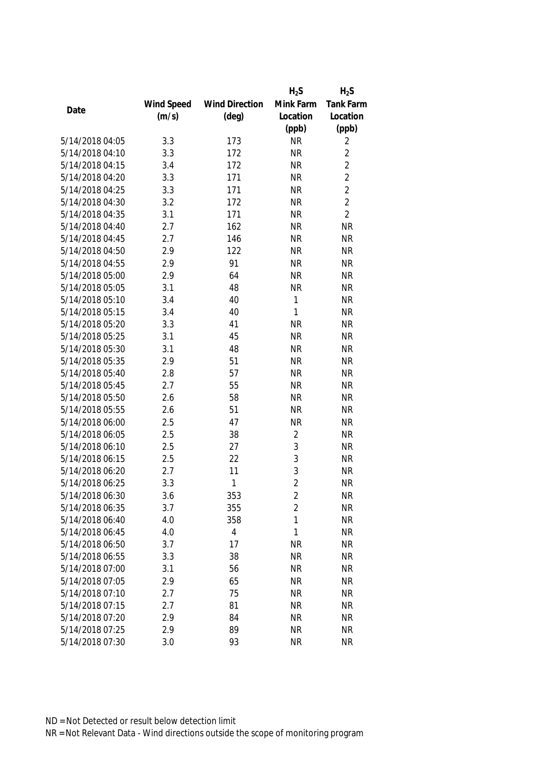|                 |            |                       | $H_2S$         | $H_2S$         |
|-----------------|------------|-----------------------|----------------|----------------|
|                 | Wind Speed | <b>Wind Direction</b> | Mink Farm      | Tank Farm      |
| Date            | (m/s)      | $(\text{deg})$        | Location       | Location       |
|                 |            |                       | (ppb)          | (ppb)          |
| 5/14/2018 04:05 | 3.3        | 173                   | <b>NR</b>      | 2              |
| 5/14/2018 04:10 | 3.3        | 172                   | <b>NR</b>      | $\overline{2}$ |
| 5/14/2018 04:15 | 3.4        | 172                   | <b>NR</b>      | $\overline{2}$ |
| 5/14/2018 04:20 | 3.3        | 171                   | <b>NR</b>      | $\overline{2}$ |
| 5/14/2018 04:25 | 3.3        | 171                   | <b>NR</b>      | $\overline{2}$ |
| 5/14/2018 04:30 | 3.2        | 172                   | <b>NR</b>      | $\overline{2}$ |
| 5/14/2018 04:35 | 3.1        | 171                   | <b>NR</b>      | $\overline{2}$ |
| 5/14/2018 04:40 | 2.7        | 162                   | <b>NR</b>      | <b>NR</b>      |
| 5/14/2018 04:45 | 2.7        | 146                   | <b>NR</b>      | <b>NR</b>      |
| 5/14/2018 04:50 | 2.9        | 122                   | <b>NR</b>      | <b>NR</b>      |
| 5/14/2018 04:55 | 2.9        | 91                    | <b>NR</b>      | <b>NR</b>      |
| 5/14/2018 05:00 | 2.9        | 64                    | <b>NR</b>      | <b>NR</b>      |
| 5/14/2018 05:05 | 3.1        | 48                    | <b>NR</b>      | <b>NR</b>      |
| 5/14/2018 05:10 | 3.4        | 40                    | 1              | <b>NR</b>      |
| 5/14/2018 05:15 | 3.4        | 40                    | 1              | <b>NR</b>      |
| 5/14/2018 05:20 | 3.3        | 41                    | <b>NR</b>      | <b>NR</b>      |
| 5/14/2018 05:25 | 3.1        | 45                    | <b>NR</b>      | <b>NR</b>      |
| 5/14/2018 05:30 | 3.1        | 48                    | <b>NR</b>      | <b>NR</b>      |
| 5/14/2018 05:35 | 2.9        | 51                    | <b>NR</b>      | <b>NR</b>      |
| 5/14/2018 05:40 | 2.8        | 57                    | <b>NR</b>      | <b>NR</b>      |
| 5/14/2018 05:45 | 2.7        | 55                    | <b>NR</b>      | <b>NR</b>      |
| 5/14/2018 05:50 | 2.6        | 58                    | <b>NR</b>      | <b>NR</b>      |
| 5/14/2018 05:55 | 2.6        | 51                    | <b>NR</b>      | <b>NR</b>      |
| 5/14/2018 06:00 | 2.5        | 47                    | <b>NR</b>      | <b>NR</b>      |
| 5/14/2018 06:05 | 2.5        | 38                    | $\overline{2}$ | <b>NR</b>      |
| 5/14/2018 06:10 | 2.5        | 27                    | $\mathfrak{Z}$ | <b>NR</b>      |
| 5/14/2018 06:15 | 2.5        | 22                    | 3              | <b>NR</b>      |
| 5/14/2018 06:20 | 2.7        | 11                    | 3              | <b>NR</b>      |
| 5/14/2018 06:25 | 3.3        | 1                     | $\overline{2}$ | <b>NR</b>      |
| 5/14/2018 06:30 | 3.6        | 353                   | 2              | <b>NR</b>      |
| 5/14/2018 06:35 | 3.7        | 355                   | $\overline{2}$ | <b>NR</b>      |
| 5/14/2018 06:40 | 4.0        | 358                   | 1              | <b>NR</b>      |
| 5/14/2018 06:45 | 4.0        | $\overline{4}$        | 1              | <b>NR</b>      |
| 5/14/2018 06:50 | 3.7        | 17                    | <b>NR</b>      | <b>NR</b>      |
| 5/14/2018 06:55 | 3.3        | 38                    | <b>NR</b>      | <b>NR</b>      |
| 5/14/2018 07:00 | 3.1        | 56                    | <b>NR</b>      | <b>NR</b>      |
| 5/14/2018 07:05 | 2.9        | 65                    | <b>NR</b>      | <b>NR</b>      |
| 5/14/2018 07:10 | 2.7        | 75                    | <b>NR</b>      | <b>NR</b>      |
| 5/14/2018 07:15 | 2.7        | 81                    | <b>NR</b>      | <b>NR</b>      |
| 5/14/2018 07:20 | 2.9        | 84                    | <b>NR</b>      | <b>NR</b>      |
| 5/14/2018 07:25 | 2.9        | 89                    | <b>NR</b>      | <b>NR</b>      |
| 5/14/2018 07:30 | 3.0        | 93                    | <b>NR</b>      | <b>NR</b>      |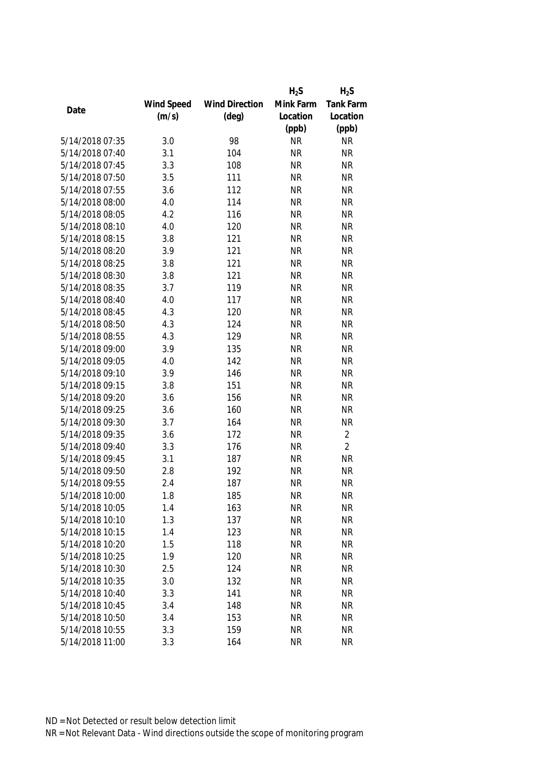|                 |            |                       | $H_2S$    | $H_2S$         |
|-----------------|------------|-----------------------|-----------|----------------|
|                 | Wind Speed | <b>Wind Direction</b> | Mink Farm | Tank Farm      |
| Date            | (m/s)      | $(\text{deg})$        | Location  | Location       |
|                 |            |                       | (ppb)     | (ppb)          |
| 5/14/2018 07:35 | 3.0        | 98                    | <b>NR</b> | <b>NR</b>      |
| 5/14/2018 07:40 | 3.1        | 104                   | <b>NR</b> | <b>NR</b>      |
| 5/14/2018 07:45 | 3.3        | 108                   | <b>NR</b> | <b>NR</b>      |
| 5/14/2018 07:50 | 3.5        | 111                   | <b>NR</b> | <b>NR</b>      |
| 5/14/2018 07:55 | 3.6        | 112                   | <b>NR</b> | <b>NR</b>      |
| 5/14/2018 08:00 | 4.0        | 114                   | <b>NR</b> | <b>NR</b>      |
| 5/14/2018 08:05 | 4.2        | 116                   | <b>NR</b> | <b>NR</b>      |
| 5/14/2018 08:10 | 4.0        | 120                   | <b>NR</b> | <b>NR</b>      |
| 5/14/2018 08:15 | 3.8        | 121                   | <b>NR</b> | <b>NR</b>      |
| 5/14/2018 08:20 | 3.9        | 121                   | <b>NR</b> | <b>NR</b>      |
| 5/14/2018 08:25 | 3.8        | 121                   | <b>NR</b> | <b>NR</b>      |
| 5/14/2018 08:30 | 3.8        | 121                   | <b>NR</b> | <b>NR</b>      |
| 5/14/2018 08:35 | 3.7        | 119                   | <b>NR</b> | <b>NR</b>      |
| 5/14/2018 08:40 | 4.0        | 117                   | <b>NR</b> | <b>NR</b>      |
| 5/14/2018 08:45 | 4.3        | 120                   | <b>NR</b> | <b>NR</b>      |
| 5/14/2018 08:50 | 4.3        | 124                   | <b>NR</b> | <b>NR</b>      |
| 5/14/2018 08:55 | 4.3        | 129                   | <b>NR</b> | <b>NR</b>      |
| 5/14/2018 09:00 | 3.9        | 135                   | <b>NR</b> | <b>NR</b>      |
| 5/14/2018 09:05 | 4.0        | 142                   | <b>NR</b> | <b>NR</b>      |
| 5/14/2018 09:10 | 3.9        | 146                   | <b>NR</b> | <b>NR</b>      |
| 5/14/2018 09:15 | 3.8        | 151                   | <b>NR</b> | <b>NR</b>      |
| 5/14/2018 09:20 | 3.6        | 156                   | <b>NR</b> | <b>NR</b>      |
| 5/14/2018 09:25 | 3.6        | 160                   | <b>NR</b> | <b>NR</b>      |
| 5/14/2018 09:30 | 3.7        | 164                   | <b>NR</b> | <b>NR</b>      |
| 5/14/2018 09:35 | 3.6        | 172                   | <b>NR</b> | $\overline{2}$ |
| 5/14/2018 09:40 | 3.3        | 176                   | <b>NR</b> | $\overline{2}$ |
| 5/14/2018 09:45 | 3.1        | 187                   | <b>NR</b> | <b>NR</b>      |
| 5/14/2018 09:50 | 2.8        | 192                   | <b>NR</b> | <b>NR</b>      |
| 5/14/2018 09:55 | 2.4        | 187                   | <b>NR</b> | <b>NR</b>      |
| 5/14/2018 10:00 | 1.8        | 185                   | <b>NR</b> | <b>NR</b>      |
| 5/14/2018 10:05 | 1.4        | 163                   | <b>NR</b> | <b>NR</b>      |
| 5/14/2018 10:10 | 1.3        | 137                   | <b>NR</b> | <b>NR</b>      |
| 5/14/2018 10:15 | 1.4        | 123                   | <b>NR</b> | <b>NR</b>      |
| 5/14/2018 10:20 | 1.5        | 118                   | <b>NR</b> | <b>NR</b>      |
| 5/14/2018 10:25 | 1.9        | 120                   | <b>NR</b> | <b>NR</b>      |
| 5/14/2018 10:30 | 2.5        | 124                   | <b>NR</b> | <b>NR</b>      |
| 5/14/2018 10:35 | 3.0        | 132                   | <b>NR</b> | <b>NR</b>      |
| 5/14/2018 10:40 | 3.3        | 141                   | <b>NR</b> | <b>NR</b>      |
| 5/14/2018 10:45 | 3.4        | 148                   | <b>NR</b> | <b>NR</b>      |
| 5/14/2018 10:50 | 3.4        | 153                   | <b>NR</b> | <b>NR</b>      |
| 5/14/2018 10:55 | 3.3        | 159                   | <b>NR</b> | <b>NR</b>      |
| 5/14/2018 11:00 | 3.3        | 164                   | <b>NR</b> | <b>NR</b>      |
|                 |            |                       |           |                |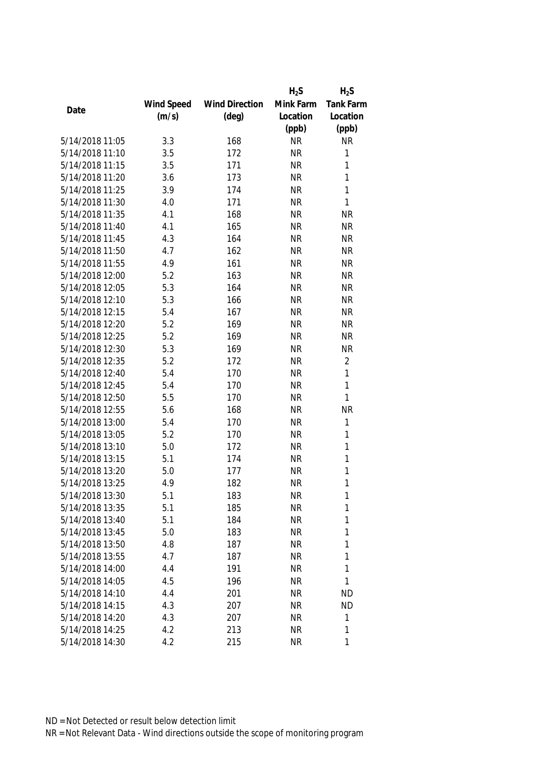|                 |            |                       | $H_2S$    | $H_2S$           |
|-----------------|------------|-----------------------|-----------|------------------|
|                 | Wind Speed | <b>Wind Direction</b> | Mink Farm | <b>Tank Farm</b> |
| Date            | (m/s)      | $(\text{deg})$        | Location  | Location         |
|                 |            |                       | (ppb)     | (ppb)            |
| 5/14/2018 11:05 | 3.3        | 168                   | <b>NR</b> | <b>NR</b>        |
| 5/14/2018 11:10 | 3.5        | 172                   | <b>NR</b> | $\mathbf{1}$     |
| 5/14/2018 11:15 | 3.5        | 171                   | <b>NR</b> | 1                |
| 5/14/2018 11:20 | 3.6        | 173                   | <b>NR</b> | $\mathbf{1}$     |
| 5/14/2018 11:25 | 3.9        | 174                   | <b>NR</b> | $\mathbf{1}$     |
| 5/14/2018 11:30 | 4.0        | 171                   | <b>NR</b> | $\mathbf{1}$     |
| 5/14/2018 11:35 | 4.1        | 168                   | <b>NR</b> | <b>NR</b>        |
| 5/14/2018 11:40 | 4.1        | 165                   | <b>NR</b> | <b>NR</b>        |
| 5/14/2018 11:45 | 4.3        | 164                   | <b>NR</b> | <b>NR</b>        |
| 5/14/2018 11:50 | 4.7        | 162                   | <b>NR</b> | <b>NR</b>        |
| 5/14/2018 11:55 | 4.9        | 161                   | <b>NR</b> | <b>NR</b>        |
| 5/14/2018 12:00 | 5.2        | 163                   | <b>NR</b> | <b>NR</b>        |
| 5/14/2018 12:05 | 5.3        | 164                   | <b>NR</b> | <b>NR</b>        |
| 5/14/2018 12:10 | 5.3        | 166                   | <b>NR</b> | <b>NR</b>        |
| 5/14/2018 12:15 | 5.4        | 167                   | <b>NR</b> | <b>NR</b>        |
| 5/14/2018 12:20 | 5.2        | 169                   | <b>NR</b> | <b>NR</b>        |
| 5/14/2018 12:25 | 5.2        | 169                   | <b>NR</b> | <b>NR</b>        |
| 5/14/2018 12:30 | 5.3        | 169                   | <b>NR</b> | <b>NR</b>        |
| 5/14/2018 12:35 | 5.2        | 172                   | <b>NR</b> | $\overline{2}$   |
| 5/14/2018 12:40 | 5.4        | 170                   | <b>NR</b> | 1                |
| 5/14/2018 12:45 | 5.4        | 170                   | <b>NR</b> | 1                |
| 5/14/2018 12:50 | 5.5        | 170                   | <b>NR</b> | $\mathbf{1}$     |
| 5/14/2018 12:55 | 5.6        | 168                   | <b>NR</b> | <b>NR</b>        |
| 5/14/2018 13:00 | 5.4        | 170                   | <b>NR</b> | $\mathbf{1}$     |
| 5/14/2018 13:05 | 5.2        | 170                   | <b>NR</b> | $\mathbf{1}$     |
| 5/14/2018 13:10 | 5.0        | 172                   | <b>NR</b> | 1                |
| 5/14/2018 13:15 | 5.1        | 174                   | <b>NR</b> | 1                |
| 5/14/2018 13:20 | 5.0        | 177                   | <b>NR</b> | 1                |
| 5/14/2018 13:25 | 4.9        | 182                   | <b>NR</b> | 1                |
| 5/14/2018 13:30 | 5.1        | 183                   | <b>NR</b> | 1                |
| 5/14/2018 13:35 | 5.1        | 185                   | <b>NR</b> | 1                |
| 5/14/2018 13:40 | 5.1        | 184                   | <b>NR</b> | 1                |
| 5/14/2018 13:45 | 5.0        | 183                   | <b>NR</b> | 1                |
| 5/14/2018 13:50 | 4.8        | 187                   | <b>NR</b> | 1                |
| 5/14/2018 13:55 | 4.7        | 187                   | <b>NR</b> | 1                |
| 5/14/2018 14:00 | 4.4        | 191                   | <b>NR</b> | 1                |
| 5/14/2018 14:05 | 4.5        | 196                   | <b>NR</b> | 1                |
| 5/14/2018 14:10 | 4.4        | 201                   | <b>NR</b> | <b>ND</b>        |
| 5/14/2018 14:15 | 4.3        | 207                   | <b>NR</b> | <b>ND</b>        |
| 5/14/2018 14:20 | 4.3        | 207                   | <b>NR</b> | 1                |
| 5/14/2018 14:25 | 4.2        | 213                   | <b>NR</b> | 1                |
| 5/14/2018 14:30 | 4.2        | 215                   | <b>NR</b> | 1                |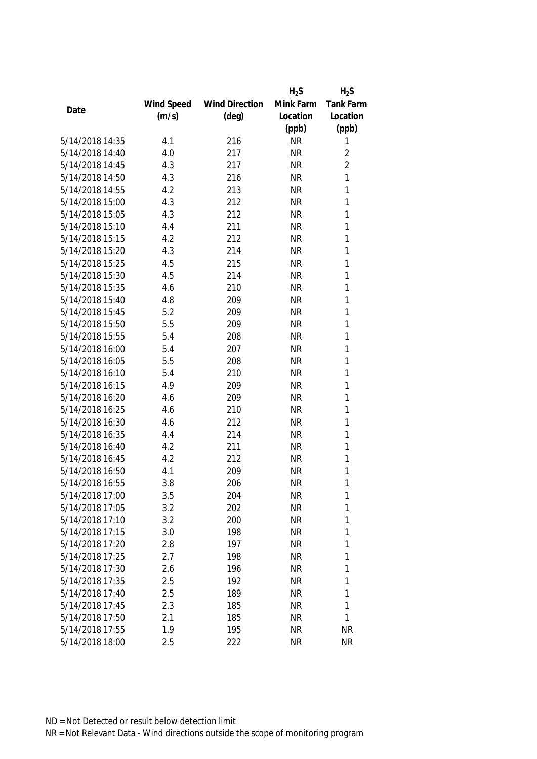|                 |            |                       | $H_2S$    | $H_2S$         |
|-----------------|------------|-----------------------|-----------|----------------|
|                 | Wind Speed | <b>Wind Direction</b> | Mink Farm | Tank Farm      |
| Date            | (m/s)      | $(\text{deg})$        | Location  | Location       |
|                 |            |                       | (ppb)     | (ppb)          |
| 5/14/2018 14:35 | 4.1        | 216                   | <b>NR</b> | 1              |
| 5/14/2018 14:40 | 4.0        | 217                   | <b>NR</b> | $\sqrt{2}$     |
| 5/14/2018 14:45 | 4.3        | 217                   | <b>NR</b> | $\overline{2}$ |
| 5/14/2018 14:50 | 4.3        | 216                   | <b>NR</b> | 1              |
| 5/14/2018 14:55 | 4.2        | 213                   | <b>NR</b> | 1              |
| 5/14/2018 15:00 | 4.3        | 212                   | <b>NR</b> | 1              |
| 5/14/2018 15:05 | 4.3        | 212                   | <b>NR</b> | $\mathbf{1}$   |
| 5/14/2018 15:10 | 4.4        | 211                   | <b>NR</b> | 1              |
| 5/14/2018 15:15 | 4.2        | 212                   | <b>NR</b> | 1              |
| 5/14/2018 15:20 | 4.3        | 214                   | <b>NR</b> | 1              |
| 5/14/2018 15:25 | 4.5        | 215                   | <b>NR</b> | 1              |
| 5/14/2018 15:30 | 4.5        | 214                   | <b>NR</b> | 1              |
| 5/14/2018 15:35 | 4.6        | 210                   | <b>NR</b> | 1              |
| 5/14/2018 15:40 | 4.8        | 209                   | <b>NR</b> | 1              |
| 5/14/2018 15:45 | 5.2        | 209                   | <b>NR</b> | 1              |
| 5/14/2018 15:50 | 5.5        | 209                   | <b>NR</b> | $\mathbf{1}$   |
| 5/14/2018 15:55 | 5.4        | 208                   | <b>NR</b> | 1              |
| 5/14/2018 16:00 | 5.4        | 207                   | <b>NR</b> | 1              |
| 5/14/2018 16:05 | 5.5        | 208                   | <b>NR</b> | 1              |
| 5/14/2018 16:10 | 5.4        | 210                   | <b>NR</b> | 1              |
| 5/14/2018 16:15 | 4.9        | 209                   | <b>NR</b> | 1              |
| 5/14/2018 16:20 | 4.6        | 209                   | <b>NR</b> | $\mathbf{1}$   |
| 5/14/2018 16:25 | 4.6        | 210                   | <b>NR</b> | 1              |
| 5/14/2018 16:30 | 4.6        | 212                   | <b>NR</b> | 1              |
| 5/14/2018 16:35 | 4.4        | 214                   | <b>NR</b> | 1              |
| 5/14/2018 16:40 | 4.2        | 211                   | <b>NR</b> | 1              |
| 5/14/2018 16:45 | 4.2        | 212                   | <b>NR</b> | 1              |
| 5/14/2018 16:50 | 4.1        | 209                   | <b>NR</b> | 1              |
| 5/14/2018 16:55 | 3.8        | 206                   | <b>NR</b> | 1              |
| 5/14/2018 17:00 | 3.5        | 204                   | <b>NR</b> | 1              |
| 5/14/2018 17:05 | 3.2        | 202                   | <b>NR</b> | 1              |
| 5/14/2018 17:10 | 3.2        | 200                   | <b>NR</b> | 1              |
| 5/14/2018 17:15 | 3.0        | 198                   | <b>NR</b> | 1              |
| 5/14/2018 17:20 | 2.8        | 197                   | <b>NR</b> | 1              |
| 5/14/2018 17:25 | 2.7        | 198                   | <b>NR</b> | 1              |
| 5/14/2018 17:30 | 2.6        | 196                   | <b>NR</b> | 1              |
| 5/14/2018 17:35 | 2.5        | 192                   | <b>NR</b> | 1              |
| 5/14/2018 17:40 | 2.5        | 189                   | <b>NR</b> | 1              |
| 5/14/2018 17:45 | 2.3        | 185                   | <b>NR</b> | 1              |
| 5/14/2018 17:50 | 2.1        | 185                   | <b>NR</b> | 1              |
| 5/14/2018 17:55 | 1.9        | 195                   | <b>NR</b> | <b>NR</b>      |
| 5/14/2018 18:00 | 2.5        | 222                   | <b>NR</b> | <b>NR</b>      |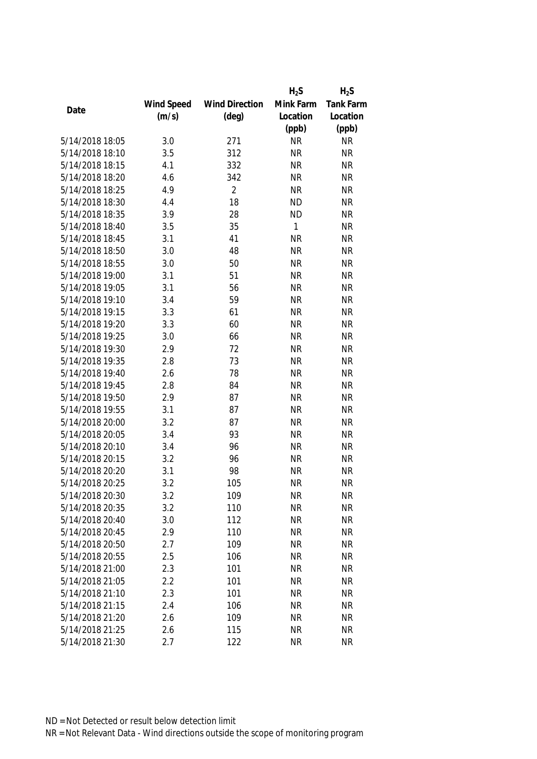|                 |            |                       | $H_2S$       | $H_2S$    |
|-----------------|------------|-----------------------|--------------|-----------|
|                 | Wind Speed | <b>Wind Direction</b> | Mink Farm    | Tank Farm |
| Date            | (m/s)      | $(\text{deg})$        | Location     | Location  |
|                 |            |                       | (ppb)        | (ppb)     |
| 5/14/2018 18:05 | 3.0        | 271                   | <b>NR</b>    | <b>NR</b> |
| 5/14/2018 18:10 | 3.5        | 312                   | <b>NR</b>    | <b>NR</b> |
| 5/14/2018 18:15 | 4.1        | 332                   | <b>NR</b>    | <b>NR</b> |
| 5/14/2018 18:20 | 4.6        | 342                   | <b>NR</b>    | <b>NR</b> |
| 5/14/2018 18:25 | 4.9        | $\overline{2}$        | <b>NR</b>    | <b>NR</b> |
| 5/14/2018 18:30 | 4.4        | 18                    | <b>ND</b>    | <b>NR</b> |
| 5/14/2018 18:35 | 3.9        | 28                    | <b>ND</b>    | <b>NR</b> |
| 5/14/2018 18:40 | 3.5        | 35                    | $\mathbf{1}$ | <b>NR</b> |
| 5/14/2018 18:45 | 3.1        | 41                    | <b>NR</b>    | <b>NR</b> |
| 5/14/2018 18:50 | 3.0        | 48                    | <b>NR</b>    | <b>NR</b> |
| 5/14/2018 18:55 | 3.0        | 50                    | <b>NR</b>    | <b>NR</b> |
| 5/14/2018 19:00 | 3.1        | 51                    | <b>NR</b>    | <b>NR</b> |
| 5/14/2018 19:05 | 3.1        | 56                    | <b>NR</b>    | <b>NR</b> |
| 5/14/2018 19:10 | 3.4        | 59                    | <b>NR</b>    | <b>NR</b> |
| 5/14/2018 19:15 | 3.3        | 61                    | <b>NR</b>    | <b>NR</b> |
| 5/14/2018 19:20 | 3.3        | 60                    | <b>NR</b>    | <b>NR</b> |
| 5/14/2018 19:25 | 3.0        | 66                    | <b>NR</b>    | <b>NR</b> |
| 5/14/2018 19:30 | 2.9        | 72                    | <b>NR</b>    | <b>NR</b> |
| 5/14/2018 19:35 | 2.8        | 73                    | <b>NR</b>    | <b>NR</b> |
| 5/14/2018 19:40 | 2.6        | 78                    | <b>NR</b>    | <b>NR</b> |
| 5/14/2018 19:45 | 2.8        | 84                    | <b>NR</b>    | <b>NR</b> |
| 5/14/2018 19:50 | 2.9        | 87                    | <b>NR</b>    | <b>NR</b> |
| 5/14/2018 19:55 | 3.1        | 87                    | <b>NR</b>    | <b>NR</b> |
| 5/14/2018 20:00 | 3.2        | 87                    | <b>NR</b>    | <b>NR</b> |
| 5/14/2018 20:05 | 3.4        | 93                    | <b>NR</b>    | <b>NR</b> |
| 5/14/2018 20:10 | 3.4        | 96                    | <b>NR</b>    | <b>NR</b> |
| 5/14/2018 20:15 | 3.2        | 96                    | <b>NR</b>    | <b>NR</b> |
| 5/14/2018 20:20 | 3.1        | 98                    | <b>NR</b>    | <b>NR</b> |
| 5/14/2018 20:25 | 3.2        | 105                   | <b>NR</b>    | <b>NR</b> |
| 5/14/2018 20:30 | 3.2        | 109                   | <b>NR</b>    | <b>NR</b> |
| 5/14/2018 20:35 | 3.2        | 110                   | <b>NR</b>    | <b>NR</b> |
| 5/14/2018 20:40 | 3.0        | 112                   | <b>NR</b>    | <b>NR</b> |
| 5/14/2018 20:45 | 2.9        | 110                   | <b>NR</b>    | <b>NR</b> |
| 5/14/2018 20:50 | 2.7        | 109                   | <b>NR</b>    | <b>NR</b> |
| 5/14/2018 20:55 | 2.5        | 106                   | <b>NR</b>    | <b>NR</b> |
| 5/14/2018 21:00 | 2.3        | 101                   | <b>NR</b>    | <b>NR</b> |
| 5/14/2018 21:05 | 2.2        | 101                   | <b>NR</b>    | <b>NR</b> |
| 5/14/2018 21:10 | 2.3        | 101                   | <b>NR</b>    | <b>NR</b> |
| 5/14/2018 21:15 | 2.4        | 106                   | <b>NR</b>    | <b>NR</b> |
| 5/14/2018 21:20 | 2.6        | 109                   | <b>NR</b>    | <b>NR</b> |
| 5/14/2018 21:25 | 2.6        | 115                   | <b>NR</b>    | <b>NR</b> |
| 5/14/2018 21:30 | 2.7        | 122                   | <b>NR</b>    | <b>NR</b> |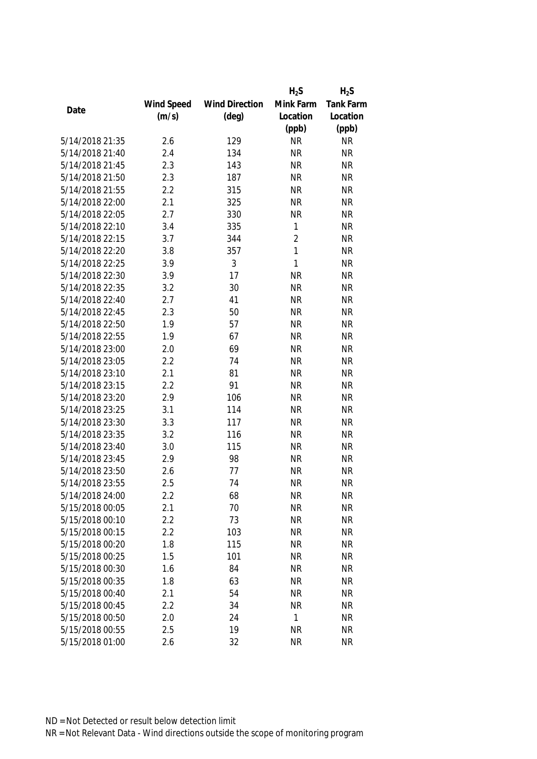|                 |            |                       | $H_2S$         | $H_2S$    |
|-----------------|------------|-----------------------|----------------|-----------|
|                 | Wind Speed | <b>Wind Direction</b> | Mink Farm      | Tank Farm |
| Date            | (m/s)      | $(\text{deg})$        | Location       | Location  |
|                 |            |                       | (ppb)          | (ppb)     |
| 5/14/2018 21:35 | 2.6        | 129                   | <b>NR</b>      | <b>NR</b> |
| 5/14/2018 21:40 | 2.4        | 134                   | <b>NR</b>      | <b>NR</b> |
| 5/14/2018 21:45 | 2.3        | 143                   | <b>NR</b>      | <b>NR</b> |
| 5/14/2018 21:50 | 2.3        | 187                   | <b>NR</b>      | <b>NR</b> |
| 5/14/2018 21:55 | 2.2        | 315                   | <b>NR</b>      | <b>NR</b> |
| 5/14/2018 22:00 | 2.1        | 325                   | <b>NR</b>      | <b>NR</b> |
| 5/14/2018 22:05 | 2.7        | 330                   | <b>NR</b>      | <b>NR</b> |
| 5/14/2018 22:10 | 3.4        | 335                   | $\mathbf{1}$   | <b>NR</b> |
| 5/14/2018 22:15 | 3.7        | 344                   | $\overline{2}$ | <b>NR</b> |
| 5/14/2018 22:20 | 3.8        | 357                   | $\mathbf{1}$   | <b>NR</b> |
| 5/14/2018 22:25 | 3.9        | 3                     | $\mathbf{1}$   | <b>NR</b> |
| 5/14/2018 22:30 | 3.9        | 17                    | <b>NR</b>      | <b>NR</b> |
| 5/14/2018 22:35 | 3.2        | 30                    | <b>NR</b>      | <b>NR</b> |
| 5/14/2018 22:40 | 2.7        | 41                    | <b>NR</b>      | <b>NR</b> |
| 5/14/2018 22:45 | 2.3        | 50                    | <b>NR</b>      | <b>NR</b> |
| 5/14/2018 22:50 | 1.9        | 57                    | <b>NR</b>      | <b>NR</b> |
| 5/14/2018 22:55 | 1.9        | 67                    | <b>NR</b>      | <b>NR</b> |
| 5/14/2018 23:00 | 2.0        | 69                    | <b>NR</b>      | <b>NR</b> |
| 5/14/2018 23:05 | 2.2        | 74                    | <b>NR</b>      | <b>NR</b> |
| 5/14/2018 23:10 | 2.1        | 81                    | <b>NR</b>      | <b>NR</b> |
| 5/14/2018 23:15 | 2.2        | 91                    | <b>NR</b>      | <b>NR</b> |
| 5/14/2018 23:20 | 2.9        | 106                   | <b>NR</b>      | <b>NR</b> |
| 5/14/2018 23:25 | 3.1        | 114                   | <b>NR</b>      | <b>NR</b> |
| 5/14/2018 23:30 | 3.3        | 117                   | <b>NR</b>      | <b>NR</b> |
| 5/14/2018 23:35 | 3.2        | 116                   | <b>NR</b>      | <b>NR</b> |
| 5/14/2018 23:40 | 3.0        | 115                   | <b>NR</b>      | <b>NR</b> |
| 5/14/2018 23:45 | 2.9        | 98                    | <b>NR</b>      | <b>NR</b> |
| 5/14/2018 23:50 | 2.6        | 77                    | <b>NR</b>      | <b>NR</b> |
| 5/14/2018 23:55 | 2.5        | 74                    | <b>NR</b>      | <b>NR</b> |
| 5/14/2018 24:00 | 2.2        | 68                    | <b>NR</b>      | <b>NR</b> |
| 5/15/2018 00:05 | 2.1        | 70                    | <b>NR</b>      | <b>NR</b> |
| 5/15/2018 00:10 | 2.2        | 73                    | <b>NR</b>      | <b>NR</b> |
| 5/15/2018 00:15 | 2.2        | 103                   | <b>NR</b>      | <b>NR</b> |
| 5/15/2018 00:20 | 1.8        | 115                   | <b>NR</b>      | <b>NR</b> |
| 5/15/2018 00:25 | 1.5        | 101                   | <b>NR</b>      | <b>NR</b> |
| 5/15/2018 00:30 | 1.6        | 84                    | <b>NR</b>      | <b>NR</b> |
| 5/15/2018 00:35 | 1.8        | 63                    | <b>NR</b>      | <b>NR</b> |
| 5/15/2018 00:40 | 2.1        | 54                    | <b>NR</b>      | <b>NR</b> |
| 5/15/2018 00:45 | 2.2        | 34                    | <b>NR</b>      | <b>NR</b> |
| 5/15/2018 00:50 | 2.0        | 24                    | 1              | <b>NR</b> |
| 5/15/2018 00:55 | 2.5        | 19                    | <b>NR</b>      | <b>NR</b> |
|                 |            |                       |                |           |
| 5/15/2018 01:00 | 2.6        | 32                    | <b>NR</b>      | <b>NR</b> |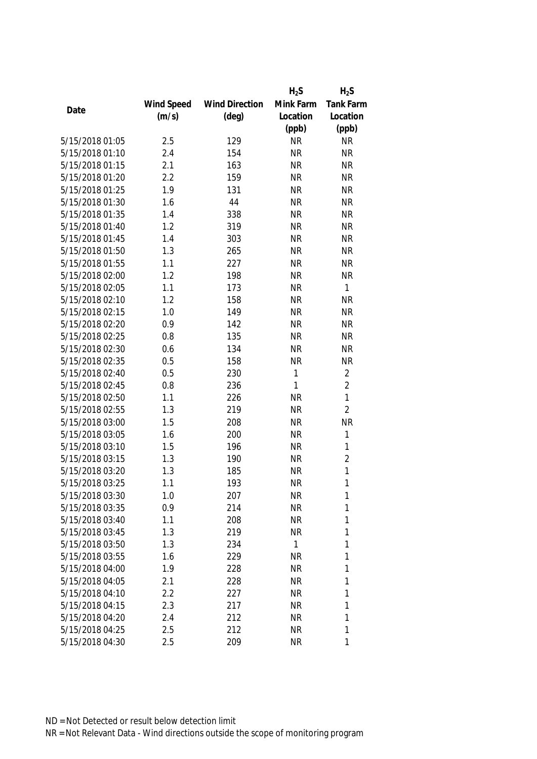|                 |            |                       | $H_2S$    | $H_2S$         |
|-----------------|------------|-----------------------|-----------|----------------|
|                 | Wind Speed | <b>Wind Direction</b> | Mink Farm | Tank Farm      |
| Date            | (m/s)      | $(\text{deg})$        | Location  | Location       |
|                 |            |                       | (ppb)     | (ppb)          |
| 5/15/2018 01:05 | 2.5        | 129                   | <b>NR</b> | <b>NR</b>      |
| 5/15/2018 01:10 | 2.4        | 154                   | <b>NR</b> | <b>NR</b>      |
| 5/15/2018 01:15 | 2.1        | 163                   | <b>NR</b> | <b>NR</b>      |
| 5/15/2018 01:20 | 2.2        | 159                   | <b>NR</b> | <b>NR</b>      |
| 5/15/2018 01:25 | 1.9        | 131                   | <b>NR</b> | <b>NR</b>      |
| 5/15/2018 01:30 | 1.6        | 44                    | <b>NR</b> | <b>NR</b>      |
| 5/15/2018 01:35 | 1.4        | 338                   | <b>NR</b> | <b>NR</b>      |
| 5/15/2018 01:40 | 1.2        | 319                   | <b>NR</b> | <b>NR</b>      |
| 5/15/2018 01:45 | 1.4        | 303                   | <b>NR</b> | <b>NR</b>      |
| 5/15/2018 01:50 | 1.3        | 265                   | <b>NR</b> | <b>NR</b>      |
| 5/15/2018 01:55 | 1.1        | 227                   | <b>NR</b> | <b>NR</b>      |
| 5/15/2018 02:00 | 1.2        | 198                   | <b>NR</b> | <b>NR</b>      |
| 5/15/2018 02:05 | 1.1        | 173                   | <b>NR</b> | $\mathbf{1}$   |
| 5/15/2018 02:10 | 1.2        | 158                   | <b>NR</b> | <b>NR</b>      |
| 5/15/2018 02:15 | 1.0        | 149                   | <b>NR</b> | <b>NR</b>      |
| 5/15/2018 02:20 | 0.9        | 142                   | <b>NR</b> | <b>NR</b>      |
| 5/15/2018 02:25 | 0.8        | 135                   | <b>NR</b> | <b>NR</b>      |
| 5/15/2018 02:30 | 0.6        | 134                   | <b>NR</b> | <b>NR</b>      |
| 5/15/2018 02:35 | 0.5        | 158                   | <b>NR</b> | <b>NR</b>      |
| 5/15/2018 02:40 | 0.5        | 230                   | 1         | $\overline{2}$ |
| 5/15/2018 02:45 | 0.8        | 236                   | 1         | $\overline{2}$ |
| 5/15/2018 02:50 | 1.1        | 226                   | <b>NR</b> | $\mathbf{1}$   |
| 5/15/2018 02:55 | 1.3        | 219                   | <b>NR</b> | $\overline{2}$ |
| 5/15/2018 03:00 | 1.5        | 208                   | <b>NR</b> | <b>NR</b>      |
| 5/15/2018 03:05 | 1.6        | 200                   | <b>NR</b> | $\mathbf{1}$   |
| 5/15/2018 03:10 | 1.5        | 196                   | <b>NR</b> | 1              |
| 5/15/2018 03:15 | 1.3        | 190                   | <b>NR</b> | $\overline{2}$ |
| 5/15/2018 03:20 | 1.3        | 185                   | <b>NR</b> | $\mathbf{1}$   |
| 5/15/2018 03:25 | 1.1        | 193                   | <b>NR</b> | 1              |
| 5/15/2018 03:30 | 1.0        | 207                   | <b>NR</b> | 1              |
| 5/15/2018 03:35 | 0.9        | 214                   | <b>NR</b> | 1              |
| 5/15/2018 03:40 | 1.1        | 208                   | <b>NR</b> | 1              |
| 5/15/2018 03:45 | 1.3        | 219                   | <b>NR</b> | 1              |
| 5/15/2018 03:50 | 1.3        | 234                   | 1         | 1              |
| 5/15/2018 03:55 | 1.6        | 229                   | <b>NR</b> | 1              |
| 5/15/2018 04:00 | 1.9        | 228                   | <b>NR</b> | 1              |
| 5/15/2018 04:05 | 2.1        | 228                   | <b>NR</b> | 1              |
| 5/15/2018 04:10 | 2.2        | 227                   | <b>NR</b> | 1              |
| 5/15/2018 04:15 | 2.3        | 217                   | <b>NR</b> | 1              |
| 5/15/2018 04:20 | 2.4        | 212                   | <b>NR</b> | 1              |
| 5/15/2018 04:25 | 2.5        | 212                   | <b>NR</b> | 1              |
| 5/15/2018 04:30 | 2.5        | 209                   | <b>NR</b> | 1              |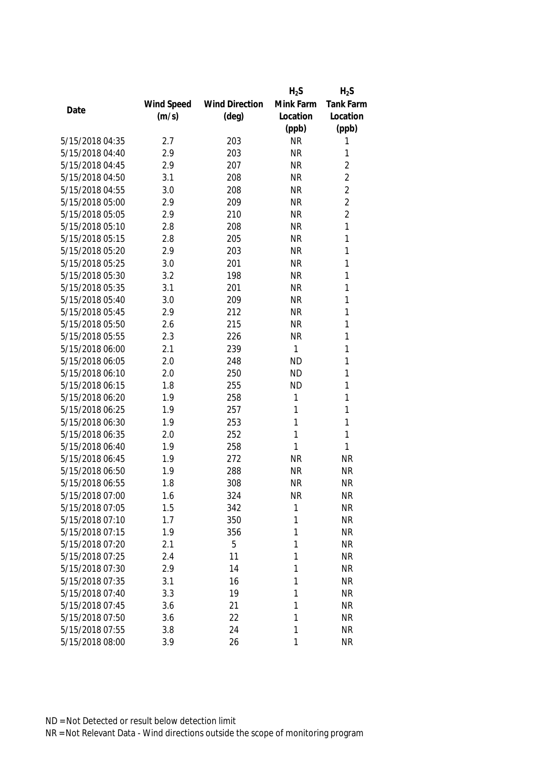|                 |            |                       | $H_2S$    | $H_2S$         |
|-----------------|------------|-----------------------|-----------|----------------|
|                 | Wind Speed | <b>Wind Direction</b> | Mink Farm | Tank Farm      |
| Date            | (m/s)      | $(\text{deg})$        | Location  | Location       |
|                 |            |                       | (ppb)     | (ppb)          |
| 5/15/2018 04:35 | 2.7        | 203                   | <b>NR</b> | 1              |
| 5/15/2018 04:40 | 2.9        | 203                   | <b>NR</b> | 1              |
| 5/15/2018 04:45 | 2.9        | 207                   | <b>NR</b> | $\overline{2}$ |
| 5/15/2018 04:50 | 3.1        | 208                   | <b>NR</b> | $\overline{2}$ |
| 5/15/2018 04:55 | 3.0        | 208                   | <b>NR</b> | $\overline{2}$ |
| 5/15/2018 05:00 | 2.9        | 209                   | <b>NR</b> | $\overline{2}$ |
| 5/15/2018 05:05 | 2.9        | 210                   | <b>NR</b> | $\overline{2}$ |
| 5/15/2018 05:10 | 2.8        | 208                   | <b>NR</b> | 1              |
| 5/15/2018 05:15 | 2.8        | 205                   | <b>NR</b> | 1              |
| 5/15/2018 05:20 | 2.9        | 203                   | <b>NR</b> | 1              |
| 5/15/2018 05:25 | 3.0        | 201                   | <b>NR</b> | 1              |
| 5/15/2018 05:30 | 3.2        | 198                   | <b>NR</b> | 1              |
| 5/15/2018 05:35 | 3.1        | 201                   | <b>NR</b> | 1              |
| 5/15/2018 05:40 | 3.0        | 209                   | <b>NR</b> | 1              |
| 5/15/2018 05:45 | 2.9        | 212                   | <b>NR</b> | 1              |
| 5/15/2018 05:50 | 2.6        | 215                   | <b>NR</b> | 1              |
| 5/15/2018 05:55 | 2.3        | 226                   | <b>NR</b> | 1              |
| 5/15/2018 06:00 | 2.1        | 239                   | 1         | 1              |
| 5/15/2018 06:05 | 2.0        | 248                   | <b>ND</b> | 1              |
| 5/15/2018 06:10 | 2.0        | 250                   | <b>ND</b> | 1              |
| 5/15/2018 06:15 | 1.8        | 255                   | <b>ND</b> | 1              |
| 5/15/2018 06:20 | 1.9        | 258                   | 1         | 1              |
| 5/15/2018 06:25 | 1.9        | 257                   | 1         | 1              |
| 5/15/2018 06:30 | 1.9        | 253                   | 1         | 1              |
| 5/15/2018 06:35 | 2.0        | 252                   | 1         | 1              |
| 5/15/2018 06:40 | 1.9        | 258                   | 1         | 1              |
| 5/15/2018 06:45 | 1.9        | 272                   | <b>NR</b> | <b>NR</b>      |
| 5/15/2018 06:50 | 1.9        | 288                   | <b>NR</b> | <b>NR</b>      |
| 5/15/2018 06:55 | 1.8        | 308                   | <b>NR</b> | <b>NR</b>      |
| 5/15/2018 07:00 | 1.6        | 324                   | <b>NR</b> | <b>NR</b>      |
| 5/15/2018 07:05 | 1.5        | 342                   | 1         | <b>NR</b>      |
| 5/15/2018 07:10 | 1.7        | 350                   | 1         | <b>NR</b>      |
| 5/15/2018 07:15 | 1.9        | 356                   | 1         | <b>NR</b>      |
| 5/15/2018 07:20 | 2.1        | 5                     | 1         | <b>NR</b>      |
| 5/15/2018 07:25 | 2.4        | 11                    | 1         | <b>NR</b>      |
| 5/15/2018 07:30 | 2.9        | 14                    | 1         | <b>NR</b>      |
| 5/15/2018 07:35 | 3.1        | 16                    | 1         | <b>NR</b>      |
| 5/15/2018 07:40 | 3.3        | 19                    | 1         | <b>NR</b>      |
| 5/15/2018 07:45 | 3.6        | 21                    | 1         | <b>NR</b>      |
| 5/15/2018 07:50 | 3.6        | 22                    | 1         | <b>NR</b>      |
| 5/15/2018 07:55 | 3.8        | 24                    | 1         | <b>NR</b>      |
| 5/15/2018 08:00 | 3.9        | 26                    | 1         | <b>NR</b>      |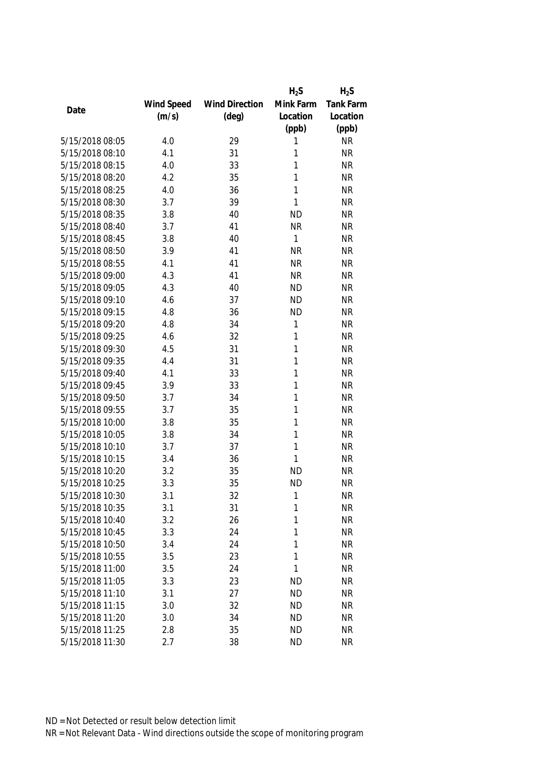|                 |            |                       | $H_2S$    | $H_2S$           |
|-----------------|------------|-----------------------|-----------|------------------|
|                 | Wind Speed | <b>Wind Direction</b> | Mink Farm | <b>Tank Farm</b> |
| Date            | (m/s)      | $(\text{deg})$        | Location  | Location         |
|                 |            |                       | (ppb)     | (ppb)            |
| 5/15/2018 08:05 | 4.0        | 29                    | 1         | <b>NR</b>        |
| 5/15/2018 08:10 | 4.1        | 31                    | 1         | <b>NR</b>        |
| 5/15/2018 08:15 | 4.0        | 33                    | 1         | <b>NR</b>        |
| 5/15/2018 08:20 | 4.2        | 35                    | 1         | <b>NR</b>        |
| 5/15/2018 08:25 | 4.0        | 36                    | 1         | <b>NR</b>        |
| 5/15/2018 08:30 | 3.7        | 39                    | 1         | <b>NR</b>        |
| 5/15/2018 08:35 | 3.8        | 40                    | <b>ND</b> | <b>NR</b>        |
| 5/15/2018 08:40 | 3.7        | 41                    | <b>NR</b> | <b>NR</b>        |
| 5/15/2018 08:45 | 3.8        | 40                    | 1         | <b>NR</b>        |
| 5/15/2018 08:50 | 3.9        | 41                    | <b>NR</b> | <b>NR</b>        |
| 5/15/2018 08:55 | 4.1        | 41                    | <b>NR</b> | <b>NR</b>        |
| 5/15/2018 09:00 | 4.3        | 41                    | <b>NR</b> | <b>NR</b>        |
| 5/15/2018 09:05 | 4.3        | 40                    | <b>ND</b> | <b>NR</b>        |
| 5/15/2018 09:10 | 4.6        | 37                    | <b>ND</b> | <b>NR</b>        |
| 5/15/2018 09:15 | 4.8        | 36                    | <b>ND</b> | <b>NR</b>        |
| 5/15/2018 09:20 | 4.8        | 34                    | 1         | <b>NR</b>        |
| 5/15/2018 09:25 | 4.6        | 32                    | 1         | <b>NR</b>        |
| 5/15/2018 09:30 | 4.5        | 31                    | 1         | <b>NR</b>        |
| 5/15/2018 09:35 | 4.4        | 31                    | 1         | <b>NR</b>        |
| 5/15/2018 09:40 | 4.1        | 33                    | 1         | <b>NR</b>        |
| 5/15/2018 09:45 | 3.9        | 33                    | 1         | <b>NR</b>        |
| 5/15/2018 09:50 | 3.7        | 34                    | 1         | <b>NR</b>        |
| 5/15/2018 09:55 | 3.7        | 35                    | 1         | <b>NR</b>        |
| 5/15/2018 10:00 | 3.8        | 35                    | 1         | <b>NR</b>        |
| 5/15/2018 10:05 | 3.8        | 34                    | 1         | <b>NR</b>        |
| 5/15/2018 10:10 | 3.7        | 37                    | 1         | <b>NR</b>        |
| 5/15/2018 10:15 | 3.4        | 36                    | 1         | <b>NR</b>        |
| 5/15/2018 10:20 | 3.2        | 35                    | <b>ND</b> | <b>NR</b>        |
| 5/15/2018 10:25 | 3.3        | 35                    | <b>ND</b> | <b>NR</b>        |
| 5/15/2018 10:30 | 3.1        | 32                    | 1         | <b>NR</b>        |
| 5/15/2018 10:35 | 3.1        | 31                    | 1         | <b>NR</b>        |
| 5/15/2018 10:40 | 3.2        | 26                    | 1         | <b>NR</b>        |
| 5/15/2018 10:45 | 3.3        | 24                    | 1         | <b>NR</b>        |
| 5/15/2018 10:50 | 3.4        | 24                    | 1         | <b>NR</b>        |
| 5/15/2018 10:55 | 3.5        | 23                    | 1         | <b>NR</b>        |
| 5/15/2018 11:00 | 3.5        | 24                    | 1         | <b>NR</b>        |
| 5/15/2018 11:05 | 3.3        | 23                    | <b>ND</b> | <b>NR</b>        |
| 5/15/2018 11:10 | 3.1        | 27                    | <b>ND</b> | <b>NR</b>        |
| 5/15/2018 11:15 | 3.0        | 32                    | <b>ND</b> | <b>NR</b>        |
| 5/15/2018 11:20 | 3.0        | 34                    | <b>ND</b> | <b>NR</b>        |
| 5/15/2018 11:25 | 2.8        | 35                    | <b>ND</b> | <b>NR</b>        |
| 5/15/2018 11:30 | 2.7        | 38                    | <b>ND</b> | <b>NR</b>        |
|                 |            |                       |           |                  |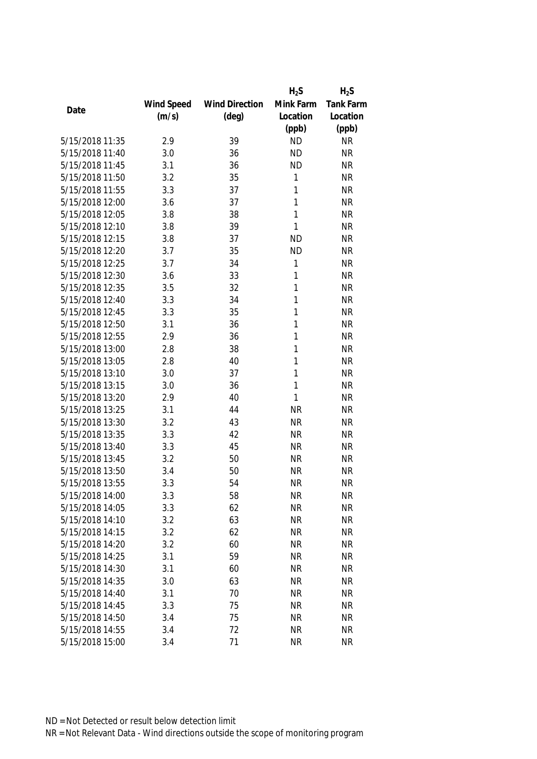|                 |            |                       | $H_2S$    | $H_2S$    |
|-----------------|------------|-----------------------|-----------|-----------|
|                 | Wind Speed | <b>Wind Direction</b> | Mink Farm | Tank Farm |
| Date            | (m/s)      | $(\text{deg})$        | Location  | Location  |
|                 |            |                       | (ppb)     | (ppb)     |
| 5/15/2018 11:35 | 2.9        | 39                    | <b>ND</b> | <b>NR</b> |
| 5/15/2018 11:40 | 3.0        | 36                    | <b>ND</b> | <b>NR</b> |
| 5/15/2018 11:45 | 3.1        | 36                    | <b>ND</b> | <b>NR</b> |
| 5/15/2018 11:50 | 3.2        | 35                    | 1         | <b>NR</b> |
| 5/15/2018 11:55 | 3.3        | 37                    | 1         | <b>NR</b> |
| 5/15/2018 12:00 | 3.6        | 37                    | 1         | <b>NR</b> |
| 5/15/2018 12:05 | 3.8        | 38                    | 1         | <b>NR</b> |
| 5/15/2018 12:10 | 3.8        | 39                    | 1         | <b>NR</b> |
| 5/15/2018 12:15 | 3.8        | 37                    | <b>ND</b> | <b>NR</b> |
| 5/15/2018 12:20 | 3.7        | 35                    | <b>ND</b> | <b>NR</b> |
| 5/15/2018 12:25 | 3.7        | 34                    | 1         | <b>NR</b> |
| 5/15/2018 12:30 | 3.6        | 33                    | 1         | <b>NR</b> |
| 5/15/2018 12:35 | 3.5        | 32                    | 1         | <b>NR</b> |
| 5/15/2018 12:40 | 3.3        | 34                    | 1         | <b>NR</b> |
| 5/15/2018 12:45 | 3.3        | 35                    | 1         | <b>NR</b> |
| 5/15/2018 12:50 | 3.1        | 36                    | 1         | <b>NR</b> |
| 5/15/2018 12:55 | 2.9        | 36                    | 1         | <b>NR</b> |
| 5/15/2018 13:00 | 2.8        | 38                    | 1         | <b>NR</b> |
| 5/15/2018 13:05 | 2.8        | 40                    | 1         | <b>NR</b> |
| 5/15/2018 13:10 | 3.0        | 37                    | 1         | <b>NR</b> |
| 5/15/2018 13:15 | 3.0        | 36                    | 1         | <b>NR</b> |
| 5/15/2018 13:20 | 2.9        | 40                    | 1         | <b>NR</b> |
| 5/15/2018 13:25 | 3.1        | 44                    | <b>NR</b> | <b>NR</b> |
| 5/15/2018 13:30 | 3.2        | 43                    | <b>NR</b> | <b>NR</b> |
| 5/15/2018 13:35 | 3.3        | 42                    | <b>NR</b> | <b>NR</b> |
| 5/15/2018 13:40 | 3.3        | 45                    | <b>NR</b> | <b>NR</b> |
| 5/15/2018 13:45 | 3.2        | 50                    | <b>NR</b> | <b>NR</b> |
| 5/15/2018 13:50 | 3.4        | 50                    | <b>NR</b> | <b>NR</b> |
| 5/15/2018 13:55 | 3.3        | 54                    | <b>NR</b> | <b>NR</b> |
| 5/15/2018 14:00 | 3.3        | 58                    | <b>NR</b> | <b>NR</b> |
| 5/15/2018 14:05 | 3.3        | 62                    | <b>NR</b> | <b>NR</b> |
| 5/15/2018 14:10 | 3.2        | 63                    | <b>NR</b> | <b>NR</b> |
| 5/15/2018 14:15 | 3.2        | 62                    | <b>NR</b> | <b>NR</b> |
| 5/15/2018 14:20 | 3.2        | 60                    | <b>NR</b> | <b>NR</b> |
| 5/15/2018 14:25 | 3.1        | 59                    | <b>NR</b> | <b>NR</b> |
| 5/15/2018 14:30 | 3.1        | 60                    | <b>NR</b> | <b>NR</b> |
| 5/15/2018 14:35 | 3.0        | 63                    | <b>NR</b> | <b>NR</b> |
| 5/15/2018 14:40 | 3.1        | 70                    | <b>NR</b> | <b>NR</b> |
| 5/15/2018 14:45 | 3.3        | 75                    | <b>NR</b> | <b>NR</b> |
| 5/15/2018 14:50 | 3.4        | 75                    | <b>NR</b> | <b>NR</b> |
| 5/15/2018 14:55 | 3.4        | 72                    | <b>NR</b> | <b>NR</b> |
| 5/15/2018 15:00 | 3.4        | 71                    | <b>NR</b> | <b>NR</b> |
|                 |            |                       |           |           |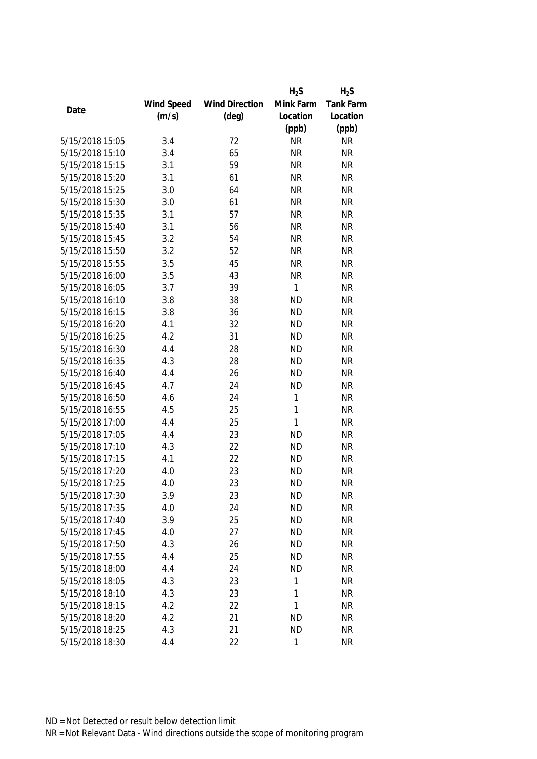|                 |            |                       | $H_2S$       | $H_2S$           |
|-----------------|------------|-----------------------|--------------|------------------|
|                 | Wind Speed | <b>Wind Direction</b> | Mink Farm    | <b>Tank Farm</b> |
| Date            | (m/s)      | $(\text{deg})$        | Location     | Location         |
|                 |            |                       | (ppb)        | (ppb)            |
| 5/15/2018 15:05 | 3.4        | 72                    | <b>NR</b>    | <b>NR</b>        |
| 5/15/2018 15:10 | 3.4        | 65                    | <b>NR</b>    | <b>NR</b>        |
| 5/15/2018 15:15 | 3.1        | 59                    | <b>NR</b>    | <b>NR</b>        |
| 5/15/2018 15:20 | 3.1        | 61                    | <b>NR</b>    | <b>NR</b>        |
| 5/15/2018 15:25 | 3.0        | 64                    | <b>NR</b>    | <b>NR</b>        |
| 5/15/2018 15:30 | 3.0        | 61                    | <b>NR</b>    | <b>NR</b>        |
| 5/15/2018 15:35 | 3.1        | 57                    | <b>NR</b>    | <b>NR</b>        |
| 5/15/2018 15:40 | 3.1        | 56                    | <b>NR</b>    | <b>NR</b>        |
| 5/15/2018 15:45 | 3.2        | 54                    | <b>NR</b>    | <b>NR</b>        |
| 5/15/2018 15:50 | 3.2        | 52                    | <b>NR</b>    | <b>NR</b>        |
| 5/15/2018 15:55 | 3.5        | 45                    | <b>NR</b>    | <b>NR</b>        |
| 5/15/2018 16:00 | 3.5        | 43                    | <b>NR</b>    | <b>NR</b>        |
| 5/15/2018 16:05 | 3.7        | 39                    | 1            | <b>NR</b>        |
| 5/15/2018 16:10 | 3.8        | 38                    | <b>ND</b>    | <b>NR</b>        |
| 5/15/2018 16:15 | 3.8        | 36                    | <b>ND</b>    | <b>NR</b>        |
| 5/15/2018 16:20 | 4.1        | 32                    | <b>ND</b>    | <b>NR</b>        |
| 5/15/2018 16:25 | 4.2        | 31                    | <b>ND</b>    | <b>NR</b>        |
| 5/15/2018 16:30 | 4.4        | 28                    | <b>ND</b>    | <b>NR</b>        |
| 5/15/2018 16:35 | 4.3        | 28                    | <b>ND</b>    | <b>NR</b>        |
| 5/15/2018 16:40 | 4.4        | 26                    | <b>ND</b>    | <b>NR</b>        |
| 5/15/2018 16:45 | 4.7        | 24                    | <b>ND</b>    | <b>NR</b>        |
| 5/15/2018 16:50 | 4.6        | 24                    | 1            | <b>NR</b>        |
| 5/15/2018 16:55 | 4.5        | 25                    | 1            | <b>NR</b>        |
| 5/15/2018 17:00 | 4.4        | 25                    | $\mathbf{1}$ | <b>NR</b>        |
| 5/15/2018 17:05 | 4.4        | 23                    | <b>ND</b>    | <b>NR</b>        |
| 5/15/2018 17:10 | 4.3        | 22                    | <b>ND</b>    | <b>NR</b>        |
| 5/15/2018 17:15 | 4.1        | 22                    | <b>ND</b>    | <b>NR</b>        |
| 5/15/2018 17:20 | 4.0        | 23                    | <b>ND</b>    | <b>NR</b>        |
| 5/15/2018 17:25 | 4.0        | 23                    | <b>ND</b>    | <b>NR</b>        |
| 5/15/2018 17:30 | 3.9        | 23                    | <b>ND</b>    | <b>NR</b>        |
| 5/15/2018 17:35 | 4.0        | 24                    | <b>ND</b>    | <b>NR</b>        |
| 5/15/2018 17:40 | 3.9        | 25                    | <b>ND</b>    | <b>NR</b>        |
| 5/15/2018 17:45 | 4.0        | 27                    | <b>ND</b>    | <b>NR</b>        |
| 5/15/2018 17:50 | 4.3        | 26                    | <b>ND</b>    | <b>NR</b>        |
| 5/15/2018 17:55 | 4.4        | 25                    | <b>ND</b>    | <b>NR</b>        |
| 5/15/2018 18:00 | 4.4        | 24                    | <b>ND</b>    | <b>NR</b>        |
| 5/15/2018 18:05 | 4.3        | 23                    | 1            | <b>NR</b>        |
| 5/15/2018 18:10 | 4.3        | 23                    | 1            | <b>NR</b>        |
| 5/15/2018 18:15 | 4.2        | 22                    | 1            | <b>NR</b>        |
| 5/15/2018 18:20 | 4.2        | 21                    | <b>ND</b>    | <b>NR</b>        |
| 5/15/2018 18:25 | 4.3        | 21                    | <b>ND</b>    | <b>NR</b>        |
| 5/15/2018 18:30 | 4.4        | 22                    | 1            | <b>NR</b>        |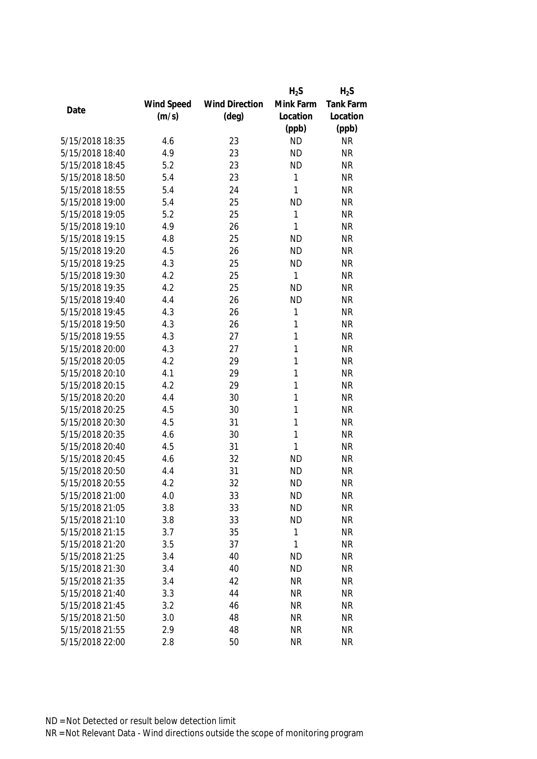|                 |            |                       | $H_2S$    | $H_2S$           |
|-----------------|------------|-----------------------|-----------|------------------|
|                 | Wind Speed | <b>Wind Direction</b> | Mink Farm | <b>Tank Farm</b> |
| Date            | (m/s)      | $(\text{deg})$        | Location  | Location         |
|                 |            |                       | (ppb)     | (ppb)            |
| 5/15/2018 18:35 | 4.6        | 23                    | <b>ND</b> | <b>NR</b>        |
| 5/15/2018 18:40 | 4.9        | 23                    | <b>ND</b> | <b>NR</b>        |
| 5/15/2018 18:45 | 5.2        | 23                    | <b>ND</b> | <b>NR</b>        |
| 5/15/2018 18:50 | 5.4        | 23                    | 1         | <b>NR</b>        |
| 5/15/2018 18:55 | 5.4        | 24                    | 1         | <b>NR</b>        |
| 5/15/2018 19:00 | 5.4        | 25                    | <b>ND</b> | <b>NR</b>        |
| 5/15/2018 19:05 | 5.2        | 25                    | 1         | <b>NR</b>        |
| 5/15/2018 19:10 | 4.9        | 26                    | 1         | <b>NR</b>        |
| 5/15/2018 19:15 | 4.8        | 25                    | <b>ND</b> | <b>NR</b>        |
| 5/15/2018 19:20 | 4.5        | 26                    | <b>ND</b> | <b>NR</b>        |
| 5/15/2018 19:25 | 4.3        | 25                    | <b>ND</b> | <b>NR</b>        |
| 5/15/2018 19:30 | 4.2        | 25                    | 1         | <b>NR</b>        |
| 5/15/2018 19:35 | 4.2        | 25                    | <b>ND</b> | <b>NR</b>        |
| 5/15/2018 19:40 | 4.4        | 26                    | <b>ND</b> | <b>NR</b>        |
| 5/15/2018 19:45 | 4.3        | 26                    | 1         | <b>NR</b>        |
| 5/15/2018 19:50 | 4.3        | 26                    | 1         | <b>NR</b>        |
| 5/15/2018 19:55 | 4.3        | 27                    | 1         | <b>NR</b>        |
| 5/15/2018 20:00 | 4.3        | 27                    | 1         | <b>NR</b>        |
| 5/15/2018 20:05 | 4.2        | 29                    | 1         | <b>NR</b>        |
| 5/15/2018 20:10 | 4.1        | 29                    | 1         | <b>NR</b>        |
| 5/15/2018 20:15 | 4.2        | 29                    | 1         | <b>NR</b>        |
| 5/15/2018 20:20 | 4.4        | 30                    | 1         | <b>NR</b>        |
| 5/15/2018 20:25 | 4.5        | 30                    | 1         | <b>NR</b>        |
| 5/15/2018 20:30 | 4.5        | 31                    | 1         | <b>NR</b>        |
| 5/15/2018 20:35 | 4.6        | 30                    | 1         | <b>NR</b>        |
| 5/15/2018 20:40 | 4.5        | 31                    | 1         | <b>NR</b>        |
| 5/15/2018 20:45 | 4.6        | 32                    | <b>ND</b> | <b>NR</b>        |
| 5/15/2018 20:50 | 4.4        | 31                    | <b>ND</b> | <b>NR</b>        |
| 5/15/2018 20:55 | 4.2        | 32                    | <b>ND</b> | <b>NR</b>        |
| 5/15/2018 21:00 | 4.0        | 33                    | <b>ND</b> | <b>NR</b>        |
| 5/15/2018 21:05 | 3.8        | 33                    | <b>ND</b> | <b>NR</b>        |
| 5/15/2018 21:10 | 3.8        | 33                    | <b>ND</b> | <b>NR</b>        |
| 5/15/2018 21:15 | 3.7        | 35                    | 1         | <b>NR</b>        |
| 5/15/2018 21:20 | 3.5        | 37                    | 1         | NR               |
| 5/15/2018 21:25 | 3.4        | 40                    | <b>ND</b> | <b>NR</b>        |
| 5/15/2018 21:30 | 3.4        | 40                    | <b>ND</b> | <b>NR</b>        |
| 5/15/2018 21:35 | 3.4        | 42                    | <b>NR</b> | <b>NR</b>        |
| 5/15/2018 21:40 | 3.3        | 44                    | <b>NR</b> | <b>NR</b>        |
| 5/15/2018 21:45 | 3.2        | 46                    | <b>NR</b> | <b>NR</b>        |
| 5/15/2018 21:50 | 3.0        | 48                    | <b>NR</b> | <b>NR</b>        |
| 5/15/2018 21:55 | 2.9        | 48                    | <b>NR</b> | <b>NR</b>        |
| 5/15/2018 22:00 | 2.8        | 50                    | <b>NR</b> | <b>NR</b>        |
|                 |            |                       |           |                  |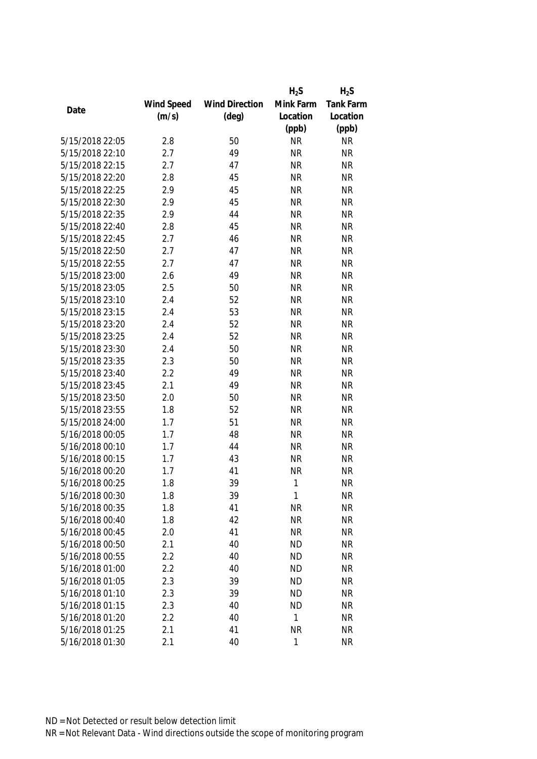|                 |            |                       | $H_2S$    | $H_2S$           |
|-----------------|------------|-----------------------|-----------|------------------|
|                 | Wind Speed | <b>Wind Direction</b> | Mink Farm | <b>Tank Farm</b> |
| Date            | (m/s)      | $(\text{deg})$        | Location  | Location         |
|                 |            |                       | (ppb)     | (ppb)            |
| 5/15/2018 22:05 | 2.8        | 50                    | <b>NR</b> | <b>NR</b>        |
| 5/15/2018 22:10 | 2.7        | 49                    | <b>NR</b> | <b>NR</b>        |
| 5/15/2018 22:15 | 2.7        | 47                    | <b>NR</b> | <b>NR</b>        |
| 5/15/2018 22:20 | 2.8        | 45                    | <b>NR</b> | <b>NR</b>        |
| 5/15/2018 22:25 | 2.9        | 45                    | <b>NR</b> | <b>NR</b>        |
| 5/15/2018 22:30 | 2.9        | 45                    | <b>NR</b> | <b>NR</b>        |
| 5/15/2018 22:35 | 2.9        | 44                    | <b>NR</b> | <b>NR</b>        |
| 5/15/2018 22:40 | 2.8        | 45                    | <b>NR</b> | <b>NR</b>        |
| 5/15/2018 22:45 | 2.7        | 46                    | <b>NR</b> | <b>NR</b>        |
| 5/15/2018 22:50 | 2.7        | 47                    | <b>NR</b> | <b>NR</b>        |
| 5/15/2018 22:55 | 2.7        | 47                    | <b>NR</b> | <b>NR</b>        |
| 5/15/2018 23:00 | 2.6        | 49                    | <b>NR</b> | <b>NR</b>        |
| 5/15/2018 23:05 | 2.5        | 50                    | <b>NR</b> | <b>NR</b>        |
| 5/15/2018 23:10 | 2.4        | 52                    | <b>NR</b> | <b>NR</b>        |
| 5/15/2018 23:15 | 2.4        | 53                    | <b>NR</b> | <b>NR</b>        |
| 5/15/2018 23:20 | 2.4        | 52                    | <b>NR</b> | <b>NR</b>        |
| 5/15/2018 23:25 | 2.4        | 52                    | <b>NR</b> | <b>NR</b>        |
| 5/15/2018 23:30 | 2.4        | 50                    | <b>NR</b> | <b>NR</b>        |
| 5/15/2018 23:35 | 2.3        | 50                    | <b>NR</b> | <b>NR</b>        |
| 5/15/2018 23:40 | 2.2        | 49                    | <b>NR</b> | <b>NR</b>        |
| 5/15/2018 23:45 | 2.1        | 49                    | <b>NR</b> | <b>NR</b>        |
| 5/15/2018 23:50 | 2.0        | 50                    | <b>NR</b> | <b>NR</b>        |
| 5/15/2018 23:55 | 1.8        | 52                    | <b>NR</b> | <b>NR</b>        |
| 5/15/2018 24:00 | 1.7        | 51                    | <b>NR</b> | <b>NR</b>        |
| 5/16/2018 00:05 | 1.7        | 48                    | <b>NR</b> | <b>NR</b>        |
| 5/16/2018 00:10 | 1.7        | 44                    | <b>NR</b> | <b>NR</b>        |
| 5/16/2018 00:15 | 1.7        | 43                    | <b>NR</b> | <b>NR</b>        |
| 5/16/2018 00:20 | 1.7        | 41                    | <b>NR</b> | <b>NR</b>        |
| 5/16/2018 00:25 | 1.8        | 39                    | 1         | <b>NR</b>        |
| 5/16/2018 00:30 | 1.8        | 39                    | 1         | <b>NR</b>        |
| 5/16/2018 00:35 | 1.8        | 41                    | <b>NR</b> | <b>NR</b>        |
| 5/16/2018 00:40 | 1.8        | 42                    | <b>NR</b> | <b>NR</b>        |
| 5/16/2018 00:45 | 2.0        | 41                    | <b>NR</b> | <b>NR</b>        |
| 5/16/2018 00:50 | 2.1        | 40                    | <b>ND</b> | <b>NR</b>        |
| 5/16/2018 00:55 | 2.2        | 40                    | <b>ND</b> | <b>NR</b>        |
| 5/16/2018 01:00 | 2.2        | 40                    | <b>ND</b> | <b>NR</b>        |
| 5/16/2018 01:05 | 2.3        | 39                    | <b>ND</b> | <b>NR</b>        |
| 5/16/2018 01:10 | 2.3        | 39                    | <b>ND</b> | <b>NR</b>        |
| 5/16/2018 01:15 | 2.3        | 40                    | <b>ND</b> | <b>NR</b>        |
| 5/16/2018 01:20 | 2.2        | 40                    | 1         | <b>NR</b>        |
| 5/16/2018 01:25 | 2.1        | 41                    | <b>NR</b> | <b>NR</b>        |
| 5/16/2018 01:30 | 2.1        | 40                    | 1         | <b>NR</b>        |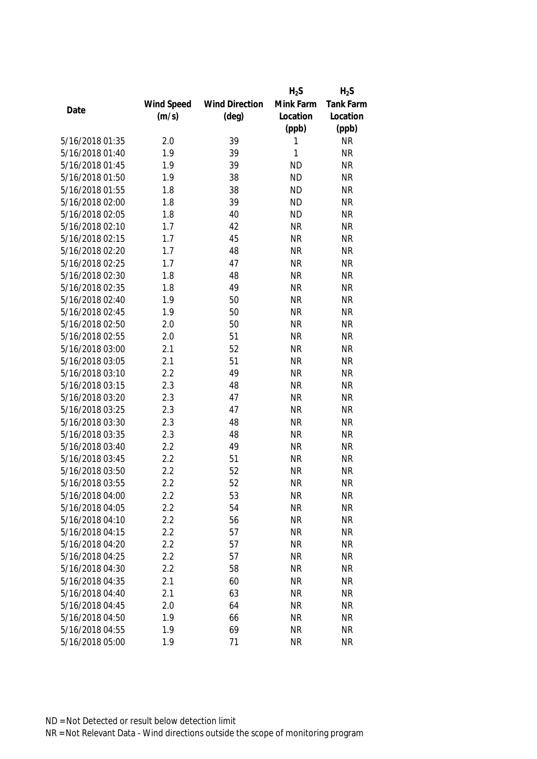|                 |            |                       | $H_2S$    | $H_2S$           |
|-----------------|------------|-----------------------|-----------|------------------|
|                 | Wind Speed | <b>Wind Direction</b> | Mink Farm | <b>Tank Farm</b> |
| Date            | (m/s)      | $(\text{deg})$        | Location  | Location         |
|                 |            |                       | (ppb)     | (ppb)            |
| 5/16/2018 01:35 | 2.0        | 39                    | 1         | <b>NR</b>        |
| 5/16/2018 01:40 | 1.9        | 39                    | 1         | <b>NR</b>        |
| 5/16/2018 01:45 | 1.9        | 39                    | <b>ND</b> | <b>NR</b>        |
| 5/16/2018 01:50 | 1.9        | 38                    | <b>ND</b> | <b>NR</b>        |
| 5/16/2018 01:55 | 1.8        | 38                    | <b>ND</b> | <b>NR</b>        |
| 5/16/2018 02:00 | 1.8        | 39                    | <b>ND</b> | <b>NR</b>        |
| 5/16/2018 02:05 | 1.8        | 40                    | <b>ND</b> | <b>NR</b>        |
| 5/16/2018 02:10 | 1.7        | 42                    | <b>NR</b> | <b>NR</b>        |
| 5/16/2018 02:15 | 1.7        | 45                    | <b>NR</b> | <b>NR</b>        |
| 5/16/2018 02:20 | 1.7        | 48                    | <b>NR</b> | <b>NR</b>        |
| 5/16/2018 02:25 | 1.7        | 47                    | <b>NR</b> | <b>NR</b>        |
| 5/16/2018 02:30 | 1.8        | 48                    | <b>NR</b> | <b>NR</b>        |
| 5/16/2018 02:35 | 1.8        | 49                    | <b>NR</b> | <b>NR</b>        |
| 5/16/2018 02:40 | 1.9        | 50                    | <b>NR</b> | <b>NR</b>        |
| 5/16/2018 02:45 | 1.9        | 50                    | <b>NR</b> | <b>NR</b>        |
| 5/16/2018 02:50 | 2.0        | 50                    | <b>NR</b> | <b>NR</b>        |
| 5/16/2018 02:55 | 2.0        | 51                    | <b>NR</b> | <b>NR</b>        |
| 5/16/2018 03:00 | 2.1        | 52                    | <b>NR</b> | <b>NR</b>        |
| 5/16/2018 03:05 | 2.1        | 51                    | <b>NR</b> | <b>NR</b>        |
| 5/16/2018 03:10 | 2.2        | 49                    | <b>NR</b> | <b>NR</b>        |
| 5/16/2018 03:15 | 2.3        | 48                    | <b>NR</b> | <b>NR</b>        |
| 5/16/2018 03:20 | 2.3        | 47                    | <b>NR</b> | <b>NR</b>        |
| 5/16/2018 03:25 | 2.3        | 47                    | <b>NR</b> | <b>NR</b>        |
| 5/16/2018 03:30 | 2.3        | 48                    | <b>NR</b> | <b>NR</b>        |
| 5/16/2018 03:35 | 2.3        | 48                    | <b>NR</b> | <b>NR</b>        |
| 5/16/2018 03:40 | 2.2        | 49                    | <b>NR</b> | <b>NR</b>        |
| 5/16/2018 03:45 | 2.2        | 51                    | <b>NR</b> | <b>NR</b>        |
| 5/16/2018 03:50 | 2.2        | 52                    | <b>NR</b> | <b>NR</b>        |
| 5/16/2018 03:55 | 2.2        | 52                    | <b>NR</b> | <b>NR</b>        |
| 5/16/2018 04:00 | 2.2        | 53                    | <b>NR</b> | <b>NR</b>        |
| 5/16/2018 04:05 | 2.2        | 54                    | <b>NR</b> | <b>NR</b>        |
| 5/16/2018 04:10 | 2.2        | 56                    | <b>NR</b> | <b>NR</b>        |
| 5/16/2018 04:15 | 2.2        | 57                    | <b>NR</b> | <b>NR</b>        |
| 5/16/2018 04:20 | 2.2        | 57                    | <b>NR</b> | <b>NR</b>        |
| 5/16/2018 04:25 | 2.2        | 57                    | <b>NR</b> | <b>NR</b>        |
| 5/16/2018 04:30 | 2.2        | 58                    | <b>NR</b> | <b>NR</b>        |
| 5/16/2018 04:35 | 2.1        | 60                    | <b>NR</b> | <b>NR</b>        |
| 5/16/2018 04:40 | 2.1        | 63                    | <b>NR</b> | <b>NR</b>        |
| 5/16/2018 04:45 | 2.0        | 64                    | <b>NR</b> | <b>NR</b>        |
| 5/16/2018 04:50 | 1.9        | 66                    | <b>NR</b> | <b>NR</b>        |
| 5/16/2018 04:55 | 1.9        | 69                    | <b>NR</b> | <b>NR</b>        |
| 5/16/2018 05:00 | 1.9        | 71                    | <b>NR</b> | <b>NR</b>        |
|                 |            |                       |           |                  |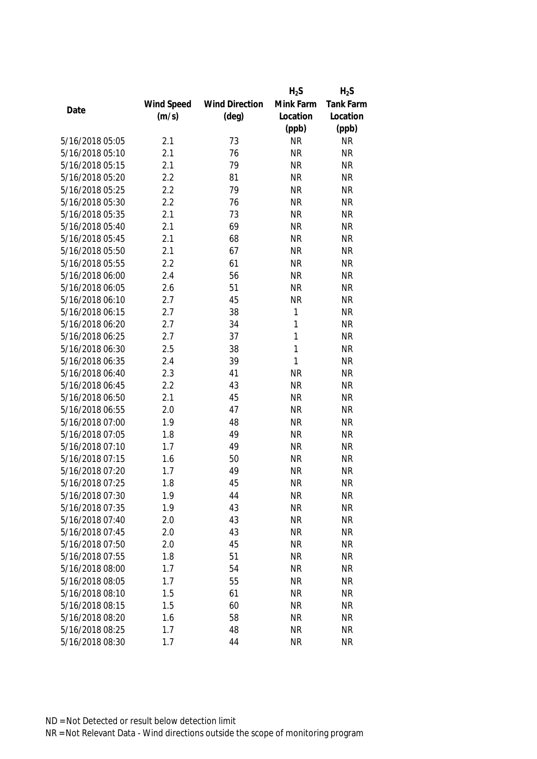|                 |            |                       | $H_2S$    | $H_2S$           |
|-----------------|------------|-----------------------|-----------|------------------|
|                 | Wind Speed | <b>Wind Direction</b> | Mink Farm | <b>Tank Farm</b> |
| Date            | (m/s)      | $(\text{deg})$        | Location  | Location         |
|                 |            |                       | (ppb)     | (ppb)            |
| 5/16/2018 05:05 | 2.1        | 73                    | <b>NR</b> | <b>NR</b>        |
| 5/16/2018 05:10 | 2.1        | 76                    | <b>NR</b> | <b>NR</b>        |
| 5/16/2018 05:15 | 2.1        | 79                    | <b>NR</b> | <b>NR</b>        |
| 5/16/2018 05:20 | 2.2        | 81                    | <b>NR</b> | <b>NR</b>        |
| 5/16/2018 05:25 | 2.2        | 79                    | <b>NR</b> | <b>NR</b>        |
| 5/16/2018 05:30 | 2.2        | 76                    | <b>NR</b> | <b>NR</b>        |
| 5/16/2018 05:35 | 2.1        | 73                    | <b>NR</b> | <b>NR</b>        |
| 5/16/2018 05:40 | 2.1        | 69                    | <b>NR</b> | <b>NR</b>        |
| 5/16/2018 05:45 | 2.1        | 68                    | <b>NR</b> | <b>NR</b>        |
| 5/16/2018 05:50 | 2.1        | 67                    | <b>NR</b> | <b>NR</b>        |
| 5/16/2018 05:55 | 2.2        | 61                    | <b>NR</b> | <b>NR</b>        |
| 5/16/2018 06:00 | 2.4        | 56                    | <b>NR</b> | <b>NR</b>        |
| 5/16/2018 06:05 | 2.6        | 51                    | <b>NR</b> | <b>NR</b>        |
| 5/16/2018 06:10 | 2.7        | 45                    | <b>NR</b> | <b>NR</b>        |
| 5/16/2018 06:15 | 2.7        | 38                    | 1         | <b>NR</b>        |
| 5/16/2018 06:20 | 2.7        | 34                    | 1         | <b>NR</b>        |
| 5/16/2018 06:25 | 2.7        | 37                    | 1         | <b>NR</b>        |
| 5/16/2018 06:30 | 2.5        | 38                    | 1         | <b>NR</b>        |
| 5/16/2018 06:35 | 2.4        | 39                    | 1         | <b>NR</b>        |
| 5/16/2018 06:40 | 2.3        | 41                    | <b>NR</b> | <b>NR</b>        |
| 5/16/2018 06:45 | 2.2        | 43                    | <b>NR</b> | <b>NR</b>        |
| 5/16/2018 06:50 | 2.1        | 45                    | <b>NR</b> | <b>NR</b>        |
| 5/16/2018 06:55 | 2.0        | 47                    | <b>NR</b> | <b>NR</b>        |
| 5/16/2018 07:00 | 1.9        | 48                    | <b>NR</b> | <b>NR</b>        |
| 5/16/2018 07:05 | 1.8        | 49                    | <b>NR</b> | <b>NR</b>        |
| 5/16/2018 07:10 | 1.7        | 49                    | <b>NR</b> | <b>NR</b>        |
| 5/16/2018 07:15 | 1.6        | 50                    | <b>NR</b> | <b>NR</b>        |
| 5/16/2018 07:20 | 1.7        | 49                    | <b>NR</b> | <b>NR</b>        |
| 5/16/2018 07:25 | 1.8        | 45                    | <b>NR</b> | <b>NR</b>        |
| 5/16/2018 07:30 | 1.9        | 44                    | <b>NR</b> | <b>NR</b>        |
| 5/16/2018 07:35 | 1.9        | 43                    | <b>NR</b> | <b>NR</b>        |
| 5/16/2018 07:40 | 2.0        | 43                    | <b>NR</b> | <b>NR</b>        |
| 5/16/2018 07:45 | 2.0        | 43                    | <b>NR</b> | <b>NR</b>        |
| 5/16/2018 07:50 | 2.0        | 45                    | <b>NR</b> | <b>NR</b>        |
| 5/16/2018 07:55 | 1.8        | 51                    | <b>NR</b> | <b>NR</b>        |
| 5/16/2018 08:00 | 1.7        | 54                    | <b>NR</b> | <b>NR</b>        |
| 5/16/2018 08:05 | 1.7        | 55                    | <b>NR</b> | <b>NR</b>        |
| 5/16/2018 08:10 | 1.5        | 61                    | <b>NR</b> | <b>NR</b>        |
| 5/16/2018 08:15 | 1.5        | 60                    | <b>NR</b> | <b>NR</b>        |
| 5/16/2018 08:20 | 1.6        | 58                    | <b>NR</b> | <b>NR</b>        |
| 5/16/2018 08:25 | 1.7        | 48                    | <b>NR</b> | <b>NR</b>        |
| 5/16/2018 08:30 | 1.7        | 44                    | <b>NR</b> | <b>NR</b>        |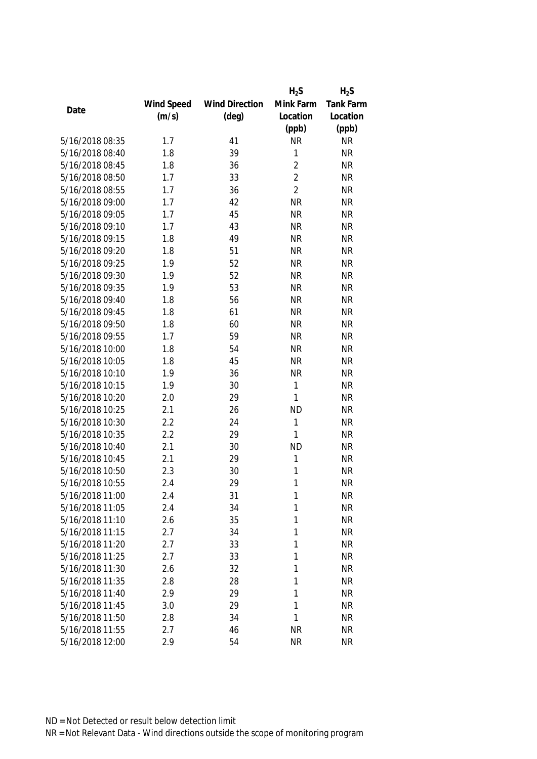|                 |            |                       | $H_2S$         | $H_2S$    |
|-----------------|------------|-----------------------|----------------|-----------|
|                 | Wind Speed | <b>Wind Direction</b> | Mink Farm      | Tank Farm |
| Date            | (m/s)      | $(\text{deg})$        | Location       | Location  |
|                 |            |                       | (ppb)          | (ppb)     |
| 5/16/2018 08:35 | 1.7        | 41                    | <b>NR</b>      | <b>NR</b> |
| 5/16/2018 08:40 | 1.8        | 39                    | $\mathbf 1$    | <b>NR</b> |
| 5/16/2018 08:45 | 1.8        | 36                    | $\overline{2}$ | <b>NR</b> |
| 5/16/2018 08:50 | 1.7        | 33                    | $\overline{2}$ | <b>NR</b> |
| 5/16/2018 08:55 | 1.7        | 36                    | $\overline{2}$ | <b>NR</b> |
| 5/16/2018 09:00 | 1.7        | 42                    | <b>NR</b>      | <b>NR</b> |
| 5/16/2018 09:05 | 1.7        | 45                    | <b>NR</b>      | <b>NR</b> |
| 5/16/2018 09:10 | 1.7        | 43                    | <b>NR</b>      | <b>NR</b> |
| 5/16/2018 09:15 | 1.8        | 49                    | <b>NR</b>      | <b>NR</b> |
| 5/16/2018 09:20 | 1.8        | 51                    | <b>NR</b>      | <b>NR</b> |
| 5/16/2018 09:25 | 1.9        | 52                    | <b>NR</b>      | <b>NR</b> |
| 5/16/2018 09:30 | 1.9        | 52                    | <b>NR</b>      | <b>NR</b> |
| 5/16/2018 09:35 | 1.9        | 53                    | <b>NR</b>      | <b>NR</b> |
| 5/16/2018 09:40 | 1.8        | 56                    | <b>NR</b>      | <b>NR</b> |
| 5/16/2018 09:45 | 1.8        | 61                    | <b>NR</b>      | <b>NR</b> |
| 5/16/2018 09:50 | 1.8        | 60                    | <b>NR</b>      | <b>NR</b> |
| 5/16/2018 09:55 | 1.7        | 59                    | <b>NR</b>      | <b>NR</b> |
| 5/16/2018 10:00 | 1.8        | 54                    | <b>NR</b>      | <b>NR</b> |
| 5/16/2018 10:05 | 1.8        | 45                    | <b>NR</b>      | <b>NR</b> |
| 5/16/2018 10:10 | 1.9        | 36                    | <b>NR</b>      | <b>NR</b> |
| 5/16/2018 10:15 | 1.9        | 30                    | 1              | <b>NR</b> |
| 5/16/2018 10:20 | 2.0        | 29                    | 1              | <b>NR</b> |
| 5/16/2018 10:25 | 2.1        | 26                    | <b>ND</b>      | <b>NR</b> |
| 5/16/2018 10:30 | 2.2        | 24                    | 1              | <b>NR</b> |
| 5/16/2018 10:35 | 2.2        | 29                    | 1              | <b>NR</b> |
| 5/16/2018 10:40 | 2.1        | 30                    | <b>ND</b>      | <b>NR</b> |
| 5/16/2018 10:45 | 2.1        | 29                    | 1              | <b>NR</b> |
| 5/16/2018 10:50 | 2.3        | 30                    | 1              | <b>NR</b> |
| 5/16/2018 10:55 | 2.4        | 29                    | 1              | <b>NR</b> |
| 5/16/2018 11:00 | 2.4        | 31                    | 1              | <b>NR</b> |
| 5/16/2018 11:05 | 2.4        | 34                    | 1              | <b>NR</b> |
| 5/16/2018 11:10 | 2.6        | 35                    | 1              | <b>NR</b> |
| 5/16/2018 11:15 | 2.7        | 34                    | 1              | <b>NR</b> |
| 5/16/2018 11:20 | 2.7        | 33                    | 1              | <b>NR</b> |
| 5/16/2018 11:25 | 2.7        | 33                    | 1              | <b>NR</b> |
| 5/16/2018 11:30 | 2.6        | 32                    | 1              | <b>NR</b> |
|                 |            |                       |                |           |
| 5/16/2018 11:35 | 2.8        | 28                    | 1              | <b>NR</b> |
| 5/16/2018 11:40 | 2.9        | 29                    | 1              | <b>NR</b> |
| 5/16/2018 11:45 | 3.0        | 29                    | 1              | <b>NR</b> |
| 5/16/2018 11:50 | 2.8        | 34                    | 1              | <b>NR</b> |
| 5/16/2018 11:55 | 2.7        | 46                    | <b>NR</b>      | <b>NR</b> |
| 5/16/2018 12:00 | 2.9        | 54                    | <b>NR</b>      | <b>NR</b> |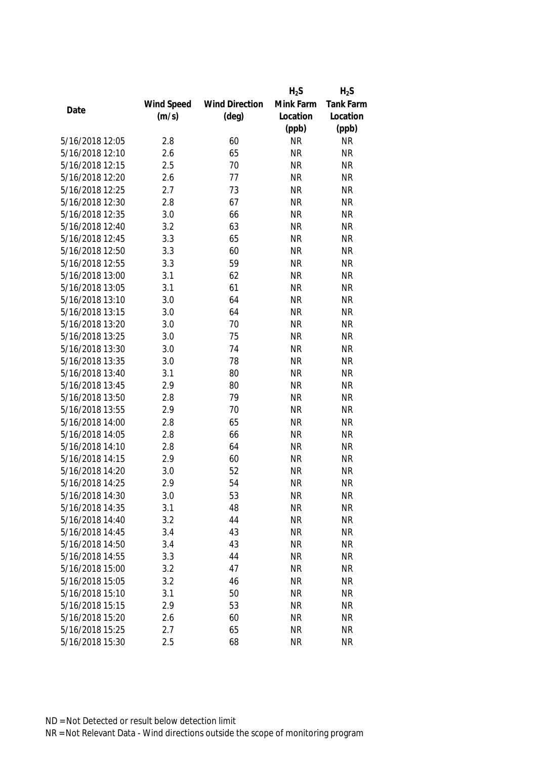|                 |            |                       | $H_2S$    | $H_2S$           |
|-----------------|------------|-----------------------|-----------|------------------|
|                 | Wind Speed | <b>Wind Direction</b> | Mink Farm | <b>Tank Farm</b> |
| Date            | (m/s)      | $(\text{deg})$        | Location  | Location         |
|                 |            |                       | (ppb)     | (ppb)            |
| 5/16/2018 12:05 | 2.8        | 60                    | <b>NR</b> | <b>NR</b>        |
| 5/16/2018 12:10 | 2.6        | 65                    | <b>NR</b> | <b>NR</b>        |
| 5/16/2018 12:15 | 2.5        | 70                    | <b>NR</b> | <b>NR</b>        |
| 5/16/2018 12:20 | 2.6        | 77                    | <b>NR</b> | <b>NR</b>        |
| 5/16/2018 12:25 | 2.7        | 73                    | <b>NR</b> | <b>NR</b>        |
| 5/16/2018 12:30 | 2.8        | 67                    | <b>NR</b> | <b>NR</b>        |
| 5/16/2018 12:35 | 3.0        | 66                    | <b>NR</b> | <b>NR</b>        |
| 5/16/2018 12:40 | 3.2        | 63                    | <b>NR</b> | <b>NR</b>        |
| 5/16/2018 12:45 | 3.3        | 65                    | <b>NR</b> | <b>NR</b>        |
| 5/16/2018 12:50 | 3.3        | 60                    | <b>NR</b> | <b>NR</b>        |
| 5/16/2018 12:55 | 3.3        | 59                    | <b>NR</b> | <b>NR</b>        |
| 5/16/2018 13:00 | 3.1        | 62                    | <b>NR</b> | <b>NR</b>        |
| 5/16/2018 13:05 | 3.1        | 61                    | <b>NR</b> | <b>NR</b>        |
| 5/16/2018 13:10 | 3.0        | 64                    | <b>NR</b> | <b>NR</b>        |
| 5/16/2018 13:15 | 3.0        | 64                    | <b>NR</b> | <b>NR</b>        |
| 5/16/2018 13:20 | 3.0        | 70                    | <b>NR</b> | <b>NR</b>        |
| 5/16/2018 13:25 | 3.0        | 75                    | <b>NR</b> | <b>NR</b>        |
| 5/16/2018 13:30 | 3.0        | 74                    | <b>NR</b> | <b>NR</b>        |
| 5/16/2018 13:35 | 3.0        | 78                    | <b>NR</b> | <b>NR</b>        |
| 5/16/2018 13:40 | 3.1        | 80                    | <b>NR</b> | <b>NR</b>        |
| 5/16/2018 13:45 | 2.9        | 80                    | <b>NR</b> | <b>NR</b>        |
| 5/16/2018 13:50 | 2.8        | 79                    | <b>NR</b> | <b>NR</b>        |
| 5/16/2018 13:55 | 2.9        | 70                    | <b>NR</b> | <b>NR</b>        |
| 5/16/2018 14:00 | 2.8        | 65                    | <b>NR</b> | <b>NR</b>        |
| 5/16/2018 14:05 | 2.8        | 66                    | <b>NR</b> | <b>NR</b>        |
| 5/16/2018 14:10 | 2.8        | 64                    | <b>NR</b> | <b>NR</b>        |
| 5/16/2018 14:15 | 2.9        | 60                    | <b>NR</b> | <b>NR</b>        |
| 5/16/2018 14:20 | 3.0        | 52                    | <b>NR</b> | <b>NR</b>        |
| 5/16/2018 14:25 | 2.9        | 54                    | <b>NR</b> | <b>NR</b>        |
| 5/16/2018 14:30 | 3.0        | 53                    | <b>NR</b> | <b>NR</b>        |
| 5/16/2018 14:35 | 3.1        | 48                    | <b>NR</b> | <b>NR</b>        |
| 5/16/2018 14:40 | 3.2        | 44                    | <b>NR</b> | <b>NR</b>        |
| 5/16/2018 14:45 | 3.4        | 43                    | <b>NR</b> | <b>NR</b>        |
| 5/16/2018 14:50 | 3.4        | 43                    | <b>NR</b> | <b>NR</b>        |
| 5/16/2018 14:55 | 3.3        | 44                    | <b>NR</b> | <b>NR</b>        |
| 5/16/2018 15:00 | 3.2        | 47                    | <b>NR</b> | <b>NR</b>        |
| 5/16/2018 15:05 | 3.2        | 46                    | <b>NR</b> | <b>NR</b>        |
| 5/16/2018 15:10 | 3.1        | 50                    | <b>NR</b> | <b>NR</b>        |
| 5/16/2018 15:15 | 2.9        | 53                    | <b>NR</b> | <b>NR</b>        |
| 5/16/2018 15:20 | 2.6        | 60                    | <b>NR</b> | <b>NR</b>        |
| 5/16/2018 15:25 | 2.7        | 65                    | <b>NR</b> | NR               |
| 5/16/2018 15:30 | 2.5        | 68                    | <b>NR</b> | <b>NR</b>        |
|                 |            |                       |           |                  |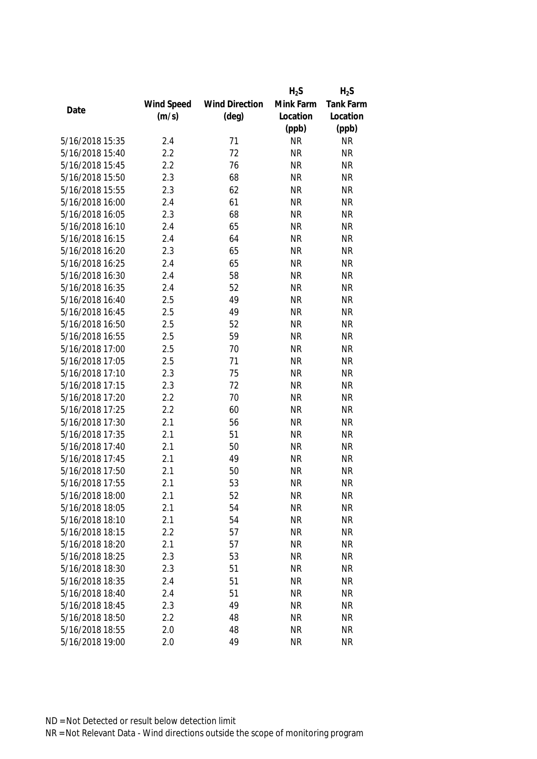|                 |            |                       | $H_2S$    | $H_2S$           |
|-----------------|------------|-----------------------|-----------|------------------|
|                 | Wind Speed | <b>Wind Direction</b> | Mink Farm | <b>Tank Farm</b> |
| Date            | (m/s)      | $(\text{deg})$        | Location  | Location         |
|                 |            |                       | (ppb)     | (ppb)            |
| 5/16/2018 15:35 | 2.4        | 71                    | <b>NR</b> | <b>NR</b>        |
| 5/16/2018 15:40 | 2.2        | 72                    | <b>NR</b> | <b>NR</b>        |
| 5/16/2018 15:45 | 2.2        | 76                    | <b>NR</b> | <b>NR</b>        |
| 5/16/2018 15:50 | 2.3        | 68                    | <b>NR</b> | <b>NR</b>        |
| 5/16/2018 15:55 | 2.3        | 62                    | <b>NR</b> | <b>NR</b>        |
| 5/16/2018 16:00 | 2.4        | 61                    | <b>NR</b> | <b>NR</b>        |
| 5/16/2018 16:05 | 2.3        | 68                    | <b>NR</b> | <b>NR</b>        |
| 5/16/2018 16:10 | 2.4        | 65                    | <b>NR</b> | <b>NR</b>        |
| 5/16/2018 16:15 | 2.4        | 64                    | <b>NR</b> | <b>NR</b>        |
| 5/16/2018 16:20 | 2.3        | 65                    | <b>NR</b> | <b>NR</b>        |
| 5/16/2018 16:25 | 2.4        | 65                    | <b>NR</b> | <b>NR</b>        |
| 5/16/2018 16:30 | 2.4        | 58                    | <b>NR</b> | <b>NR</b>        |
| 5/16/2018 16:35 | 2.4        | 52                    | <b>NR</b> | <b>NR</b>        |
| 5/16/2018 16:40 | 2.5        | 49                    | <b>NR</b> | <b>NR</b>        |
| 5/16/2018 16:45 | 2.5        | 49                    | <b>NR</b> | <b>NR</b>        |
| 5/16/2018 16:50 | 2.5        | 52                    | <b>NR</b> | <b>NR</b>        |
| 5/16/2018 16:55 | 2.5        | 59                    | <b>NR</b> | <b>NR</b>        |
| 5/16/2018 17:00 | 2.5        | 70                    | <b>NR</b> | <b>NR</b>        |
| 5/16/2018 17:05 | 2.5        | 71                    | <b>NR</b> | <b>NR</b>        |
| 5/16/2018 17:10 | 2.3        | 75                    | <b>NR</b> | <b>NR</b>        |
| 5/16/2018 17:15 | 2.3        | 72                    | <b>NR</b> | <b>NR</b>        |
| 5/16/2018 17:20 | 2.2        | 70                    | <b>NR</b> | <b>NR</b>        |
| 5/16/2018 17:25 | 2.2        | 60                    | <b>NR</b> | <b>NR</b>        |
| 5/16/2018 17:30 | 2.1        | 56                    | <b>NR</b> | <b>NR</b>        |
| 5/16/2018 17:35 | 2.1        | 51                    | <b>NR</b> | <b>NR</b>        |
| 5/16/2018 17:40 | 2.1        | 50                    | <b>NR</b> | <b>NR</b>        |
| 5/16/2018 17:45 | 2.1        | 49                    | <b>NR</b> | <b>NR</b>        |
| 5/16/2018 17:50 | 2.1        | 50                    | <b>NR</b> | <b>NR</b>        |
| 5/16/2018 17:55 | 2.1        | 53                    | <b>NR</b> | <b>NR</b>        |
| 5/16/2018 18:00 | 2.1        | 52                    | <b>NR</b> | NR               |
| 5/16/2018 18:05 | 2.1        | 54                    | <b>NR</b> | <b>NR</b>        |
| 5/16/2018 18:10 | 2.1        | 54                    | <b>NR</b> | <b>NR</b>        |
| 5/16/2018 18:15 | 2.2        | 57                    | <b>NR</b> | <b>NR</b>        |
| 5/16/2018 18:20 | 2.1        | 57                    | <b>NR</b> | <b>NR</b>        |
| 5/16/2018 18:25 | 2.3        | 53                    | <b>NR</b> | <b>NR</b>        |
| 5/16/2018 18:30 | 2.3        | 51                    | <b>NR</b> | <b>NR</b>        |
| 5/16/2018 18:35 | 2.4        | 51                    | <b>NR</b> | <b>NR</b>        |
| 5/16/2018 18:40 | 2.4        | 51                    | <b>NR</b> | <b>NR</b>        |
| 5/16/2018 18:45 | 2.3        | 49                    | <b>NR</b> | <b>NR</b>        |
| 5/16/2018 18:50 | 2.2        | 48                    | <b>NR</b> | <b>NR</b>        |
| 5/16/2018 18:55 | 2.0        | 48                    | <b>NR</b> | <b>NR</b>        |
| 5/16/2018 19:00 | 2.0        | 49                    | <b>NR</b> | <b>NR</b>        |
|                 |            |                       |           |                  |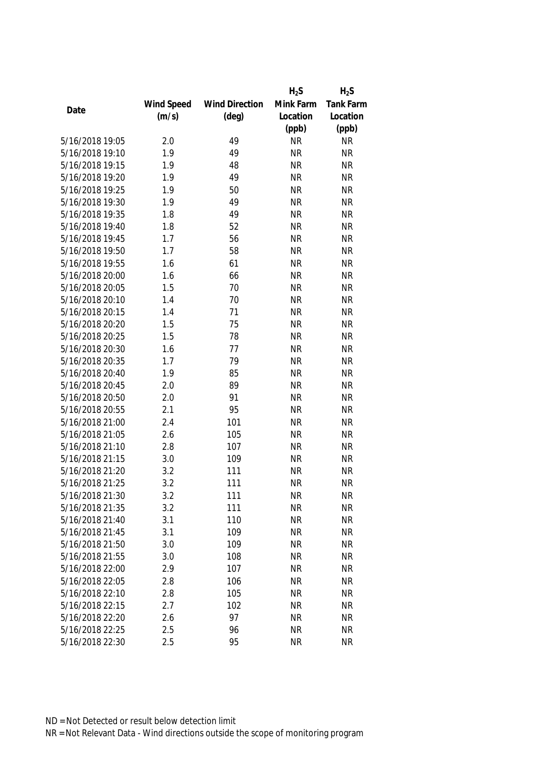|                 |            |                       | $H_2S$    | $H_2S$           |
|-----------------|------------|-----------------------|-----------|------------------|
|                 | Wind Speed | <b>Wind Direction</b> | Mink Farm | <b>Tank Farm</b> |
| Date            | (m/s)      | $(\text{deg})$        | Location  | Location         |
|                 |            |                       | (ppb)     | (ppb)            |
| 5/16/2018 19:05 | 2.0        | 49                    | <b>NR</b> | <b>NR</b>        |
| 5/16/2018 19:10 | 1.9        | 49                    | <b>NR</b> | <b>NR</b>        |
| 5/16/2018 19:15 | 1.9        | 48                    | <b>NR</b> | <b>NR</b>        |
| 5/16/2018 19:20 | 1.9        | 49                    | <b>NR</b> | <b>NR</b>        |
| 5/16/2018 19:25 | 1.9        | 50                    | <b>NR</b> | <b>NR</b>        |
| 5/16/2018 19:30 | 1.9        | 49                    | <b>NR</b> | <b>NR</b>        |
| 5/16/2018 19:35 | 1.8        | 49                    | <b>NR</b> | <b>NR</b>        |
| 5/16/2018 19:40 | 1.8        | 52                    | <b>NR</b> | <b>NR</b>        |
| 5/16/2018 19:45 | 1.7        | 56                    | <b>NR</b> | <b>NR</b>        |
| 5/16/2018 19:50 | 1.7        | 58                    | <b>NR</b> | <b>NR</b>        |
| 5/16/2018 19:55 | 1.6        | 61                    | <b>NR</b> | <b>NR</b>        |
| 5/16/2018 20:00 | 1.6        | 66                    | <b>NR</b> | <b>NR</b>        |
| 5/16/2018 20:05 | 1.5        | 70                    | <b>NR</b> | <b>NR</b>        |
| 5/16/2018 20:10 | 1.4        | 70                    | <b>NR</b> | <b>NR</b>        |
| 5/16/2018 20:15 | 1.4        | 71                    | <b>NR</b> | <b>NR</b>        |
| 5/16/2018 20:20 | 1.5        | 75                    | <b>NR</b> | <b>NR</b>        |
| 5/16/2018 20:25 | 1.5        | 78                    | <b>NR</b> | <b>NR</b>        |
| 5/16/2018 20:30 | 1.6        | 77                    | <b>NR</b> | <b>NR</b>        |
| 5/16/2018 20:35 | 1.7        | 79                    | <b>NR</b> | <b>NR</b>        |
| 5/16/2018 20:40 | 1.9        | 85                    | <b>NR</b> | <b>NR</b>        |
| 5/16/2018 20:45 | 2.0        | 89                    | <b>NR</b> | <b>NR</b>        |
| 5/16/2018 20:50 | 2.0        | 91                    | <b>NR</b> | <b>NR</b>        |
| 5/16/2018 20:55 | 2.1        | 95                    | <b>NR</b> | <b>NR</b>        |
| 5/16/2018 21:00 | 2.4        | 101                   | <b>NR</b> | <b>NR</b>        |
| 5/16/2018 21:05 | 2.6        | 105                   | <b>NR</b> | <b>NR</b>        |
| 5/16/2018 21:10 | 2.8        | 107                   | <b>NR</b> | <b>NR</b>        |
| 5/16/2018 21:15 | 3.0        | 109                   | <b>NR</b> | <b>NR</b>        |
| 5/16/2018 21:20 | 3.2        | 111                   | <b>NR</b> | <b>NR</b>        |
| 5/16/2018 21:25 | 3.2        | 111                   | <b>NR</b> | <b>NR</b>        |
| 5/16/2018 21:30 | 3.2        | 111                   | <b>NR</b> | <b>NR</b>        |
| 5/16/2018 21:35 | 3.2        | 111                   | <b>NR</b> | <b>NR</b>        |
| 5/16/2018 21:40 | 3.1        | 110                   | <b>NR</b> | <b>NR</b>        |
| 5/16/2018 21:45 | 3.1        | 109                   | <b>NR</b> | <b>NR</b>        |
| 5/16/2018 21:50 | 3.0        | 109                   | <b>NR</b> | <b>NR</b>        |
| 5/16/2018 21:55 | 3.0        | 108                   | <b>NR</b> | <b>NR</b>        |
| 5/16/2018 22:00 | 2.9        | 107                   | <b>NR</b> | <b>NR</b>        |
| 5/16/2018 22:05 | 2.8        | 106                   | <b>NR</b> | <b>NR</b>        |
| 5/16/2018 22:10 | 2.8        | 105                   | <b>NR</b> | <b>NR</b>        |
| 5/16/2018 22:15 | 2.7        | 102                   | <b>NR</b> | <b>NR</b>        |
| 5/16/2018 22:20 | 2.6        | 97                    | <b>NR</b> | <b>NR</b>        |
| 5/16/2018 22:25 | 2.5        | 96                    | <b>NR</b> | <b>NR</b>        |
| 5/16/2018 22:30 | 2.5        | 95                    | <b>NR</b> | <b>NR</b>        |
|                 |            |                       |           |                  |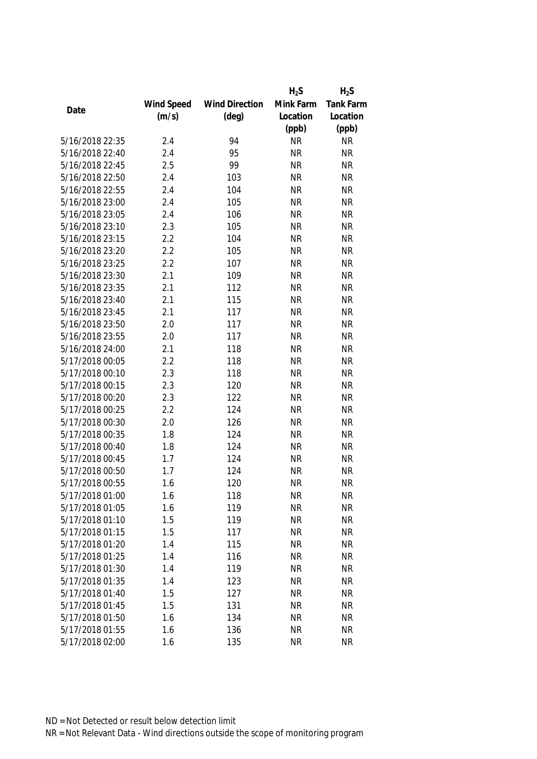|                 |            |                       | $H_2S$    | $H_2S$                 |
|-----------------|------------|-----------------------|-----------|------------------------|
|                 | Wind Speed | <b>Wind Direction</b> | Mink Farm | Tank Farm              |
| Date            | (m/s)      | $(\text{deg})$        | Location  | Location               |
|                 |            |                       | (ppb)     | (ppb)                  |
| 5/16/2018 22:35 | 2.4        | 94                    | <b>NR</b> | <b>NR</b>              |
| 5/16/2018 22:40 | 2.4        | 95                    | <b>NR</b> | <b>NR</b>              |
| 5/16/2018 22:45 | 2.5        | 99                    | <b>NR</b> | <b>NR</b>              |
| 5/16/2018 22:50 | 2.4        | 103                   | <b>NR</b> | <b>NR</b>              |
| 5/16/2018 22:55 | 2.4        | 104                   | <b>NR</b> | <b>NR</b>              |
| 5/16/2018 23:00 | 2.4        | 105                   | <b>NR</b> | <b>NR</b>              |
| 5/16/2018 23:05 | 2.4        | 106                   | <b>NR</b> | <b>NR</b>              |
| 5/16/2018 23:10 | 2.3        | 105                   | <b>NR</b> | <b>NR</b>              |
| 5/16/2018 23:15 | 2.2        | 104                   | <b>NR</b> | <b>NR</b>              |
| 5/16/2018 23:20 | 2.2        | 105                   | <b>NR</b> | <b>NR</b>              |
| 5/16/2018 23:25 | 2.2        | 107                   | <b>NR</b> | <b>NR</b>              |
| 5/16/2018 23:30 | 2.1        | 109                   | <b>NR</b> | <b>NR</b>              |
| 5/16/2018 23:35 | 2.1        | 112                   | <b>NR</b> | <b>NR</b>              |
| 5/16/2018 23:40 | 2.1        | 115                   | <b>NR</b> | <b>NR</b>              |
| 5/16/2018 23:45 | 2.1        | 117                   | <b>NR</b> | <b>NR</b>              |
| 5/16/2018 23:50 | 2.0        | 117                   | <b>NR</b> | <b>NR</b>              |
| 5/16/2018 23:55 | 2.0        | 117                   | <b>NR</b> | <b>NR</b>              |
| 5/16/2018 24:00 | 2.1        | 118                   | <b>NR</b> | <b>NR</b>              |
| 5/17/2018 00:05 | 2.2        | 118                   | <b>NR</b> | <b>NR</b>              |
| 5/17/2018 00:10 | 2.3        | 118                   | <b>NR</b> | <b>NR</b>              |
| 5/17/2018 00:15 | 2.3        | 120                   | <b>NR</b> | <b>NR</b>              |
| 5/17/2018 00:20 | 2.3        | 122                   | <b>NR</b> | <b>NR</b>              |
| 5/17/2018 00:25 | 2.2        | 124                   | <b>NR</b> | <b>NR</b>              |
| 5/17/2018 00:30 | 2.0        | 126                   | <b>NR</b> | <b>NR</b>              |
| 5/17/2018 00:35 | 1.8        | 124                   | <b>NR</b> | <b>NR</b>              |
| 5/17/2018 00:40 | 1.8        | 124                   | <b>NR</b> | <b>NR</b>              |
| 5/17/2018 00:45 | 1.7        | 124                   | <b>NR</b> | <b>NR</b>              |
| 5/17/2018 00:50 | 1.7        | 124                   | <b>NR</b> | <b>NR</b>              |
| 5/17/2018 00:55 | 1.6        | 120                   | <b>NR</b> | <b>NR</b>              |
| 5/17/2018 01:00 | 1.6        | 118                   | <b>NR</b> | <b>NR</b>              |
| 5/17/2018 01:05 | 1.6        | 119                   | <b>NR</b> | <b>NR</b>              |
| 5/17/2018 01:10 | 1.5        | 119                   | <b>NR</b> | <b>NR</b>              |
| 5/17/2018 01:15 | 1.5        | 117                   | <b>NR</b> | <b>NR</b>              |
| 5/17/2018 01:20 | 1.4        | 115                   | <b>NR</b> | <b>NR</b>              |
| 5/17/2018 01:25 | 1.4        | 116                   | <b>NR</b> | <b>NR</b>              |
| 5/17/2018 01:30 | 1.4        | 119                   | <b>NR</b> | <b>NR</b>              |
| 5/17/2018 01:35 |            |                       | <b>NR</b> | <b>NR</b>              |
| 5/17/2018 01:40 | 1.4        | 123                   |           |                        |
| 5/17/2018 01:45 | 1.5        | 127                   | <b>NR</b> | <b>NR</b><br><b>NR</b> |
|                 | 1.5        | 131                   | <b>NR</b> |                        |
| 5/17/2018 01:50 | 1.6        | 134                   | <b>NR</b> | <b>NR</b>              |
| 5/17/2018 01:55 | 1.6        | 136                   | <b>NR</b> | <b>NR</b>              |
| 5/17/2018 02:00 | 1.6        | 135                   | <b>NR</b> | <b>NR</b>              |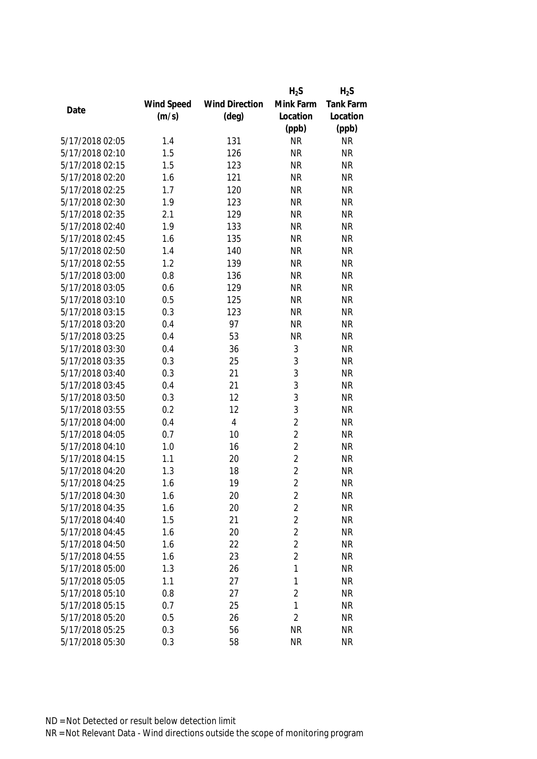|                 |            |                       | $H_2S$         | $H_2S$    |
|-----------------|------------|-----------------------|----------------|-----------|
|                 | Wind Speed | <b>Wind Direction</b> | Mink Farm      | Tank Farm |
| Date            | (m/s)      | $(\text{deg})$        | Location       | Location  |
|                 |            |                       | (ppb)          | (ppb)     |
| 5/17/2018 02:05 | 1.4        | 131                   | <b>NR</b>      | <b>NR</b> |
| 5/17/2018 02:10 | 1.5        | 126                   | <b>NR</b>      | <b>NR</b> |
| 5/17/2018 02:15 | 1.5        | 123                   | <b>NR</b>      | <b>NR</b> |
| 5/17/2018 02:20 | 1.6        | 121                   | <b>NR</b>      | <b>NR</b> |
| 5/17/2018 02:25 | 1.7        | 120                   | <b>NR</b>      | <b>NR</b> |
| 5/17/2018 02:30 | 1.9        | 123                   | <b>NR</b>      | <b>NR</b> |
| 5/17/2018 02:35 | 2.1        | 129                   | <b>NR</b>      | <b>NR</b> |
| 5/17/2018 02:40 | 1.9        | 133                   | <b>NR</b>      | <b>NR</b> |
| 5/17/2018 02:45 | 1.6        | 135                   | <b>NR</b>      | <b>NR</b> |
| 5/17/2018 02:50 | 1.4        | 140                   | <b>NR</b>      | <b>NR</b> |
| 5/17/2018 02:55 | 1.2        | 139                   | <b>NR</b>      | <b>NR</b> |
| 5/17/2018 03:00 | 0.8        | 136                   | <b>NR</b>      | <b>NR</b> |
| 5/17/2018 03:05 | 0.6        | 129                   | <b>NR</b>      | <b>NR</b> |
| 5/17/2018 03:10 | 0.5        | 125                   | <b>NR</b>      | <b>NR</b> |
| 5/17/2018 03:15 | 0.3        | 123                   | <b>NR</b>      | <b>NR</b> |
| 5/17/2018 03:20 | 0.4        | 97                    | <b>NR</b>      | <b>NR</b> |
| 5/17/2018 03:25 | 0.4        | 53                    | <b>NR</b>      | <b>NR</b> |
| 5/17/2018 03:30 | 0.4        | 36                    | $\mathfrak{Z}$ | <b>NR</b> |
| 5/17/2018 03:35 | 0.3        | 25                    | $\mathfrak{Z}$ | <b>NR</b> |
| 5/17/2018 03:40 | 0.3        | 21                    | 3              | <b>NR</b> |
| 5/17/2018 03:45 | 0.4        | 21                    | 3              | <b>NR</b> |
| 5/17/2018 03:50 | 0.3        | 12                    | 3              | <b>NR</b> |
| 5/17/2018 03:55 | 0.2        | 12                    | 3              | <b>NR</b> |
| 5/17/2018 04:00 | 0.4        | $\overline{4}$        | $\overline{2}$ | <b>NR</b> |
| 5/17/2018 04:05 | 0.7        | 10                    | $\overline{2}$ | <b>NR</b> |
| 5/17/2018 04:10 | 1.0        | 16                    | $\overline{2}$ | <b>NR</b> |
| 5/17/2018 04:15 | 1.1        | 20                    | $\overline{2}$ | <b>NR</b> |
| 5/17/2018 04:20 | 1.3        | 18                    | $\overline{2}$ | <b>NR</b> |
| 5/17/2018 04:25 | 1.6        | 19                    | $\overline{2}$ | <b>NR</b> |
| 5/17/2018 04:30 | 1.6        | 20                    | 2              | <b>NR</b> |
| 5/17/2018 04:35 | 1.6        | 20                    | $\overline{2}$ | <b>NR</b> |
| 5/17/2018 04:40 | 1.5        | 21                    | $\overline{2}$ | <b>NR</b> |
| 5/17/2018 04:45 | 1.6        | 20                    | $\overline{2}$ | <b>NR</b> |
| 5/17/2018 04:50 | 1.6        | 22                    | $\overline{2}$ | <b>NR</b> |
| 5/17/2018 04:55 | 1.6        | 23                    | $\overline{2}$ | <b>NR</b> |
| 5/17/2018 05:00 | 1.3        | 26                    | 1              | <b>NR</b> |
| 5/17/2018 05:05 | 1.1        | 27                    | 1              | <b>NR</b> |
| 5/17/2018 05:10 | 0.8        | 27                    | $\overline{2}$ | <b>NR</b> |
| 5/17/2018 05:15 | 0.7        | 25                    | $\mathbf{1}$   | <b>NR</b> |
| 5/17/2018 05:20 | 0.5        | 26                    | $\overline{2}$ | <b>NR</b> |
| 5/17/2018 05:25 | 0.3        | 56                    | <b>NR</b>      | <b>NR</b> |
| 5/17/2018 05:30 | 0.3        | 58                    | <b>NR</b>      | <b>NR</b> |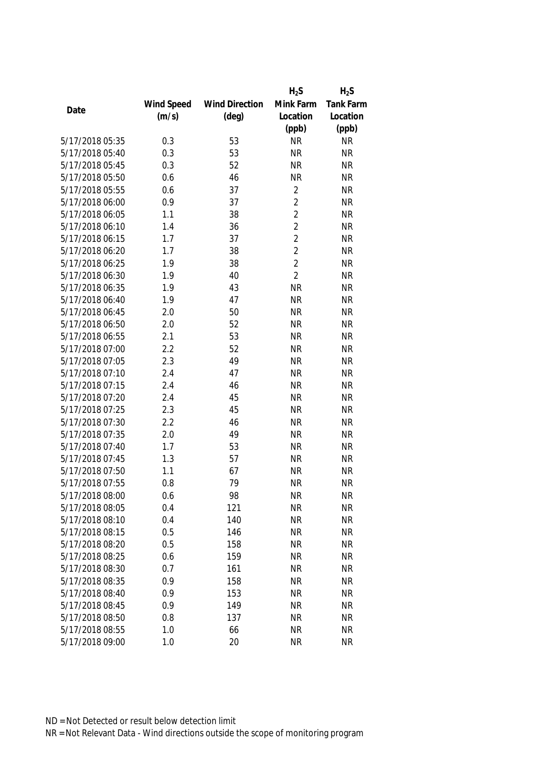|                 |            |                       | $H_2S$         | $H_2S$           |
|-----------------|------------|-----------------------|----------------|------------------|
|                 | Wind Speed | <b>Wind Direction</b> | Mink Farm      | <b>Tank Farm</b> |
| Date            | (m/s)      | $(\text{deg})$        | Location       | Location         |
|                 |            |                       | (ppb)          | (ppb)            |
| 5/17/2018 05:35 | 0.3        | 53                    | <b>NR</b>      | <b>NR</b>        |
| 5/17/2018 05:40 | 0.3        | 53                    | <b>NR</b>      | <b>NR</b>        |
| 5/17/2018 05:45 | 0.3        | 52                    | <b>NR</b>      | <b>NR</b>        |
| 5/17/2018 05:50 | 0.6        | 46                    | <b>NR</b>      | <b>NR</b>        |
| 5/17/2018 05:55 | 0.6        | 37                    | $\overline{2}$ | <b>NR</b>        |
| 5/17/2018 06:00 | 0.9        | 37                    | $\overline{2}$ | <b>NR</b>        |
| 5/17/2018 06:05 | 1.1        | 38                    | $\overline{2}$ | <b>NR</b>        |
| 5/17/2018 06:10 | 1.4        | 36                    | $\overline{2}$ | <b>NR</b>        |
| 5/17/2018 06:15 | 1.7        | 37                    | $\overline{2}$ | <b>NR</b>        |
| 5/17/2018 06:20 | 1.7        | 38                    | $\overline{2}$ | <b>NR</b>        |
| 5/17/2018 06:25 | 1.9        | 38                    | $\overline{2}$ | <b>NR</b>        |
| 5/17/2018 06:30 | 1.9        | 40                    | $\overline{2}$ | <b>NR</b>        |
| 5/17/2018 06:35 | 1.9        | 43                    | <b>NR</b>      | <b>NR</b>        |
| 5/17/2018 06:40 | 1.9        | 47                    | <b>NR</b>      | <b>NR</b>        |
| 5/17/2018 06:45 | 2.0        | 50                    | <b>NR</b>      | <b>NR</b>        |
| 5/17/2018 06:50 | 2.0        | 52                    | <b>NR</b>      | <b>NR</b>        |
| 5/17/2018 06:55 | 2.1        | 53                    | <b>NR</b>      | <b>NR</b>        |
| 5/17/2018 07:00 | 2.2        | 52                    | <b>NR</b>      | <b>NR</b>        |
| 5/17/2018 07:05 | 2.3        | 49                    | <b>NR</b>      | <b>NR</b>        |
| 5/17/2018 07:10 | 2.4        | 47                    | <b>NR</b>      | <b>NR</b>        |
| 5/17/2018 07:15 | 2.4        | 46                    | <b>NR</b>      | <b>NR</b>        |
| 5/17/2018 07:20 | 2.4        | 45                    | <b>NR</b>      | <b>NR</b>        |
| 5/17/2018 07:25 | 2.3        | 45                    | <b>NR</b>      | <b>NR</b>        |
| 5/17/2018 07:30 | 2.2        | 46                    | <b>NR</b>      | <b>NR</b>        |
| 5/17/2018 07:35 | 2.0        | 49                    | <b>NR</b>      | <b>NR</b>        |
| 5/17/2018 07:40 | 1.7        | 53                    | <b>NR</b>      | <b>NR</b>        |
| 5/17/2018 07:45 | 1.3        | 57                    | <b>NR</b>      | <b>NR</b>        |
| 5/17/2018 07:50 | 1.1        | 67                    | <b>NR</b>      | <b>NR</b>        |
| 5/17/2018 07:55 | 0.8        | 79                    | <b>NR</b>      | <b>NR</b>        |
| 5/17/2018 08:00 | 0.6        | 98                    | <b>NR</b>      | <b>NR</b>        |
| 5/17/2018 08:05 | 0.4        | 121                   | <b>NR</b>      | <b>NR</b>        |
| 5/17/2018 08:10 | 0.4        | 140                   | <b>NR</b>      | <b>NR</b>        |
| 5/17/2018 08:15 | 0.5        | 146                   | <b>NR</b>      | <b>NR</b>        |
| 5/17/2018 08:20 | 0.5        | 158                   | <b>NR</b>      | <b>NR</b>        |
| 5/17/2018 08:25 | 0.6        | 159                   | <b>NR</b>      | <b>NR</b>        |
| 5/17/2018 08:30 | 0.7        | 161                   | <b>NR</b>      | <b>NR</b>        |
| 5/17/2018 08:35 | 0.9        | 158                   | <b>NR</b>      | <b>NR</b>        |
| 5/17/2018 08:40 | 0.9        | 153                   | <b>NR</b>      | <b>NR</b>        |
| 5/17/2018 08:45 | 0.9        | 149                   | <b>NR</b>      | <b>NR</b>        |
| 5/17/2018 08:50 | 0.8        | 137                   | <b>NR</b>      | <b>NR</b>        |
| 5/17/2018 08:55 | 1.0        | 66                    | <b>NR</b>      | <b>NR</b>        |
| 5/17/2018 09:00 | 1.0        | 20                    | <b>NR</b>      | <b>NR</b>        |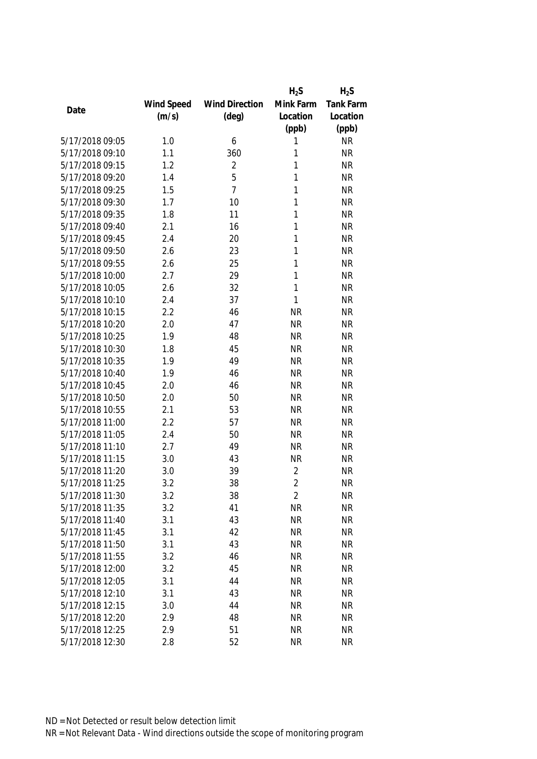|                 |            |                       | $H_2S$         | $H_2S$           |
|-----------------|------------|-----------------------|----------------|------------------|
|                 | Wind Speed | <b>Wind Direction</b> | Mink Farm      | <b>Tank Farm</b> |
| Date            | (m/s)      | $(\text{deg})$        | Location       | Location         |
|                 |            |                       | (ppb)          | (ppb)            |
| 5/17/2018 09:05 | 1.0        | 6                     | 1              | <b>NR</b>        |
| 5/17/2018 09:10 | 1.1        | 360                   | 1              | <b>NR</b>        |
| 5/17/2018 09:15 | 1.2        | $\overline{2}$        | 1              | <b>NR</b>        |
| 5/17/2018 09:20 | 1.4        | 5                     | 1              | <b>NR</b>        |
| 5/17/2018 09:25 | 1.5        | $\overline{7}$        | 1              | <b>NR</b>        |
| 5/17/2018 09:30 | 1.7        | 10                    | 1              | <b>NR</b>        |
| 5/17/2018 09:35 | 1.8        | 11                    | 1              | <b>NR</b>        |
| 5/17/2018 09:40 | 2.1        | 16                    | 1              | <b>NR</b>        |
| 5/17/2018 09:45 | 2.4        | 20                    | 1              | <b>NR</b>        |
| 5/17/2018 09:50 | 2.6        | 23                    | 1              | <b>NR</b>        |
| 5/17/2018 09:55 | 2.6        | 25                    | 1              | <b>NR</b>        |
| 5/17/2018 10:00 | 2.7        | 29                    | 1              | <b>NR</b>        |
| 5/17/2018 10:05 | 2.6        | 32                    | 1              | <b>NR</b>        |
| 5/17/2018 10:10 | 2.4        | 37                    | 1              | <b>NR</b>        |
| 5/17/2018 10:15 | 2.2        | 46                    | <b>NR</b>      | <b>NR</b>        |
| 5/17/2018 10:20 | 2.0        | 47                    | <b>NR</b>      | <b>NR</b>        |
| 5/17/2018 10:25 | 1.9        | 48                    | <b>NR</b>      | <b>NR</b>        |
| 5/17/2018 10:30 | 1.8        | 45                    | <b>NR</b>      | <b>NR</b>        |
| 5/17/2018 10:35 | 1.9        | 49                    | <b>NR</b>      | <b>NR</b>        |
| 5/17/2018 10:40 | 1.9        | 46                    | <b>NR</b>      | <b>NR</b>        |
| 5/17/2018 10:45 | 2.0        | 46                    | <b>NR</b>      | <b>NR</b>        |
| 5/17/2018 10:50 | 2.0        | 50                    | <b>NR</b>      | <b>NR</b>        |
| 5/17/2018 10:55 | 2.1        | 53                    | <b>NR</b>      | <b>NR</b>        |
| 5/17/2018 11:00 | 2.2        | 57                    | <b>NR</b>      | <b>NR</b>        |
| 5/17/2018 11:05 | 2.4        | 50                    | <b>NR</b>      | <b>NR</b>        |
| 5/17/2018 11:10 | 2.7        | 49                    | <b>NR</b>      | <b>NR</b>        |
| 5/17/2018 11:15 | 3.0        | 43                    | <b>NR</b>      | <b>NR</b>        |
| 5/17/2018 11:20 | 3.0        | 39                    | 2              | <b>NR</b>        |
| 5/17/2018 11:25 | 3.2        | 38                    | $\overline{2}$ | <b>NR</b>        |
| 5/17/2018 11:30 | 3.2        | 38                    | $\overline{2}$ | <b>NR</b>        |
| 5/17/2018 11:35 | 3.2        | 41                    | <b>NR</b>      | <b>NR</b>        |
| 5/17/2018 11:40 | 3.1        | 43                    | <b>NR</b>      | <b>NR</b>        |
| 5/17/2018 11:45 | 3.1        | 42                    | <b>NR</b>      | <b>NR</b>        |
| 5/17/2018 11:50 | 3.1        | 43                    | <b>NR</b>      | NR               |
| 5/17/2018 11:55 | 3.2        | 46                    | <b>NR</b>      | <b>NR</b>        |
| 5/17/2018 12:00 | 3.2        | 45                    | <b>NR</b>      | <b>NR</b>        |
| 5/17/2018 12:05 | 3.1        | 44                    | <b>NR</b>      | <b>NR</b>        |
| 5/17/2018 12:10 | 3.1        | 43                    | <b>NR</b>      | <b>NR</b>        |
| 5/17/2018 12:15 | 3.0        | 44                    | <b>NR</b>      | <b>NR</b>        |
| 5/17/2018 12:20 | 2.9        | 48                    | <b>NR</b>      | <b>NR</b>        |
| 5/17/2018 12:25 | 2.9        | 51                    | <b>NR</b>      | <b>NR</b>        |
| 5/17/2018 12:30 | 2.8        | 52                    | <b>NR</b>      | <b>NR</b>        |
|                 |            |                       |                |                  |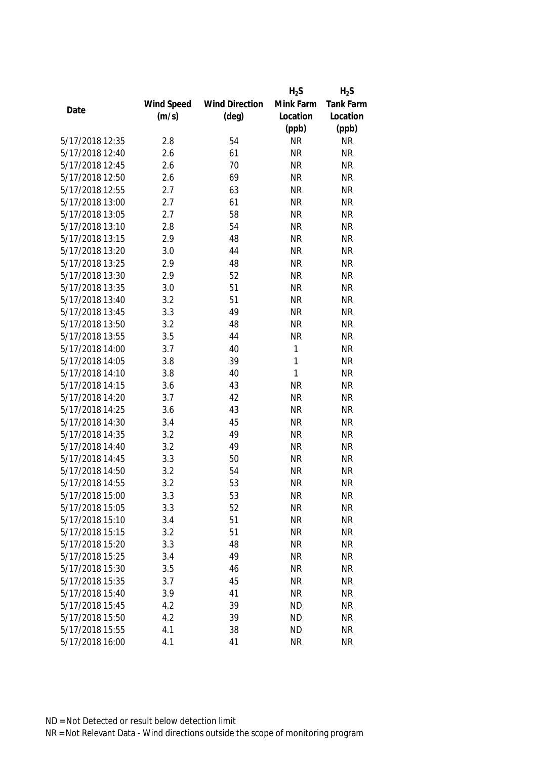|                 |            |                       | $H_2S$    | $H_2S$    |
|-----------------|------------|-----------------------|-----------|-----------|
|                 | Wind Speed | <b>Wind Direction</b> | Mink Farm | Tank Farm |
| Date            | (m/s)      | $(\text{deg})$        | Location  | Location  |
|                 |            |                       | (ppb)     | (ppb)     |
| 5/17/2018 12:35 | 2.8        | 54                    | <b>NR</b> | <b>NR</b> |
| 5/17/2018 12:40 | 2.6        | 61                    | <b>NR</b> | <b>NR</b> |
| 5/17/2018 12:45 | 2.6        | 70                    | <b>NR</b> | <b>NR</b> |
| 5/17/2018 12:50 | 2.6        | 69                    | <b>NR</b> | <b>NR</b> |
| 5/17/2018 12:55 | 2.7        | 63                    | <b>NR</b> | <b>NR</b> |
| 5/17/2018 13:00 | 2.7        | 61                    | <b>NR</b> | <b>NR</b> |
| 5/17/2018 13:05 | 2.7        | 58                    | <b>NR</b> | <b>NR</b> |
| 5/17/2018 13:10 | 2.8        | 54                    | <b>NR</b> | <b>NR</b> |
| 5/17/2018 13:15 | 2.9        | 48                    | <b>NR</b> | <b>NR</b> |
| 5/17/2018 13:20 | 3.0        | 44                    | <b>NR</b> | <b>NR</b> |
| 5/17/2018 13:25 | 2.9        | 48                    | <b>NR</b> | <b>NR</b> |
| 5/17/2018 13:30 | 2.9        | 52                    | <b>NR</b> | <b>NR</b> |
| 5/17/2018 13:35 | 3.0        | 51                    | <b>NR</b> | <b>NR</b> |
| 5/17/2018 13:40 | 3.2        | 51                    | <b>NR</b> | <b>NR</b> |
| 5/17/2018 13:45 | 3.3        | 49                    | <b>NR</b> | <b>NR</b> |
| 5/17/2018 13:50 | 3.2        | 48                    | <b>NR</b> | <b>NR</b> |
| 5/17/2018 13:55 | 3.5        | 44                    | <b>NR</b> | <b>NR</b> |
| 5/17/2018 14:00 | 3.7        | 40                    | 1         | <b>NR</b> |
| 5/17/2018 14:05 | 3.8        | 39                    | 1         | <b>NR</b> |
| 5/17/2018 14:10 | 3.8        | 40                    | 1         | <b>NR</b> |
| 5/17/2018 14:15 | 3.6        | 43                    | <b>NR</b> | <b>NR</b> |
| 5/17/2018 14:20 | 3.7        | 42                    | <b>NR</b> | <b>NR</b> |
| 5/17/2018 14:25 | 3.6        | 43                    | <b>NR</b> | <b>NR</b> |
| 5/17/2018 14:30 | 3.4        | 45                    | <b>NR</b> | <b>NR</b> |
| 5/17/2018 14:35 | 3.2        | 49                    | <b>NR</b> | <b>NR</b> |
| 5/17/2018 14:40 | 3.2        | 49                    | <b>NR</b> | <b>NR</b> |
| 5/17/2018 14:45 | 3.3        | 50                    | <b>NR</b> | <b>NR</b> |
| 5/17/2018 14:50 | 3.2        | 54                    | <b>NR</b> | <b>NR</b> |
| 5/17/2018 14:55 | 3.2        | 53                    | <b>NR</b> | <b>NR</b> |
| 5/17/2018 15:00 | 3.3        | 53                    | <b>NR</b> | <b>NR</b> |
| 5/17/2018 15:05 | 3.3        | 52                    | <b>NR</b> | <b>NR</b> |
| 5/17/2018 15:10 | 3.4        | 51                    | <b>NR</b> | <b>NR</b> |
| 5/17/2018 15:15 | 3.2        | 51                    | <b>NR</b> | <b>NR</b> |
| 5/17/2018 15:20 | 3.3        | 48                    | <b>NR</b> | <b>NR</b> |
| 5/17/2018 15:25 | 3.4        | 49                    | <b>NR</b> | <b>NR</b> |
| 5/17/2018 15:30 | 3.5        | 46                    | <b>NR</b> | <b>NR</b> |
| 5/17/2018 15:35 | 3.7        | 45                    | <b>NR</b> | <b>NR</b> |
| 5/17/2018 15:40 | 3.9        | 41                    | <b>NR</b> | <b>NR</b> |
| 5/17/2018 15:45 | 4.2        | 39                    | <b>ND</b> | <b>NR</b> |
| 5/17/2018 15:50 | 4.2        | 39                    | <b>ND</b> | <b>NR</b> |
| 5/17/2018 15:55 | 4.1        | 38                    | <b>ND</b> | <b>NR</b> |
| 5/17/2018 16:00 | 4.1        | 41                    | <b>NR</b> | <b>NR</b> |
|                 |            |                       |           |           |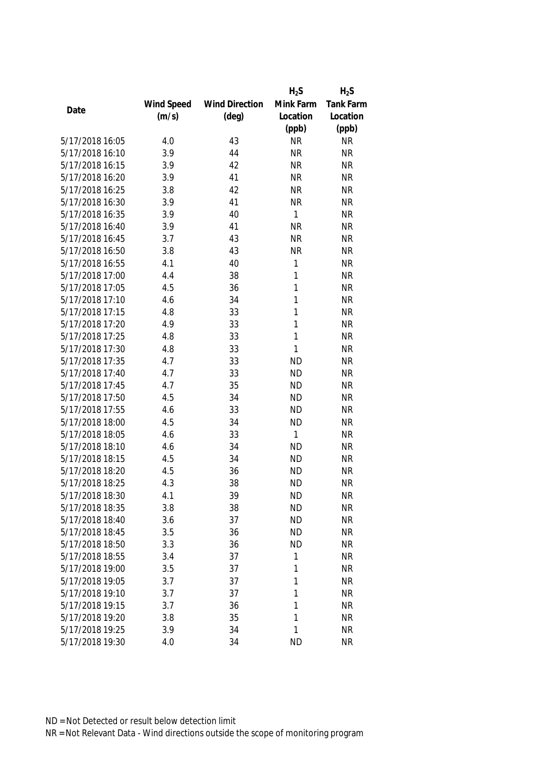|                 |            |                       | $H_2S$       | $H_2S$    |
|-----------------|------------|-----------------------|--------------|-----------|
|                 | Wind Speed | <b>Wind Direction</b> | Mink Farm    | Tank Farm |
| Date            | (m/s)      | $(\text{deg})$        | Location     | Location  |
|                 |            |                       | (ppb)        | (ppb)     |
| 5/17/2018 16:05 | 4.0        | 43                    | <b>NR</b>    | <b>NR</b> |
| 5/17/2018 16:10 | 3.9        | 44                    | <b>NR</b>    | <b>NR</b> |
| 5/17/2018 16:15 | 3.9        | 42                    | <b>NR</b>    | <b>NR</b> |
| 5/17/2018 16:20 | 3.9        | 41                    | <b>NR</b>    | <b>NR</b> |
| 5/17/2018 16:25 | 3.8        | 42                    | <b>NR</b>    | <b>NR</b> |
| 5/17/2018 16:30 | 3.9        | 41                    | <b>NR</b>    | <b>NR</b> |
| 5/17/2018 16:35 | 3.9        | 40                    | 1            | <b>NR</b> |
| 5/17/2018 16:40 | 3.9        | 41                    | <b>NR</b>    | <b>NR</b> |
| 5/17/2018 16:45 | 3.7        | 43                    | <b>NR</b>    | <b>NR</b> |
| 5/17/2018 16:50 | 3.8        | 43                    | <b>NR</b>    | <b>NR</b> |
| 5/17/2018 16:55 | 4.1        | 40                    | 1            | <b>NR</b> |
| 5/17/2018 17:00 | 4.4        | 38                    | 1            | <b>NR</b> |
| 5/17/2018 17:05 | 4.5        | 36                    | 1            | <b>NR</b> |
| 5/17/2018 17:10 | 4.6        | 34                    | 1            | <b>NR</b> |
| 5/17/2018 17:15 | 4.8        | 33                    | 1            | <b>NR</b> |
| 5/17/2018 17:20 | 4.9        | 33                    | $\mathbf{1}$ | <b>NR</b> |
| 5/17/2018 17:25 | 4.8        | 33                    | 1            | <b>NR</b> |
| 5/17/2018 17:30 | 4.8        | 33                    | 1            | <b>NR</b> |
| 5/17/2018 17:35 | 4.7        | 33                    | <b>ND</b>    | <b>NR</b> |
| 5/17/2018 17:40 | 4.7        | 33                    | <b>ND</b>    | <b>NR</b> |
| 5/17/2018 17:45 | 4.7        | 35                    | <b>ND</b>    | <b>NR</b> |
| 5/17/2018 17:50 | 4.5        | 34                    | <b>ND</b>    | <b>NR</b> |
| 5/17/2018 17:55 | 4.6        | 33                    | <b>ND</b>    | <b>NR</b> |
| 5/17/2018 18:00 | 4.5        | 34                    | <b>ND</b>    | <b>NR</b> |
| 5/17/2018 18:05 | 4.6        | 33                    | 1            | <b>NR</b> |
| 5/17/2018 18:10 | 4.6        | 34                    | <b>ND</b>    | <b>NR</b> |
| 5/17/2018 18:15 | 4.5        | 34                    | <b>ND</b>    | <b>NR</b> |
| 5/17/2018 18:20 | 4.5        | 36                    | <b>ND</b>    | <b>NR</b> |
| 5/17/2018 18:25 | 4.3        | 38                    | <b>ND</b>    | <b>NR</b> |
| 5/17/2018 18:30 | 4.1        | 39                    | <b>ND</b>    | <b>NR</b> |
| 5/17/2018 18:35 | 3.8        | 38                    | <b>ND</b>    | <b>NR</b> |
| 5/17/2018 18:40 | 3.6        | 37                    | <b>ND</b>    | <b>NR</b> |
| 5/17/2018 18:45 | 3.5        | 36                    | <b>ND</b>    | <b>NR</b> |
| 5/17/2018 18:50 | 3.3        | 36                    | <b>ND</b>    | <b>NR</b> |
| 5/17/2018 18:55 | 3.4        | 37                    | 1            | <b>NR</b> |
| 5/17/2018 19:00 | 3.5        | 37                    | 1            | <b>NR</b> |
| 5/17/2018 19:05 | 3.7        | 37                    | 1            | <b>NR</b> |
| 5/17/2018 19:10 | 3.7        | 37                    | 1            | <b>NR</b> |
| 5/17/2018 19:15 | 3.7        | 36                    | 1            | <b>NR</b> |
| 5/17/2018 19:20 | 3.8        | 35                    | 1            | <b>NR</b> |
|                 |            |                       | 1            |           |
| 5/17/2018 19:25 | 3.9        | 34                    |              | <b>NR</b> |
| 5/17/2018 19:30 | 4.0        | 34                    | <b>ND</b>    | <b>NR</b> |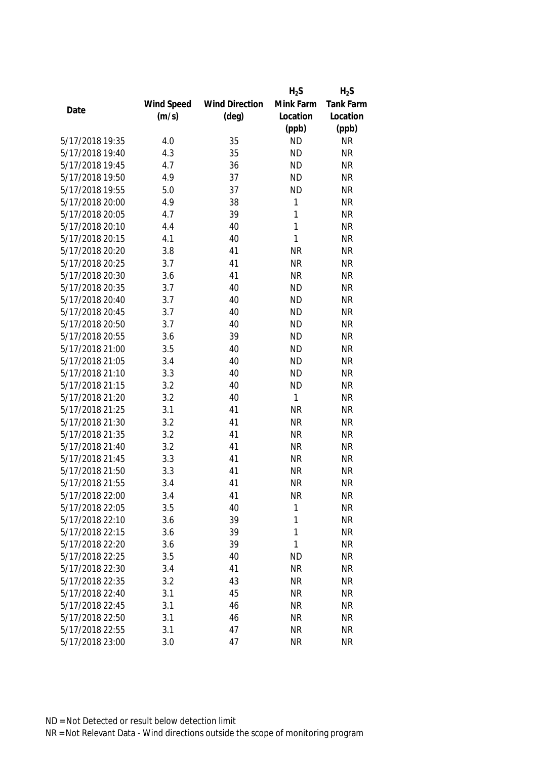|                 |            |                       | $H_2S$    | $H_2S$           |
|-----------------|------------|-----------------------|-----------|------------------|
|                 | Wind Speed | <b>Wind Direction</b> | Mink Farm | <b>Tank Farm</b> |
| Date            | (m/s)      | $(\text{deg})$        | Location  | Location         |
|                 |            |                       | (ppb)     | (ppb)            |
| 5/17/2018 19:35 | 4.0        | 35                    | <b>ND</b> | <b>NR</b>        |
| 5/17/2018 19:40 | 4.3        | 35                    | <b>ND</b> | <b>NR</b>        |
| 5/17/2018 19:45 | 4.7        | 36                    | <b>ND</b> | <b>NR</b>        |
| 5/17/2018 19:50 | 4.9        | 37                    | <b>ND</b> | <b>NR</b>        |
| 5/17/2018 19:55 | 5.0        | 37                    | <b>ND</b> | <b>NR</b>        |
| 5/17/2018 20:00 | 4.9        | 38                    | 1         | <b>NR</b>        |
| 5/17/2018 20:05 | 4.7        | 39                    | 1         | <b>NR</b>        |
| 5/17/2018 20:10 | 4.4        | 40                    | 1         | <b>NR</b>        |
| 5/17/2018 20:15 | 4.1        | 40                    | 1         | <b>NR</b>        |
| 5/17/2018 20:20 | 3.8        | 41                    | <b>NR</b> | <b>NR</b>        |
| 5/17/2018 20:25 | 3.7        | 41                    | <b>NR</b> | <b>NR</b>        |
| 5/17/2018 20:30 | 3.6        | 41                    | <b>NR</b> | <b>NR</b>        |
| 5/17/2018 20:35 | 3.7        | 40                    | <b>ND</b> | <b>NR</b>        |
| 5/17/2018 20:40 | 3.7        | 40                    | <b>ND</b> | <b>NR</b>        |
| 5/17/2018 20:45 | 3.7        | 40                    | <b>ND</b> | <b>NR</b>        |
| 5/17/2018 20:50 | 3.7        | 40                    | <b>ND</b> | <b>NR</b>        |
| 5/17/2018 20:55 | 3.6        | 39                    | <b>ND</b> | <b>NR</b>        |
| 5/17/2018 21:00 | 3.5        | 40                    | <b>ND</b> | <b>NR</b>        |
| 5/17/2018 21:05 | 3.4        | 40                    | <b>ND</b> | <b>NR</b>        |
| 5/17/2018 21:10 | 3.3        | 40                    | <b>ND</b> | <b>NR</b>        |
| 5/17/2018 21:15 | 3.2        | 40                    | <b>ND</b> | <b>NR</b>        |
| 5/17/2018 21:20 | 3.2        | 40                    | 1         | <b>NR</b>        |
| 5/17/2018 21:25 | 3.1        | 41                    | <b>NR</b> | <b>NR</b>        |
| 5/17/2018 21:30 | 3.2        | 41                    | <b>NR</b> | <b>NR</b>        |
| 5/17/2018 21:35 | 3.2        | 41                    | <b>NR</b> | <b>NR</b>        |
| 5/17/2018 21:40 | 3.2        | 41                    | <b>NR</b> | <b>NR</b>        |
| 5/17/2018 21:45 | 3.3        | 41                    | <b>NR</b> | <b>NR</b>        |
| 5/17/2018 21:50 | 3.3        | 41                    | <b>NR</b> | <b>NR</b>        |
| 5/17/2018 21:55 | 3.4        | 41                    | <b>NR</b> | <b>NR</b>        |
| 5/17/2018 22:00 | 3.4        | 41                    | <b>NR</b> | <b>NR</b>        |
| 5/17/2018 22:05 | 3.5        | 40                    | 1         | <b>NR</b>        |
| 5/17/2018 22:10 | 3.6        | 39                    | 1         | <b>NR</b>        |
| 5/17/2018 22:15 | 3.6        | 39                    | 1         | <b>NR</b>        |
| 5/17/2018 22:20 | 3.6        | 39                    | 1         | <b>NR</b>        |
| 5/17/2018 22:25 | 3.5        | 40                    | <b>ND</b> | <b>NR</b>        |
| 5/17/2018 22:30 | 3.4        | 41                    | <b>NR</b> | <b>NR</b>        |
| 5/17/2018 22:35 | 3.2        | 43                    | <b>NR</b> | <b>NR</b>        |
| 5/17/2018 22:40 | 3.1        | 45                    | <b>NR</b> | <b>NR</b>        |
| 5/17/2018 22:45 | 3.1        | 46                    | <b>NR</b> | <b>NR</b>        |
| 5/17/2018 22:50 | 3.1        | 46                    | <b>NR</b> | <b>NR</b>        |
|                 |            |                       |           |                  |
| 5/17/2018 22:55 | 3.1        | 47                    | <b>NR</b> | NR               |
| 5/17/2018 23:00 | 3.0        | 47                    | <b>NR</b> | <b>NR</b>        |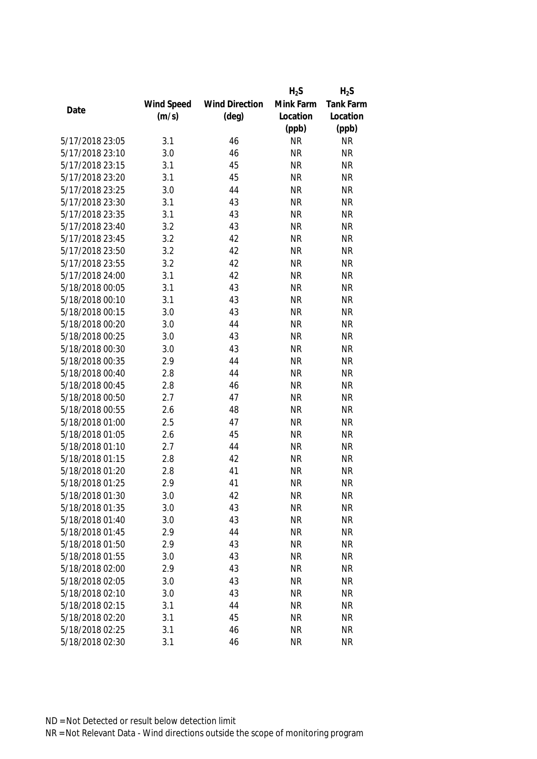|                 |            |                       | $H_2S$    | $H_2S$    |
|-----------------|------------|-----------------------|-----------|-----------|
|                 | Wind Speed | <b>Wind Direction</b> | Mink Farm | Tank Farm |
| Date            | (m/s)      | $(\text{deg})$        | Location  | Location  |
|                 |            |                       | (ppb)     | (ppb)     |
| 5/17/2018 23:05 | 3.1        | 46                    | <b>NR</b> | <b>NR</b> |
| 5/17/2018 23:10 | 3.0        | 46                    | <b>NR</b> | <b>NR</b> |
| 5/17/2018 23:15 | 3.1        | 45                    | <b>NR</b> | <b>NR</b> |
| 5/17/2018 23:20 | 3.1        | 45                    | <b>NR</b> | <b>NR</b> |
| 5/17/2018 23:25 | 3.0        | 44                    | <b>NR</b> | <b>NR</b> |
| 5/17/2018 23:30 | 3.1        | 43                    | <b>NR</b> | <b>NR</b> |
| 5/17/2018 23:35 | 3.1        | 43                    | <b>NR</b> | <b>NR</b> |
| 5/17/2018 23:40 | 3.2        | 43                    | <b>NR</b> | <b>NR</b> |
| 5/17/2018 23:45 | 3.2        | 42                    | <b>NR</b> | <b>NR</b> |
| 5/17/2018 23:50 | 3.2        | 42                    | <b>NR</b> | <b>NR</b> |
| 5/17/2018 23:55 | 3.2        | 42                    | <b>NR</b> | <b>NR</b> |
| 5/17/2018 24:00 | 3.1        | 42                    | <b>NR</b> | <b>NR</b> |
| 5/18/2018 00:05 | 3.1        | 43                    | <b>NR</b> | <b>NR</b> |
| 5/18/2018 00:10 | 3.1        | 43                    | <b>NR</b> | <b>NR</b> |
| 5/18/2018 00:15 | 3.0        | 43                    | <b>NR</b> | <b>NR</b> |
| 5/18/2018 00:20 | 3.0        | 44                    | <b>NR</b> | <b>NR</b> |
| 5/18/2018 00:25 | 3.0        | 43                    | <b>NR</b> | <b>NR</b> |
| 5/18/2018 00:30 | 3.0        | 43                    | <b>NR</b> | <b>NR</b> |
| 5/18/2018 00:35 | 2.9        | 44                    | <b>NR</b> | <b>NR</b> |
| 5/18/2018 00:40 | 2.8        | 44                    | <b>NR</b> | <b>NR</b> |
| 5/18/2018 00:45 | 2.8        | 46                    | <b>NR</b> | <b>NR</b> |
| 5/18/2018 00:50 | 2.7        | 47                    | <b>NR</b> | <b>NR</b> |
| 5/18/2018 00:55 | 2.6        | 48                    | <b>NR</b> | <b>NR</b> |
| 5/18/2018 01:00 | 2.5        | 47                    | <b>NR</b> | <b>NR</b> |
| 5/18/2018 01:05 | 2.6        | 45                    | <b>NR</b> | <b>NR</b> |
| 5/18/2018 01:10 | 2.7        | 44                    | <b>NR</b> | <b>NR</b> |
| 5/18/2018 01:15 | 2.8        | 42                    | <b>NR</b> | <b>NR</b> |
| 5/18/2018 01:20 | 2.8        | 41                    | <b>NR</b> | <b>NR</b> |
| 5/18/2018 01:25 | 2.9        | 41                    | <b>NR</b> | <b>NR</b> |
| 5/18/2018 01:30 | 3.0        | 42                    | <b>NR</b> | <b>NR</b> |
| 5/18/2018 01:35 | 3.0        | 43                    | <b>NR</b> | <b>NR</b> |
| 5/18/2018 01:40 | 3.0        | 43                    | <b>NR</b> | <b>NR</b> |
| 5/18/2018 01:45 | 2.9        | 44                    | <b>NR</b> | <b>NR</b> |
| 5/18/2018 01:50 | 2.9        | 43                    | <b>NR</b> | <b>NR</b> |
| 5/18/2018 01:55 | 3.0        | 43                    | <b>NR</b> | <b>NR</b> |
| 5/18/2018 02:00 | 2.9        | 43                    | <b>NR</b> | <b>NR</b> |
| 5/18/2018 02:05 | 3.0        | 43                    | <b>NR</b> | <b>NR</b> |
| 5/18/2018 02:10 | 3.0        | 43                    | <b>NR</b> | <b>NR</b> |
| 5/18/2018 02:15 | 3.1        | 44                    | <b>NR</b> | <b>NR</b> |
| 5/18/2018 02:20 | 3.1        | 45                    | <b>NR</b> | <b>NR</b> |
|                 |            |                       |           |           |
| 5/18/2018 02:25 | 3.1        | 46                    | <b>NR</b> | <b>NR</b> |
| 5/18/2018 02:30 | 3.1        | 46                    | <b>NR</b> | <b>NR</b> |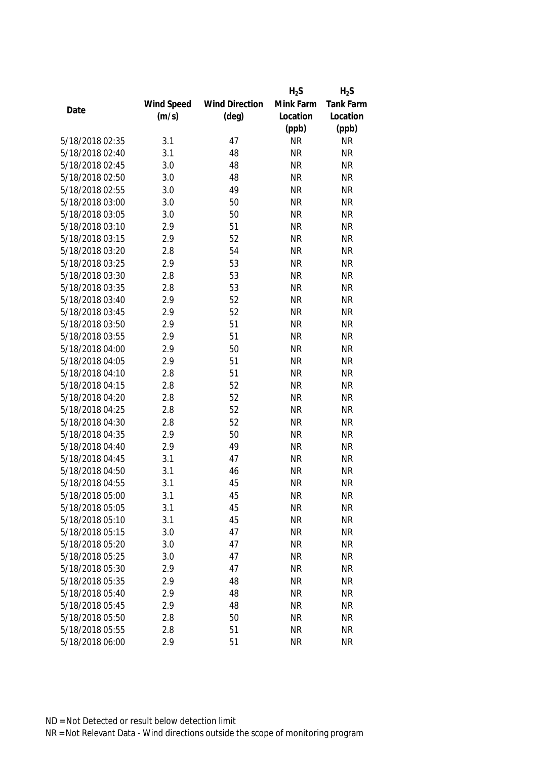|                 |            |                       | $H_2S$    | $H_2S$           |
|-----------------|------------|-----------------------|-----------|------------------|
|                 | Wind Speed | <b>Wind Direction</b> | Mink Farm | <b>Tank Farm</b> |
| Date            | (m/s)      | $(\text{deg})$        | Location  | Location         |
|                 |            |                       | (ppb)     | (ppb)            |
| 5/18/2018 02:35 | 3.1        | 47                    | <b>NR</b> | <b>NR</b>        |
| 5/18/2018 02:40 | 3.1        | 48                    | <b>NR</b> | <b>NR</b>        |
| 5/18/2018 02:45 | 3.0        | 48                    | <b>NR</b> | <b>NR</b>        |
| 5/18/2018 02:50 | 3.0        | 48                    | <b>NR</b> | <b>NR</b>        |
| 5/18/2018 02:55 | 3.0        | 49                    | <b>NR</b> | <b>NR</b>        |
| 5/18/2018 03:00 | 3.0        | 50                    | <b>NR</b> | <b>NR</b>        |
| 5/18/2018 03:05 | 3.0        | 50                    | <b>NR</b> | <b>NR</b>        |
| 5/18/2018 03:10 | 2.9        | 51                    | <b>NR</b> | <b>NR</b>        |
| 5/18/2018 03:15 | 2.9        | 52                    | <b>NR</b> | <b>NR</b>        |
| 5/18/2018 03:20 | 2.8        | 54                    | <b>NR</b> | <b>NR</b>        |
| 5/18/2018 03:25 | 2.9        | 53                    | <b>NR</b> | <b>NR</b>        |
| 5/18/2018 03:30 | 2.8        | 53                    | <b>NR</b> | <b>NR</b>        |
| 5/18/2018 03:35 | 2.8        | 53                    | <b>NR</b> | <b>NR</b>        |
| 5/18/2018 03:40 | 2.9        | 52                    | <b>NR</b> | <b>NR</b>        |
| 5/18/2018 03:45 | 2.9        | 52                    | <b>NR</b> | <b>NR</b>        |
| 5/18/2018 03:50 | 2.9        | 51                    | <b>NR</b> | <b>NR</b>        |
| 5/18/2018 03:55 | 2.9        | 51                    | <b>NR</b> | <b>NR</b>        |
| 5/18/2018 04:00 | 2.9        | 50                    | <b>NR</b> | <b>NR</b>        |
| 5/18/2018 04:05 | 2.9        | 51                    | <b>NR</b> | <b>NR</b>        |
| 5/18/2018 04:10 | 2.8        | 51                    | <b>NR</b> | <b>NR</b>        |
| 5/18/2018 04:15 | 2.8        | 52                    | <b>NR</b> | <b>NR</b>        |
| 5/18/2018 04:20 | 2.8        | 52                    | <b>NR</b> | <b>NR</b>        |
| 5/18/2018 04:25 | 2.8        | 52                    | <b>NR</b> | <b>NR</b>        |
| 5/18/2018 04:30 | 2.8        | 52                    | <b>NR</b> | <b>NR</b>        |
| 5/18/2018 04:35 | 2.9        | 50                    | <b>NR</b> | <b>NR</b>        |
| 5/18/2018 04:40 | 2.9        | 49                    | <b>NR</b> | <b>NR</b>        |
| 5/18/2018 04:45 | 3.1        | 47                    | <b>NR</b> | <b>NR</b>        |
| 5/18/2018 04:50 | 3.1        | 46                    | <b>NR</b> | <b>NR</b>        |
| 5/18/2018 04:55 | 3.1        | 45                    | <b>NR</b> | <b>NR</b>        |
| 5/18/2018 05:00 | 3.1        | 45                    | ΝR        | <b>NR</b>        |
| 5/18/2018 05:05 | 3.1        | 45                    | <b>NR</b> | <b>NR</b>        |
| 5/18/2018 05:10 | 3.1        | 45                    | <b>NR</b> | <b>NR</b>        |
| 5/18/2018 05:15 | 3.0        | 47                    | <b>NR</b> | <b>NR</b>        |
| 5/18/2018 05:20 | 3.0        | 47                    | <b>NR</b> | <b>NR</b>        |
| 5/18/2018 05:25 | 3.0        | 47                    | <b>NR</b> | <b>NR</b>        |
| 5/18/2018 05:30 | 2.9        | 47                    | <b>NR</b> | <b>NR</b>        |
| 5/18/2018 05:35 | 2.9        | 48                    | <b>NR</b> | <b>NR</b>        |
| 5/18/2018 05:40 | 2.9        | 48                    | <b>NR</b> | <b>NR</b>        |
| 5/18/2018 05:45 | 2.9        | 48                    | <b>NR</b> | <b>NR</b>        |
| 5/18/2018 05:50 | 2.8        | 50                    | <b>NR</b> | <b>NR</b>        |
| 5/18/2018 05:55 | 2.8        | 51                    | <b>NR</b> | <b>NR</b>        |
|                 |            |                       |           |                  |
| 5/18/2018 06:00 | 2.9        | 51                    | <b>NR</b> | <b>NR</b>        |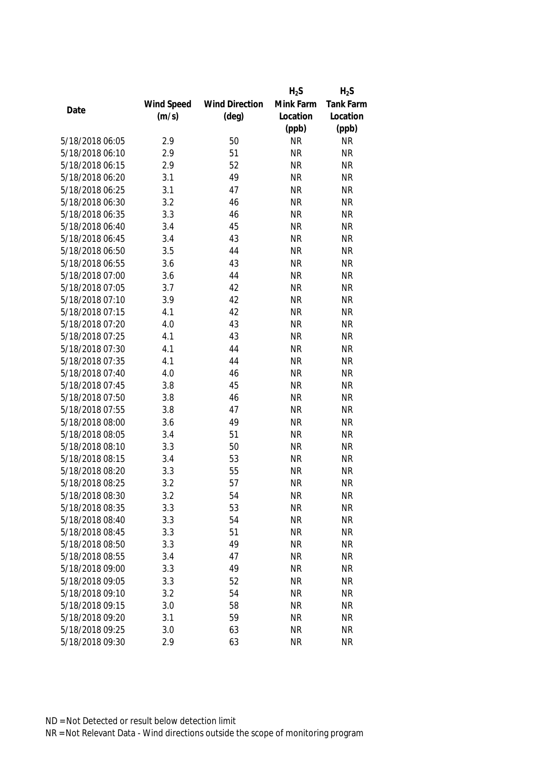|                 |            |                       | $H_2S$    | $H_2S$    |
|-----------------|------------|-----------------------|-----------|-----------|
|                 | Wind Speed | <b>Wind Direction</b> | Mink Farm | Tank Farm |
| Date            | (m/s)      | $(\text{deg})$        | Location  | Location  |
|                 |            |                       | (ppb)     | (ppb)     |
| 5/18/2018 06:05 | 2.9        | 50                    | <b>NR</b> | <b>NR</b> |
| 5/18/2018 06:10 | 2.9        | 51                    | <b>NR</b> | <b>NR</b> |
| 5/18/2018 06:15 | 2.9        | 52                    | <b>NR</b> | <b>NR</b> |
| 5/18/2018 06:20 | 3.1        | 49                    | <b>NR</b> | <b>NR</b> |
| 5/18/2018 06:25 | 3.1        | 47                    | <b>NR</b> | <b>NR</b> |
| 5/18/2018 06:30 | 3.2        | 46                    | <b>NR</b> | <b>NR</b> |
| 5/18/2018 06:35 | 3.3        | 46                    | <b>NR</b> | <b>NR</b> |
| 5/18/2018 06:40 | 3.4        | 45                    | <b>NR</b> | <b>NR</b> |
| 5/18/2018 06:45 | 3.4        | 43                    | <b>NR</b> | <b>NR</b> |
| 5/18/2018 06:50 | 3.5        | 44                    | <b>NR</b> | <b>NR</b> |
| 5/18/2018 06:55 | 3.6        | 43                    | <b>NR</b> | <b>NR</b> |
| 5/18/2018 07:00 | 3.6        | 44                    | <b>NR</b> | <b>NR</b> |
| 5/18/2018 07:05 | 3.7        | 42                    | <b>NR</b> | <b>NR</b> |
| 5/18/2018 07:10 | 3.9        | 42                    | <b>NR</b> | <b>NR</b> |
| 5/18/2018 07:15 | 4.1        | 42                    | <b>NR</b> | <b>NR</b> |
| 5/18/2018 07:20 | 4.0        | 43                    | <b>NR</b> | <b>NR</b> |
| 5/18/2018 07:25 | 4.1        | 43                    | <b>NR</b> | <b>NR</b> |
| 5/18/2018 07:30 | 4.1        | 44                    | <b>NR</b> | <b>NR</b> |
| 5/18/2018 07:35 | 4.1        | 44                    | <b>NR</b> | <b>NR</b> |
| 5/18/2018 07:40 | 4.0        | 46                    | <b>NR</b> | <b>NR</b> |
| 5/18/2018 07:45 | 3.8        | 45                    | <b>NR</b> | <b>NR</b> |
| 5/18/2018 07:50 | 3.8        | 46                    | <b>NR</b> | <b>NR</b> |
| 5/18/2018 07:55 | 3.8        | 47                    | <b>NR</b> | <b>NR</b> |
| 5/18/2018 08:00 | 3.6        | 49                    | <b>NR</b> | <b>NR</b> |
| 5/18/2018 08:05 | 3.4        | 51                    | <b>NR</b> | <b>NR</b> |
| 5/18/2018 08:10 | 3.3        | 50                    | <b>NR</b> | <b>NR</b> |
| 5/18/2018 08:15 | 3.4        | 53                    | <b>NR</b> | <b>NR</b> |
| 5/18/2018 08:20 | 3.3        | 55                    | <b>NR</b> | <b>NR</b> |
| 5/18/2018 08:25 | 3.2        | 57                    | <b>NR</b> | <b>NR</b> |
| 5/18/2018 08:30 | 3.2        | 54                    | <b>NR</b> | <b>NR</b> |
| 5/18/2018 08:35 | 3.3        | 53                    | <b>NR</b> | <b>NR</b> |
| 5/18/2018 08:40 | 3.3        | 54                    | <b>NR</b> | <b>NR</b> |
| 5/18/2018 08:45 | 3.3        | 51                    | <b>NR</b> | <b>NR</b> |
| 5/18/2018 08:50 | 3.3        | 49                    | <b>NR</b> | <b>NR</b> |
| 5/18/2018 08:55 | 3.4        | 47                    | <b>NR</b> | <b>NR</b> |
| 5/18/2018 09:00 | 3.3        | 49                    | <b>NR</b> | <b>NR</b> |
| 5/18/2018 09:05 | 3.3        | 52                    | <b>NR</b> | <b>NR</b> |
| 5/18/2018 09:10 | 3.2        | 54                    | <b>NR</b> | <b>NR</b> |
| 5/18/2018 09:15 | 3.0        | 58                    | <b>NR</b> | <b>NR</b> |
| 5/18/2018 09:20 | 3.1        | 59                    | <b>NR</b> | <b>NR</b> |
| 5/18/2018 09:25 | 3.0        | 63                    | <b>NR</b> | <b>NR</b> |
| 5/18/2018 09:30 | 2.9        | 63                    | <b>NR</b> | <b>NR</b> |
|                 |            |                       |           |           |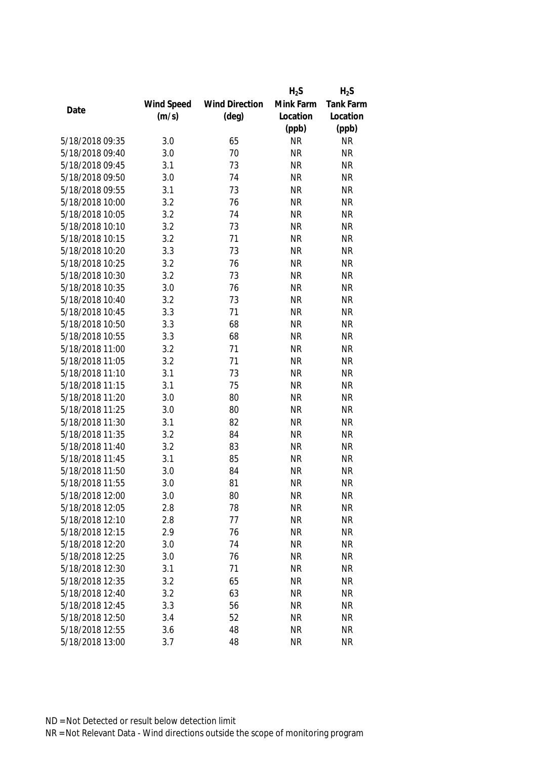|                 |            |                       | $H_2S$    | $H_2S$           |
|-----------------|------------|-----------------------|-----------|------------------|
|                 | Wind Speed | <b>Wind Direction</b> | Mink Farm | <b>Tank Farm</b> |
| Date            | (m/s)      | $(\text{deg})$        | Location  | Location         |
|                 |            |                       | (ppb)     | (ppb)            |
| 5/18/2018 09:35 | 3.0        | 65                    | <b>NR</b> | <b>NR</b>        |
| 5/18/2018 09:40 | 3.0        | 70                    | <b>NR</b> | <b>NR</b>        |
| 5/18/2018 09:45 | 3.1        | 73                    | <b>NR</b> | <b>NR</b>        |
| 5/18/2018 09:50 | 3.0        | 74                    | <b>NR</b> | <b>NR</b>        |
| 5/18/2018 09:55 | 3.1        | 73                    | <b>NR</b> | <b>NR</b>        |
| 5/18/2018 10:00 | 3.2        | 76                    | <b>NR</b> | <b>NR</b>        |
| 5/18/2018 10:05 | 3.2        | 74                    | <b>NR</b> | <b>NR</b>        |
| 5/18/2018 10:10 | 3.2        | 73                    | <b>NR</b> | <b>NR</b>        |
| 5/18/2018 10:15 | 3.2        | 71                    | <b>NR</b> | <b>NR</b>        |
| 5/18/2018 10:20 | 3.3        | 73                    | <b>NR</b> | <b>NR</b>        |
| 5/18/2018 10:25 | 3.2        | 76                    | <b>NR</b> | <b>NR</b>        |
| 5/18/2018 10:30 | 3.2        | 73                    | <b>NR</b> | <b>NR</b>        |
| 5/18/2018 10:35 | 3.0        | 76                    | <b>NR</b> | <b>NR</b>        |
| 5/18/2018 10:40 | 3.2        | 73                    | <b>NR</b> | <b>NR</b>        |
| 5/18/2018 10:45 | 3.3        | 71                    | <b>NR</b> | <b>NR</b>        |
| 5/18/2018 10:50 | 3.3        | 68                    | <b>NR</b> | <b>NR</b>        |
| 5/18/2018 10:55 | 3.3        | 68                    | <b>NR</b> | <b>NR</b>        |
| 5/18/2018 11:00 | 3.2        | 71                    | <b>NR</b> | <b>NR</b>        |
| 5/18/2018 11:05 | 3.2        | 71                    | <b>NR</b> | <b>NR</b>        |
| 5/18/2018 11:10 | 3.1        | 73                    | <b>NR</b> | <b>NR</b>        |
| 5/18/2018 11:15 | 3.1        | 75                    | <b>NR</b> | <b>NR</b>        |
| 5/18/2018 11:20 | 3.0        | 80                    | <b>NR</b> | <b>NR</b>        |
| 5/18/2018 11:25 | 3.0        | 80                    | <b>NR</b> | <b>NR</b>        |
| 5/18/2018 11:30 | 3.1        | 82                    | <b>NR</b> | <b>NR</b>        |
| 5/18/2018 11:35 | 3.2        | 84                    | <b>NR</b> | <b>NR</b>        |
| 5/18/2018 11:40 | 3.2        | 83                    | <b>NR</b> | <b>NR</b>        |
| 5/18/2018 11:45 | 3.1        | 85                    | <b>NR</b> | <b>NR</b>        |
| 5/18/2018 11:50 | 3.0        | 84                    | <b>NR</b> | <b>NR</b>        |
| 5/18/2018 11:55 | 3.0        | 81                    | <b>NR</b> | <b>NR</b>        |
| 5/18/2018 12:00 | 3.0        | 80                    | <b>NR</b> | <b>NR</b>        |
| 5/18/2018 12:05 | 2.8        | 78                    | <b>NR</b> | <b>NR</b>        |
| 5/18/2018 12:10 | 2.8        | 77                    | <b>NR</b> | <b>NR</b>        |
| 5/18/2018 12:15 | 2.9        | 76                    | <b>NR</b> | <b>NR</b>        |
| 5/18/2018 12:20 | 3.0        | 74                    | <b>NR</b> | <b>NR</b>        |
| 5/18/2018 12:25 | 3.0        | 76                    | <b>NR</b> | <b>NR</b>        |
| 5/18/2018 12:30 | 3.1        | 71                    | <b>NR</b> | <b>NR</b>        |
| 5/18/2018 12:35 | 3.2        | 65                    | <b>NR</b> | <b>NR</b>        |
| 5/18/2018 12:40 | 3.2        | 63                    | <b>NR</b> | <b>NR</b>        |
| 5/18/2018 12:45 | 3.3        | 56                    | <b>NR</b> | <b>NR</b>        |
| 5/18/2018 12:50 | 3.4        | 52                    | <b>NR</b> | <b>NR</b>        |
|                 |            |                       |           |                  |
| 5/18/2018 12:55 | 3.6        | 48                    | <b>NR</b> | NR               |
| 5/18/2018 13:00 | 3.7        | 48                    | <b>NR</b> | <b>NR</b>        |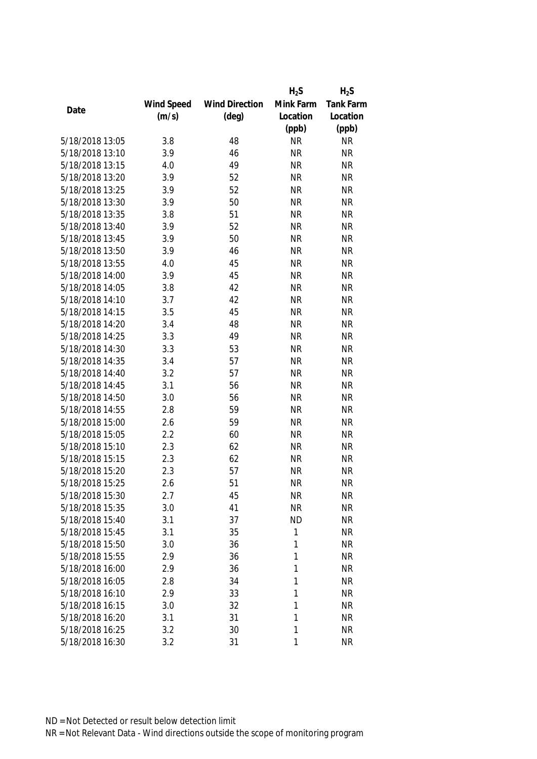|                 |            |                       | $H_2S$    | $H_2S$    |
|-----------------|------------|-----------------------|-----------|-----------|
|                 | Wind Speed | <b>Wind Direction</b> | Mink Farm | Tank Farm |
| Date            | (m/s)      | $(\text{deg})$        | Location  | Location  |
|                 |            |                       | (ppb)     | (ppb)     |
| 5/18/2018 13:05 | 3.8        | 48                    | <b>NR</b> | <b>NR</b> |
| 5/18/2018 13:10 | 3.9        | 46                    | <b>NR</b> | <b>NR</b> |
| 5/18/2018 13:15 | 4.0        | 49                    | <b>NR</b> | <b>NR</b> |
| 5/18/2018 13:20 | 3.9        | 52                    | <b>NR</b> | <b>NR</b> |
| 5/18/2018 13:25 | 3.9        | 52                    | <b>NR</b> | <b>NR</b> |
| 5/18/2018 13:30 | 3.9        | 50                    | <b>NR</b> | <b>NR</b> |
| 5/18/2018 13:35 | 3.8        | 51                    | <b>NR</b> | <b>NR</b> |
| 5/18/2018 13:40 | 3.9        | 52                    | <b>NR</b> | <b>NR</b> |
| 5/18/2018 13:45 | 3.9        | 50                    | <b>NR</b> | <b>NR</b> |
| 5/18/2018 13:50 | 3.9        | 46                    | <b>NR</b> | <b>NR</b> |
| 5/18/2018 13:55 | 4.0        | 45                    | <b>NR</b> | <b>NR</b> |
| 5/18/2018 14:00 | 3.9        | 45                    | <b>NR</b> | <b>NR</b> |
| 5/18/2018 14:05 | 3.8        | 42                    | <b>NR</b> | <b>NR</b> |
| 5/18/2018 14:10 | 3.7        | 42                    | <b>NR</b> | <b>NR</b> |
| 5/18/2018 14:15 | 3.5        | 45                    | <b>NR</b> | <b>NR</b> |
| 5/18/2018 14:20 | 3.4        | 48                    | <b>NR</b> | <b>NR</b> |
| 5/18/2018 14:25 | 3.3        | 49                    | <b>NR</b> | <b>NR</b> |
| 5/18/2018 14:30 | 3.3        | 53                    | <b>NR</b> | <b>NR</b> |
| 5/18/2018 14:35 | 3.4        | 57                    | <b>NR</b> | <b>NR</b> |
| 5/18/2018 14:40 | 3.2        | 57                    | <b>NR</b> | <b>NR</b> |
| 5/18/2018 14:45 | 3.1        | 56                    | <b>NR</b> | <b>NR</b> |
| 5/18/2018 14:50 | 3.0        | 56                    | <b>NR</b> | <b>NR</b> |
| 5/18/2018 14:55 | 2.8        | 59                    | <b>NR</b> | <b>NR</b> |
| 5/18/2018 15:00 | 2.6        | 59                    | <b>NR</b> | <b>NR</b> |
| 5/18/2018 15:05 | 2.2        | 60                    | <b>NR</b> | <b>NR</b> |
| 5/18/2018 15:10 | 2.3        | 62                    | <b>NR</b> | <b>NR</b> |
| 5/18/2018 15:15 | 2.3        | 62                    | <b>NR</b> | <b>NR</b> |
| 5/18/2018 15:20 | 2.3        | 57                    | <b>NR</b> | <b>NR</b> |
| 5/18/2018 15:25 | 2.6        | 51                    | <b>NR</b> | <b>NR</b> |
| 5/18/2018 15:30 | 2.7        | 45                    | <b>NR</b> | <b>NR</b> |
| 5/18/2018 15:35 | 3.0        | 41                    | <b>NR</b> | <b>NR</b> |
| 5/18/2018 15:40 | 3.1        | 37                    | <b>ND</b> | <b>NR</b> |
| 5/18/2018 15:45 | 3.1        | 35                    | 1         | <b>NR</b> |
| 5/18/2018 15:50 | 3.0        | 36                    | 1         | <b>NR</b> |
| 5/18/2018 15:55 | 2.9        | 36                    | 1         | <b>NR</b> |
| 5/18/2018 16:00 | 2.9        | 36                    | 1         | <b>NR</b> |
| 5/18/2018 16:05 | 2.8        | 34                    | 1         | <b>NR</b> |
| 5/18/2018 16:10 | 2.9        | 33                    | 1         | <b>NR</b> |
| 5/18/2018 16:15 | 3.0        | 32                    | 1         | <b>NR</b> |
| 5/18/2018 16:20 | 3.1        | 31                    | 1         | <b>NR</b> |
| 5/18/2018 16:25 | 3.2        | 30                    | 1         | <b>NR</b> |
| 5/18/2018 16:30 | 3.2        | 31                    | 1         | <b>NR</b> |
|                 |            |                       |           |           |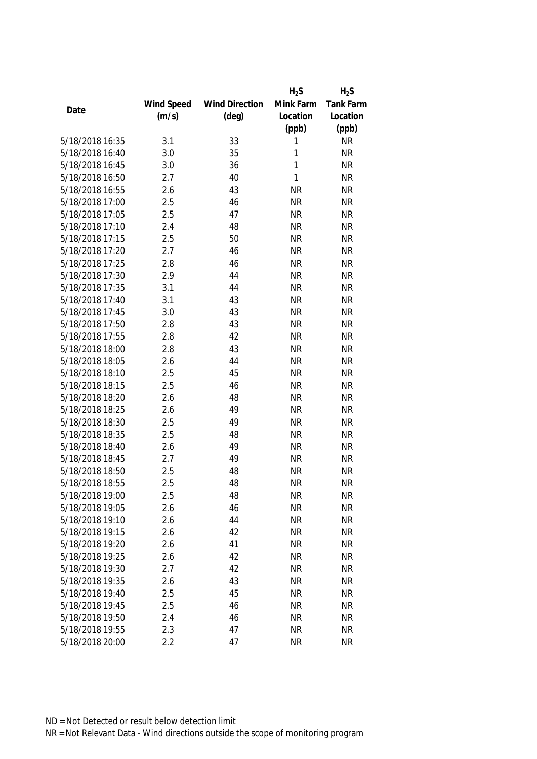|                 |            |                       | $H_2S$    | $H_2S$           |
|-----------------|------------|-----------------------|-----------|------------------|
|                 | Wind Speed | <b>Wind Direction</b> | Mink Farm | <b>Tank Farm</b> |
| Date            | (m/s)      | $(\text{deg})$        | Location  | Location         |
|                 |            |                       | (ppb)     | (ppb)            |
| 5/18/2018 16:35 | 3.1        | 33                    | 1         | <b>NR</b>        |
| 5/18/2018 16:40 | 3.0        | 35                    | 1         | <b>NR</b>        |
| 5/18/2018 16:45 | 3.0        | 36                    | 1         | <b>NR</b>        |
| 5/18/2018 16:50 | 2.7        | 40                    | 1         | <b>NR</b>        |
| 5/18/2018 16:55 | 2.6        | 43                    | <b>NR</b> | <b>NR</b>        |
| 5/18/2018 17:00 | 2.5        | 46                    | <b>NR</b> | <b>NR</b>        |
| 5/18/2018 17:05 | 2.5        | 47                    | <b>NR</b> | <b>NR</b>        |
| 5/18/2018 17:10 | 2.4        | 48                    | <b>NR</b> | <b>NR</b>        |
| 5/18/2018 17:15 | 2.5        | 50                    | <b>NR</b> | <b>NR</b>        |
| 5/18/2018 17:20 | 2.7        | 46                    | <b>NR</b> | <b>NR</b>        |
| 5/18/2018 17:25 | 2.8        | 46                    | <b>NR</b> | <b>NR</b>        |
| 5/18/2018 17:30 | 2.9        | 44                    | <b>NR</b> | <b>NR</b>        |
| 5/18/2018 17:35 | 3.1        | 44                    | <b>NR</b> | <b>NR</b>        |
| 5/18/2018 17:40 | 3.1        | 43                    | <b>NR</b> | <b>NR</b>        |
| 5/18/2018 17:45 | 3.0        | 43                    | <b>NR</b> | <b>NR</b>        |
| 5/18/2018 17:50 | 2.8        | 43                    | <b>NR</b> | <b>NR</b>        |
| 5/18/2018 17:55 | 2.8        | 42                    | <b>NR</b> | <b>NR</b>        |
| 5/18/2018 18:00 | 2.8        | 43                    | <b>NR</b> | <b>NR</b>        |
| 5/18/2018 18:05 | 2.6        | 44                    | <b>NR</b> | <b>NR</b>        |
| 5/18/2018 18:10 | 2.5        | 45                    | <b>NR</b> | <b>NR</b>        |
| 5/18/2018 18:15 | 2.5        | 46                    | <b>NR</b> | <b>NR</b>        |
| 5/18/2018 18:20 | 2.6        | 48                    | <b>NR</b> | <b>NR</b>        |
| 5/18/2018 18:25 | 2.6        | 49                    | <b>NR</b> | <b>NR</b>        |
| 5/18/2018 18:30 | 2.5        | 49                    | <b>NR</b> | <b>NR</b>        |
| 5/18/2018 18:35 | 2.5        | 48                    | <b>NR</b> | <b>NR</b>        |
| 5/18/2018 18:40 | 2.6        | 49                    | <b>NR</b> | <b>NR</b>        |
| 5/18/2018 18:45 | 2.7        | 49                    | <b>NR</b> | <b>NR</b>        |
| 5/18/2018 18:50 | 2.5        | 48                    | <b>NR</b> | <b>NR</b>        |
| 5/18/2018 18:55 | 2.5        | 48                    | <b>NR</b> | <b>NR</b>        |
| 5/18/2018 19:00 | 2.5        | 48                    | <b>NR</b> | <b>NR</b>        |
| 5/18/2018 19:05 | 2.6        | 46                    | <b>NR</b> | <b>NR</b>        |
| 5/18/2018 19:10 | 2.6        | 44                    | <b>NR</b> | <b>NR</b>        |
| 5/18/2018 19:15 | 2.6        | 42                    | <b>NR</b> | <b>NR</b>        |
| 5/18/2018 19:20 | 2.6        | 41                    | <b>NR</b> | NR               |
| 5/18/2018 19:25 | 2.6        | 42                    | <b>NR</b> | <b>NR</b>        |
| 5/18/2018 19:30 | 2.7        | 42                    | <b>NR</b> | <b>NR</b>        |
| 5/18/2018 19:35 | 2.6        | 43                    | <b>NR</b> | <b>NR</b>        |
| 5/18/2018 19:40 | 2.5        | 45                    | <b>NR</b> | <b>NR</b>        |
| 5/18/2018 19:45 | 2.5        | 46                    | <b>NR</b> | <b>NR</b>        |
| 5/18/2018 19:50 | 2.4        | 46                    | <b>NR</b> | <b>NR</b>        |
| 5/18/2018 19:55 | 2.3        | 47                    | <b>NR</b> | <b>NR</b>        |
| 5/18/2018 20:00 | 2.2        | 47                    | <b>NR</b> | <b>NR</b>        |
|                 |            |                       |           |                  |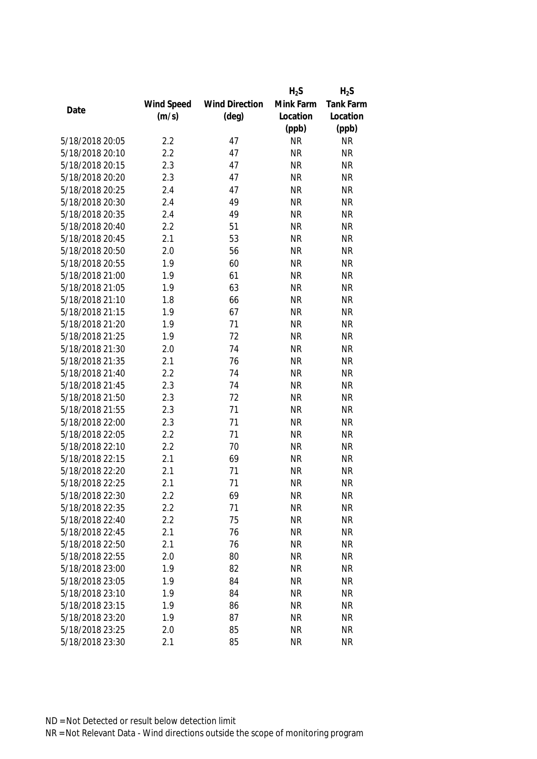|                 |            |                       | $H_2S$    | $H_2S$           |
|-----------------|------------|-----------------------|-----------|------------------|
|                 | Wind Speed | <b>Wind Direction</b> | Mink Farm | <b>Tank Farm</b> |
| Date            | (m/s)      | $(\text{deg})$        | Location  | Location         |
|                 |            |                       | (ppb)     | (ppb)            |
| 5/18/2018 20:05 | 2.2        | 47                    | <b>NR</b> | <b>NR</b>        |
| 5/18/2018 20:10 | 2.2        | 47                    | <b>NR</b> | <b>NR</b>        |
| 5/18/2018 20:15 | 2.3        | 47                    | <b>NR</b> | <b>NR</b>        |
| 5/18/2018 20:20 | 2.3        | 47                    | <b>NR</b> | <b>NR</b>        |
| 5/18/2018 20:25 | 2.4        | 47                    | <b>NR</b> | <b>NR</b>        |
| 5/18/2018 20:30 | 2.4        | 49                    | <b>NR</b> | <b>NR</b>        |
| 5/18/2018 20:35 | 2.4        | 49                    | <b>NR</b> | <b>NR</b>        |
| 5/18/2018 20:40 | 2.2        | 51                    | <b>NR</b> | <b>NR</b>        |
| 5/18/2018 20:45 | 2.1        | 53                    | <b>NR</b> | <b>NR</b>        |
| 5/18/2018 20:50 | 2.0        | 56                    | <b>NR</b> | <b>NR</b>        |
| 5/18/2018 20:55 | 1.9        | 60                    | <b>NR</b> | <b>NR</b>        |
| 5/18/2018 21:00 | 1.9        | 61                    | <b>NR</b> | <b>NR</b>        |
| 5/18/2018 21:05 | 1.9        | 63                    | <b>NR</b> | <b>NR</b>        |
| 5/18/2018 21:10 | 1.8        | 66                    | <b>NR</b> | <b>NR</b>        |
| 5/18/2018 21:15 | 1.9        | 67                    | <b>NR</b> | <b>NR</b>        |
| 5/18/2018 21:20 | 1.9        | 71                    | <b>NR</b> | <b>NR</b>        |
| 5/18/2018 21:25 | 1.9        | 72                    | <b>NR</b> | <b>NR</b>        |
| 5/18/2018 21:30 | 2.0        | 74                    | <b>NR</b> | <b>NR</b>        |
| 5/18/2018 21:35 | 2.1        | 76                    | <b>NR</b> | <b>NR</b>        |
| 5/18/2018 21:40 | 2.2        | 74                    | <b>NR</b> | <b>NR</b>        |
| 5/18/2018 21:45 | 2.3        | 74                    | <b>NR</b> | <b>NR</b>        |
| 5/18/2018 21:50 | 2.3        | 72                    | <b>NR</b> | <b>NR</b>        |
| 5/18/2018 21:55 | 2.3        | 71                    | <b>NR</b> | <b>NR</b>        |
| 5/18/2018 22:00 | 2.3        | 71                    | <b>NR</b> | <b>NR</b>        |
| 5/18/2018 22:05 | 2.2        | 71                    | <b>NR</b> | <b>NR</b>        |
| 5/18/2018 22:10 | 2.2        | 70                    | <b>NR</b> | <b>NR</b>        |
| 5/18/2018 22:15 | 2.1        | 69                    | <b>NR</b> | <b>NR</b>        |
| 5/18/2018 22:20 | 2.1        | 71                    | <b>NR</b> | <b>NR</b>        |
| 5/18/2018 22:25 | 2.1        | 71                    | <b>NR</b> | <b>NR</b>        |
| 5/18/2018 22:30 | 2.2        | 69                    | ΝR        | <b>NR</b>        |
| 5/18/2018 22:35 | 2.2        | 71                    | <b>NR</b> | <b>NR</b>        |
| 5/18/2018 22:40 | 2.2        | 75                    | <b>NR</b> | <b>NR</b>        |
| 5/18/2018 22:45 | 2.1        | 76                    | <b>NR</b> | <b>NR</b>        |
| 5/18/2018 22:50 | 2.1        | 76                    | <b>NR</b> | NR               |
| 5/18/2018 22:55 | 2.0        | 80                    | <b>NR</b> | <b>NR</b>        |
| 5/18/2018 23:00 | 1.9        | 82                    | <b>NR</b> | <b>NR</b>        |
| 5/18/2018 23:05 | 1.9        | 84                    | <b>NR</b> | <b>NR</b>        |
| 5/18/2018 23:10 | 1.9        | 84                    | <b>NR</b> | <b>NR</b>        |
| 5/18/2018 23:15 | 1.9        | 86                    | <b>NR</b> | <b>NR</b>        |
| 5/18/2018 23:20 | 1.9        | 87                    | <b>NR</b> | <b>NR</b>        |
| 5/18/2018 23:25 | 2.0        | 85                    | <b>NR</b> | <b>NR</b>        |
| 5/18/2018 23:30 | 2.1        | 85                    | <b>NR</b> | <b>NR</b>        |
|                 |            |                       |           |                  |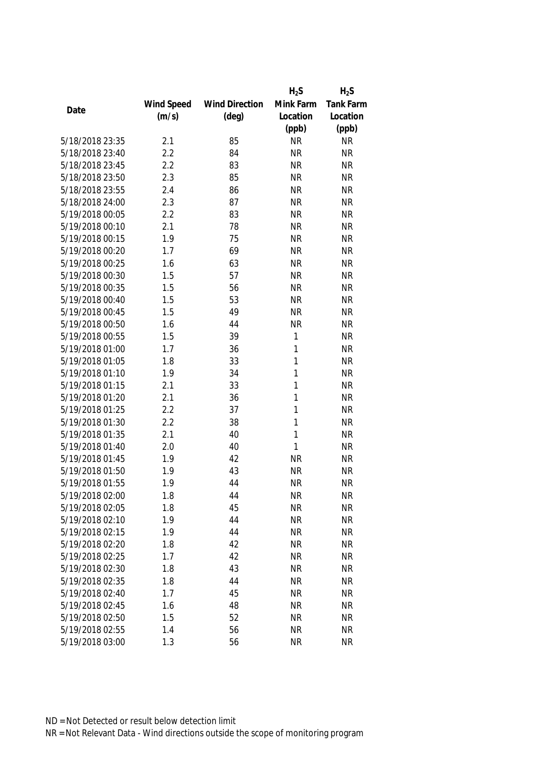|                 |            |                       | $H_2S$    | $H_2S$           |
|-----------------|------------|-----------------------|-----------|------------------|
|                 | Wind Speed | <b>Wind Direction</b> | Mink Farm | <b>Tank Farm</b> |
| Date            | (m/s)      | $(\text{deg})$        | Location  | Location         |
|                 |            |                       | (ppb)     | (ppb)            |
| 5/18/2018 23:35 | 2.1        | 85                    | <b>NR</b> | <b>NR</b>        |
| 5/18/2018 23:40 | 2.2        | 84                    | <b>NR</b> | <b>NR</b>        |
| 5/18/2018 23:45 | 2.2        | 83                    | <b>NR</b> | <b>NR</b>        |
| 5/18/2018 23:50 | 2.3        | 85                    | <b>NR</b> | <b>NR</b>        |
| 5/18/2018 23:55 | 2.4        | 86                    | <b>NR</b> | <b>NR</b>        |
| 5/18/2018 24:00 | 2.3        | 87                    | <b>NR</b> | <b>NR</b>        |
| 5/19/2018 00:05 | 2.2        | 83                    | <b>NR</b> | <b>NR</b>        |
| 5/19/2018 00:10 | 2.1        | 78                    | <b>NR</b> | <b>NR</b>        |
| 5/19/2018 00:15 | 1.9        | 75                    | <b>NR</b> | <b>NR</b>        |
| 5/19/2018 00:20 | 1.7        | 69                    | <b>NR</b> | <b>NR</b>        |
| 5/19/2018 00:25 | 1.6        | 63                    | <b>NR</b> | <b>NR</b>        |
| 5/19/2018 00:30 | 1.5        | 57                    | <b>NR</b> | <b>NR</b>        |
| 5/19/2018 00:35 | 1.5        | 56                    | <b>NR</b> | <b>NR</b>        |
| 5/19/2018 00:40 | 1.5        | 53                    | <b>NR</b> | <b>NR</b>        |
| 5/19/2018 00:45 | 1.5        | 49                    | <b>NR</b> | <b>NR</b>        |
| 5/19/2018 00:50 | 1.6        | 44                    | <b>NR</b> | <b>NR</b>        |
| 5/19/2018 00:55 | 1.5        | 39                    | 1         | <b>NR</b>        |
| 5/19/2018 01:00 | 1.7        | 36                    | 1         | <b>NR</b>        |
| 5/19/2018 01:05 | 1.8        | 33                    | 1         | <b>NR</b>        |
| 5/19/2018 01:10 | 1.9        | 34                    | 1         | <b>NR</b>        |
| 5/19/2018 01:15 | 2.1        | 33                    | 1         | <b>NR</b>        |
| 5/19/2018 01:20 | 2.1        | 36                    | 1         | <b>NR</b>        |
| 5/19/2018 01:25 | 2.2        | 37                    | 1         | <b>NR</b>        |
| 5/19/2018 01:30 | 2.2        | 38                    | 1         | <b>NR</b>        |
| 5/19/2018 01:35 | 2.1        | 40                    | 1         | <b>NR</b>        |
| 5/19/2018 01:40 | 2.0        | 40                    | 1         | <b>NR</b>        |
| 5/19/2018 01:45 | 1.9        | 42                    | <b>NR</b> | <b>NR</b>        |
| 5/19/2018 01:50 | 1.9        | 43                    | <b>NR</b> | <b>NR</b>        |
| 5/19/2018 01:55 | 1.9        | 44                    | <b>NR</b> | <b>NR</b>        |
| 5/19/2018 02:00 | 1.8        | 44                    | <b>NR</b> | <b>NR</b>        |
| 5/19/2018 02:05 | 1.8        | 45                    | <b>NR</b> | <b>NR</b>        |
| 5/19/2018 02:10 | 1.9        | 44                    | <b>NR</b> | <b>NR</b>        |
| 5/19/2018 02:15 | 1.9        | 44                    | <b>NR</b> | <b>NR</b>        |
| 5/19/2018 02:20 | 1.8        | 42                    | <b>NR</b> | <b>NR</b>        |
| 5/19/2018 02:25 | 1.7        | 42                    | <b>NR</b> | <b>NR</b>        |
| 5/19/2018 02:30 | 1.8        | 43                    | <b>NR</b> | <b>NR</b>        |
| 5/19/2018 02:35 | 1.8        | 44                    | <b>NR</b> | <b>NR</b>        |
| 5/19/2018 02:40 | 1.7        | 45                    | <b>NR</b> | <b>NR</b>        |
| 5/19/2018 02:45 | 1.6        | 48                    | <b>NR</b> | <b>NR</b>        |
| 5/19/2018 02:50 | 1.5        | 52                    | <b>NR</b> | <b>NR</b>        |
| 5/19/2018 02:55 | 1.4        | 56                    | <b>NR</b> | <b>NR</b>        |
| 5/19/2018 03:00 | 1.3        | 56                    | <b>NR</b> | <b>NR</b>        |
|                 |            |                       |           |                  |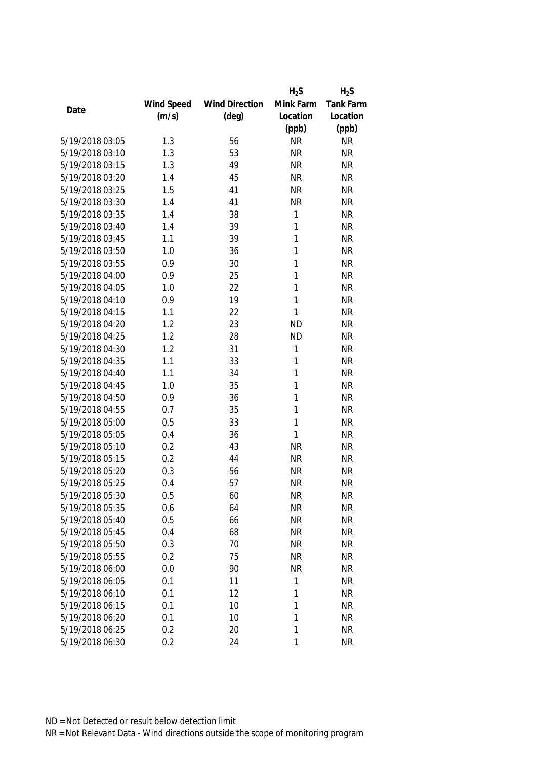|                 |            |                       | $H_2S$    | $H_2S$           |
|-----------------|------------|-----------------------|-----------|------------------|
|                 | Wind Speed | <b>Wind Direction</b> | Mink Farm | <b>Tank Farm</b> |
| Date            | (m/s)      | $(\text{deg})$        | Location  | Location         |
|                 |            |                       | (ppb)     | (ppb)            |
| 5/19/2018 03:05 | 1.3        | 56                    | <b>NR</b> | <b>NR</b>        |
| 5/19/2018 03:10 | 1.3        | 53                    | <b>NR</b> | <b>NR</b>        |
| 5/19/2018 03:15 | 1.3        | 49                    | <b>NR</b> | <b>NR</b>        |
| 5/19/2018 03:20 | 1.4        | 45                    | <b>NR</b> | <b>NR</b>        |
| 5/19/2018 03:25 | 1.5        | 41                    | <b>NR</b> | <b>NR</b>        |
| 5/19/2018 03:30 | 1.4        | 41                    | <b>NR</b> | <b>NR</b>        |
| 5/19/2018 03:35 | 1.4        | 38                    | 1         | <b>NR</b>        |
| 5/19/2018 03:40 | 1.4        | 39                    | 1         | <b>NR</b>        |
| 5/19/2018 03:45 | 1.1        | 39                    | 1         | <b>NR</b>        |
| 5/19/2018 03:50 | 1.0        | 36                    | 1         | <b>NR</b>        |
| 5/19/2018 03:55 | 0.9        | 30                    | 1         | <b>NR</b>        |
| 5/19/2018 04:00 | 0.9        | 25                    | 1         | <b>NR</b>        |
| 5/19/2018 04:05 | 1.0        | 22                    | 1         | <b>NR</b>        |
| 5/19/2018 04:10 | 0.9        | 19                    | 1         | <b>NR</b>        |
| 5/19/2018 04:15 | 1.1        | 22                    | 1         | <b>NR</b>        |
| 5/19/2018 04:20 | 1.2        | 23                    | <b>ND</b> | <b>NR</b>        |
| 5/19/2018 04:25 | 1.2        | 28                    | <b>ND</b> | <b>NR</b>        |
| 5/19/2018 04:30 | 1.2        | 31                    | 1         | <b>NR</b>        |
| 5/19/2018 04:35 | 1.1        | 33                    | 1         | <b>NR</b>        |
| 5/19/2018 04:40 | 1.1        | 34                    | 1         | <b>NR</b>        |
| 5/19/2018 04:45 | 1.0        | 35                    | 1         | <b>NR</b>        |
| 5/19/2018 04:50 | 0.9        | 36                    | 1         | <b>NR</b>        |
| 5/19/2018 04:55 | 0.7        | 35                    | 1         | <b>NR</b>        |
| 5/19/2018 05:00 | 0.5        | 33                    | 1         | <b>NR</b>        |
| 5/19/2018 05:05 | 0.4        | 36                    | 1         | <b>NR</b>        |
| 5/19/2018 05:10 | 0.2        | 43                    | <b>NR</b> | <b>NR</b>        |
| 5/19/2018 05:15 | 0.2        | 44                    | <b>NR</b> | <b>NR</b>        |
| 5/19/2018 05:20 | 0.3        | 56                    | <b>NR</b> | <b>NR</b>        |
| 5/19/2018 05:25 | 0.4        | 57                    | <b>NR</b> | <b>NR</b>        |
| 5/19/2018 05:30 | 0.5        | 60                    | <b>NR</b> | <b>NR</b>        |
| 5/19/2018 05:35 | 0.6        | 64                    | <b>NR</b> | <b>NR</b>        |
| 5/19/2018 05:40 | 0.5        | 66                    | <b>NR</b> | <b>NR</b>        |
| 5/19/2018 05:45 | 0.4        | 68                    | <b>NR</b> | <b>NR</b>        |
| 5/19/2018 05:50 | 0.3        | 70                    | <b>NR</b> | <b>NR</b>        |
| 5/19/2018 05:55 | 0.2        | 75                    | <b>NR</b> | <b>NR</b>        |
| 5/19/2018 06:00 | 0.0        | 90                    | <b>NR</b> | <b>NR</b>        |
| 5/19/2018 06:05 | 0.1        | 11                    | 1         | <b>NR</b>        |
| 5/19/2018 06:10 | 0.1        | 12                    | 1         | <b>NR</b>        |
| 5/19/2018 06:15 | 0.1        | 10                    | 1         | <b>NR</b>        |
| 5/19/2018 06:20 | 0.1        | 10                    | 1         | <b>NR</b>        |
| 5/19/2018 06:25 | 0.2        | 20                    | 1         | <b>NR</b>        |
| 5/19/2018 06:30 | 0.2        | 24                    | 1         | <b>NR</b>        |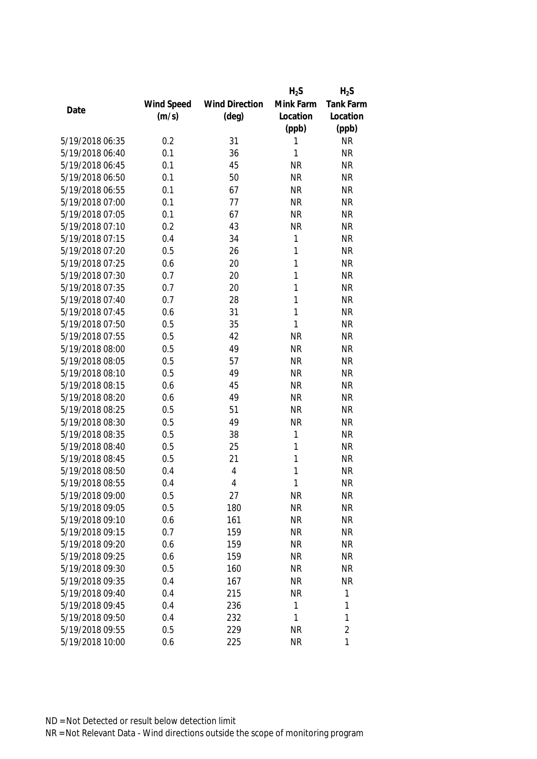|                 |            |                       | $H_2S$       | $H_2S$         |
|-----------------|------------|-----------------------|--------------|----------------|
|                 | Wind Speed | <b>Wind Direction</b> | Mink Farm    | Tank Farm      |
| Date            | (m/s)      | $(\text{deg})$        | Location     | Location       |
|                 |            |                       | (ppb)        | (ppb)          |
| 5/19/2018 06:35 | 0.2        | 31                    | 1            | <b>NR</b>      |
| 5/19/2018 06:40 | 0.1        | 36                    | 1            | <b>NR</b>      |
| 5/19/2018 06:45 | 0.1        | 45                    | <b>NR</b>    | <b>NR</b>      |
| 5/19/2018 06:50 | 0.1        | 50                    | <b>NR</b>    | <b>NR</b>      |
| 5/19/2018 06:55 | 0.1        | 67                    | <b>NR</b>    | <b>NR</b>      |
| 5/19/2018 07:00 | 0.1        | 77                    | <b>NR</b>    | <b>NR</b>      |
| 5/19/2018 07:05 | 0.1        | 67                    | <b>NR</b>    | <b>NR</b>      |
| 5/19/2018 07:10 | 0.2        | 43                    | <b>NR</b>    | <b>NR</b>      |
| 5/19/2018 07:15 | 0.4        | 34                    | 1            | <b>NR</b>      |
| 5/19/2018 07:20 | 0.5        | 26                    | 1            | <b>NR</b>      |
| 5/19/2018 07:25 | 0.6        | 20                    | 1            | <b>NR</b>      |
| 5/19/2018 07:30 | 0.7        | 20                    | 1            | <b>NR</b>      |
| 5/19/2018 07:35 | 0.7        | 20                    | 1            | <b>NR</b>      |
| 5/19/2018 07:40 | 0.7        | 28                    | 1            | <b>NR</b>      |
| 5/19/2018 07:45 | 0.6        | 31                    | 1            | <b>NR</b>      |
| 5/19/2018 07:50 | 0.5        | 35                    | $\mathbf{1}$ | <b>NR</b>      |
| 5/19/2018 07:55 | 0.5        | 42                    | <b>NR</b>    | <b>NR</b>      |
| 5/19/2018 08:00 | 0.5        | 49                    | <b>NR</b>    | <b>NR</b>      |
| 5/19/2018 08:05 | 0.5        | 57                    | <b>NR</b>    | <b>NR</b>      |
| 5/19/2018 08:10 | 0.5        | 49                    | <b>NR</b>    | <b>NR</b>      |
| 5/19/2018 08:15 | 0.6        | 45                    | <b>NR</b>    | <b>NR</b>      |
| 5/19/2018 08:20 | 0.6        | 49                    | <b>NR</b>    | <b>NR</b>      |
| 5/19/2018 08:25 | 0.5        | 51                    | <b>NR</b>    | <b>NR</b>      |
| 5/19/2018 08:30 | 0.5        | 49                    | <b>NR</b>    | <b>NR</b>      |
| 5/19/2018 08:35 | 0.5        | 38                    | 1            | <b>NR</b>      |
| 5/19/2018 08:40 | 0.5        | 25                    | 1            | <b>NR</b>      |
| 5/19/2018 08:45 | 0.5        | 21                    | 1            | <b>NR</b>      |
| 5/19/2018 08:50 | 0.4        | 4                     | 1            | <b>NR</b>      |
| 5/19/2018 08:55 | 0.4        | $\overline{4}$        | 1            | <b>NR</b>      |
| 5/19/2018 09:00 | 0.5        | 27                    | <b>NR</b>    | <b>NR</b>      |
| 5/19/2018 09:05 | 0.5        | 180                   | <b>NR</b>    | <b>NR</b>      |
| 5/19/2018 09:10 | 0.6        | 161                   | <b>NR</b>    | <b>NR</b>      |
| 5/19/2018 09:15 | 0.7        | 159                   | <b>NR</b>    | <b>NR</b>      |
| 5/19/2018 09:20 | 0.6        | 159                   | <b>NR</b>    | <b>NR</b>      |
| 5/19/2018 09:25 | 0.6        | 159                   | <b>NR</b>    | <b>NR</b>      |
| 5/19/2018 09:30 | 0.5        | 160                   | <b>NR</b>    | <b>NR</b>      |
| 5/19/2018 09:35 | 0.4        | 167                   | <b>NR</b>    | <b>NR</b>      |
| 5/19/2018 09:40 | 0.4        | 215                   | <b>NR</b>    | 1              |
| 5/19/2018 09:45 | 0.4        | 236                   | 1            | 1              |
| 5/19/2018 09:50 | 0.4        | 232                   | 1            | 1              |
| 5/19/2018 09:55 | 0.5        | 229                   | <b>NR</b>    | $\overline{2}$ |
| 5/19/2018 10:00 | 0.6        | 225                   | <b>NR</b>    | 1              |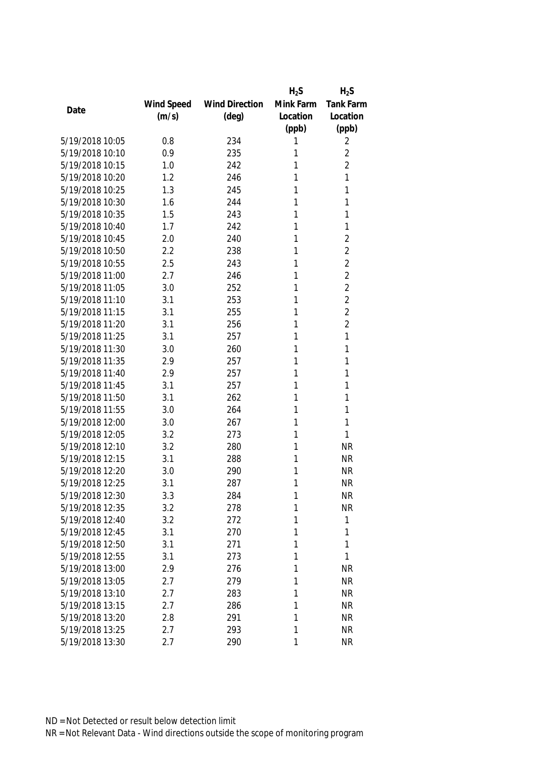|                 |            |                       | $H_2S$    | $H_2S$           |
|-----------------|------------|-----------------------|-----------|------------------|
|                 | Wind Speed | <b>Wind Direction</b> | Mink Farm | <b>Tank Farm</b> |
| Date            | (m/s)      | $(\text{deg})$        | Location  | Location         |
|                 |            |                       | (ppb)     | (ppb)            |
| 5/19/2018 10:05 | 0.8        | 234                   | 1         | 2                |
| 5/19/2018 10:10 | 0.9        | 235                   | 1         | $\overline{2}$   |
| 5/19/2018 10:15 | 1.0        | 242                   | 1         | $\overline{2}$   |
| 5/19/2018 10:20 | 1.2        | 246                   | 1         | 1                |
| 5/19/2018 10:25 | 1.3        | 245                   | 1         | 1                |
| 5/19/2018 10:30 | 1.6        | 244                   | 1         | 1                |
| 5/19/2018 10:35 | 1.5        | 243                   | 1         | 1                |
| 5/19/2018 10:40 | 1.7        | 242                   | 1         | 1                |
| 5/19/2018 10:45 | 2.0        | 240                   | 1         | $\overline{2}$   |
| 5/19/2018 10:50 | 2.2        | 238                   | 1         | $\overline{2}$   |
| 5/19/2018 10:55 | 2.5        | 243                   | 1         | $\overline{2}$   |
| 5/19/2018 11:00 | 2.7        | 246                   | 1         | $\overline{2}$   |
| 5/19/2018 11:05 | 3.0        | 252                   | 1         | $\overline{2}$   |
| 5/19/2018 11:10 | 3.1        | 253                   | 1         | $\overline{2}$   |
| 5/19/2018 11:15 | 3.1        | 255                   | 1         | $\overline{2}$   |
| 5/19/2018 11:20 | 3.1        | 256                   | 1         | $\overline{2}$   |
| 5/19/2018 11:25 | 3.1        | 257                   | 1         | 1                |
| 5/19/2018 11:30 | 3.0        | 260                   | 1         | 1                |
| 5/19/2018 11:35 | 2.9        | 257                   | 1         | 1                |
| 5/19/2018 11:40 | 2.9        | 257                   | 1         | 1                |
| 5/19/2018 11:45 | 3.1        | 257                   | 1         | 1                |
| 5/19/2018 11:50 | 3.1        | 262                   | 1         | 1                |
| 5/19/2018 11:55 | 3.0        | 264                   | 1         | 1                |
| 5/19/2018 12:00 | 3.0        | 267                   | 1         | 1                |
| 5/19/2018 12:05 | 3.2        | 273                   | 1         | 1                |
| 5/19/2018 12:10 | 3.2        | 280                   | 1         | <b>NR</b>        |
| 5/19/2018 12:15 | 3.1        | 288                   | 1         | <b>NR</b>        |
| 5/19/2018 12:20 | 3.0        | 290                   | 1         | <b>NR</b>        |
| 5/19/2018 12:25 | 3.1        | 287                   | 1         | <b>NR</b>        |
| 5/19/2018 12:30 | 3.3        | 284                   | 1         | <b>NR</b>        |
| 5/19/2018 12:35 | 3.2        | 278                   | 1         | <b>NR</b>        |
| 5/19/2018 12:40 | 3.2        | 272                   | 1         | 1                |
| 5/19/2018 12:45 | 3.1        | 270                   | 1         | 1                |
| 5/19/2018 12:50 | 3.1        | 271                   | 1         | 1                |
| 5/19/2018 12:55 | 3.1        | 273                   | 1         | 1                |
| 5/19/2018 13:00 | 2.9        | 276                   | 1         | <b>NR</b>        |
| 5/19/2018 13:05 | 2.7        | 279                   | 1         | <b>NR</b>        |
| 5/19/2018 13:10 | 2.7        | 283                   | 1         | <b>NR</b>        |
| 5/19/2018 13:15 | 2.7        | 286                   | 1         | <b>NR</b>        |
| 5/19/2018 13:20 | 2.8        | 291                   | 1         | <b>NR</b>        |
| 5/19/2018 13:25 | 2.7        | 293                   | 1         | <b>NR</b>        |
| 5/19/2018 13:30 | 2.7        | 290                   | 1         | <b>NR</b>        |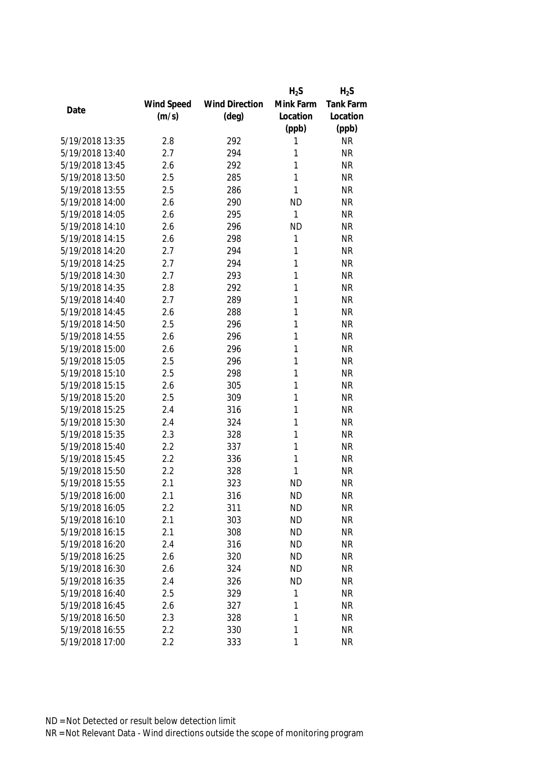|                 |            |                       | $H_2S$    | $H_2S$           |
|-----------------|------------|-----------------------|-----------|------------------|
|                 | Wind Speed | <b>Wind Direction</b> | Mink Farm | <b>Tank Farm</b> |
| Date            | (m/s)      | $(\text{deg})$        | Location  | Location         |
|                 |            |                       | (ppb)     | (ppb)            |
| 5/19/2018 13:35 | 2.8        | 292                   | 1         | <b>NR</b>        |
| 5/19/2018 13:40 | 2.7        | 294                   | 1         | <b>NR</b>        |
| 5/19/2018 13:45 | 2.6        | 292                   | 1         | <b>NR</b>        |
| 5/19/2018 13:50 | 2.5        | 285                   | 1         | <b>NR</b>        |
| 5/19/2018 13:55 | 2.5        | 286                   | 1         | <b>NR</b>        |
| 5/19/2018 14:00 | 2.6        | 290                   | <b>ND</b> | <b>NR</b>        |
| 5/19/2018 14:05 | 2.6        | 295                   | 1         | <b>NR</b>        |
| 5/19/2018 14:10 | 2.6        | 296                   | <b>ND</b> | <b>NR</b>        |
| 5/19/2018 14:15 | 2.6        | 298                   | 1         | <b>NR</b>        |
| 5/19/2018 14:20 | 2.7        | 294                   | 1         | <b>NR</b>        |
| 5/19/2018 14:25 | 2.7        | 294                   | 1         | <b>NR</b>        |
| 5/19/2018 14:30 | 2.7        | 293                   | 1         | <b>NR</b>        |
| 5/19/2018 14:35 | 2.8        | 292                   | 1         | <b>NR</b>        |
| 5/19/2018 14:40 | 2.7        | 289                   | 1         | <b>NR</b>        |
| 5/19/2018 14:45 | 2.6        | 288                   | 1         | <b>NR</b>        |
| 5/19/2018 14:50 | 2.5        | 296                   | 1         | <b>NR</b>        |
| 5/19/2018 14:55 | 2.6        | 296                   | 1         | <b>NR</b>        |
| 5/19/2018 15:00 | 2.6        | 296                   | 1         | <b>NR</b>        |
| 5/19/2018 15:05 | 2.5        | 296                   | 1         | <b>NR</b>        |
| 5/19/2018 15:10 | 2.5        | 298                   | 1         | <b>NR</b>        |
| 5/19/2018 15:15 | 2.6        | 305                   | 1         | <b>NR</b>        |
| 5/19/2018 15:20 | 2.5        | 309                   | 1         | <b>NR</b>        |
| 5/19/2018 15:25 | 2.4        | 316                   | 1         | <b>NR</b>        |
| 5/19/2018 15:30 | 2.4        | 324                   | 1         | <b>NR</b>        |
| 5/19/2018 15:35 | 2.3        | 328                   | 1         | <b>NR</b>        |
| 5/19/2018 15:40 | 2.2        | 337                   | 1         | <b>NR</b>        |
| 5/19/2018 15:45 | 2.2        | 336                   | 1         | <b>NR</b>        |
| 5/19/2018 15:50 | 2.2        | 328                   | 1         | <b>NR</b>        |
| 5/19/2018 15:55 | 2.1        | 323                   | <b>ND</b> | <b>NR</b>        |
| 5/19/2018 16:00 | 2.1        | 316                   | <b>ND</b> | NR               |
| 5/19/2018 16:05 | 2.2        | 311                   | <b>ND</b> | <b>NR</b>        |
| 5/19/2018 16:10 | 2.1        | 303                   | <b>ND</b> | <b>NR</b>        |
| 5/19/2018 16:15 | 2.1        | 308                   | <b>ND</b> | <b>NR</b>        |
| 5/19/2018 16:20 | 2.4        | 316                   | ND        | <b>NR</b>        |
| 5/19/2018 16:25 | 2.6        | 320                   | <b>ND</b> | <b>NR</b>        |
| 5/19/2018 16:30 | 2.6        | 324                   | <b>ND</b> | <b>NR</b>        |
| 5/19/2018 16:35 | 2.4        | 326                   | <b>ND</b> | <b>NR</b>        |
| 5/19/2018 16:40 | 2.5        | 329                   | 1         | <b>NR</b>        |
| 5/19/2018 16:45 | 2.6        | 327                   | 1         | <b>NR</b>        |
| 5/19/2018 16:50 | 2.3        | 328                   | 1         | <b>NR</b>        |
| 5/19/2018 16:55 | 2.2        | 330                   | 1         | <b>NR</b>        |
| 5/19/2018 17:00 | 2.2        | 333                   | 1         | <b>NR</b>        |
|                 |            |                       |           |                  |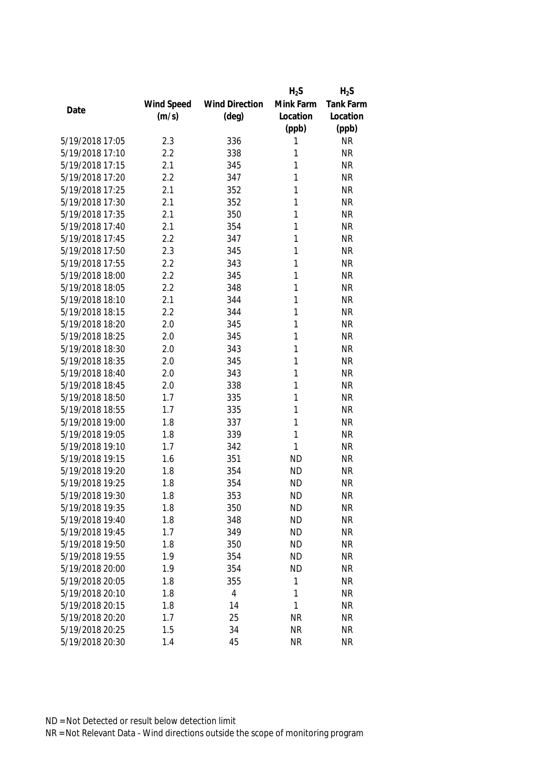|                 |            |                       | $H_2S$    | $H_2S$           |
|-----------------|------------|-----------------------|-----------|------------------|
|                 | Wind Speed | <b>Wind Direction</b> | Mink Farm | <b>Tank Farm</b> |
| Date            | (m/s)      | $(\text{deg})$        | Location  | Location         |
|                 |            |                       | (ppb)     | (ppb)            |
| 5/19/2018 17:05 | 2.3        | 336                   | 1         | <b>NR</b>        |
| 5/19/2018 17:10 | 2.2        | 338                   | 1         | <b>NR</b>        |
| 5/19/2018 17:15 | 2.1        | 345                   | 1         | <b>NR</b>        |
| 5/19/2018 17:20 | 2.2        | 347                   | 1         | <b>NR</b>        |
| 5/19/2018 17:25 | 2.1        | 352                   | 1         | <b>NR</b>        |
| 5/19/2018 17:30 | 2.1        | 352                   | 1         | <b>NR</b>        |
| 5/19/2018 17:35 | 2.1        | 350                   | 1         | <b>NR</b>        |
| 5/19/2018 17:40 | 2.1        | 354                   | 1         | <b>NR</b>        |
| 5/19/2018 17:45 | 2.2        | 347                   | 1         | <b>NR</b>        |
| 5/19/2018 17:50 | 2.3        | 345                   | 1         | <b>NR</b>        |
| 5/19/2018 17:55 | 2.2        | 343                   | 1         | <b>NR</b>        |
| 5/19/2018 18:00 | 2.2        | 345                   | 1         | <b>NR</b>        |
| 5/19/2018 18:05 | 2.2        | 348                   | 1         | <b>NR</b>        |
| 5/19/2018 18:10 | 2.1        | 344                   | 1         | <b>NR</b>        |
| 5/19/2018 18:15 | 2.2        | 344                   | 1         | <b>NR</b>        |
| 5/19/2018 18:20 | 2.0        | 345                   | 1         | <b>NR</b>        |
| 5/19/2018 18:25 | 2.0        | 345                   | 1         | <b>NR</b>        |
| 5/19/2018 18:30 | 2.0        | 343                   | 1         | <b>NR</b>        |
| 5/19/2018 18:35 | 2.0        | 345                   | 1         | <b>NR</b>        |
| 5/19/2018 18:40 | 2.0        | 343                   | 1         | <b>NR</b>        |
| 5/19/2018 18:45 | 2.0        | 338                   | 1         | <b>NR</b>        |
| 5/19/2018 18:50 | 1.7        | 335                   | 1         | <b>NR</b>        |
| 5/19/2018 18:55 | 1.7        | 335                   | 1         | <b>NR</b>        |
| 5/19/2018 19:00 | 1.8        | 337                   | 1         | <b>NR</b>        |
| 5/19/2018 19:05 | 1.8        | 339                   | 1         | <b>NR</b>        |
| 5/19/2018 19:10 | 1.7        | 342                   | 1         | <b>NR</b>        |
| 5/19/2018 19:15 | 1.6        | 351                   | <b>ND</b> | <b>NR</b>        |
| 5/19/2018 19:20 | 1.8        | 354                   | <b>ND</b> | <b>NR</b>        |
| 5/19/2018 19:25 | 1.8        | 354                   | <b>ND</b> | <b>NR</b>        |
| 5/19/2018 19:30 | 1.8        | 353                   | <b>ND</b> | <b>NR</b>        |
| 5/19/2018 19:35 | 1.8        | 350                   | <b>ND</b> | <b>NR</b>        |
| 5/19/2018 19:40 | 1.8        | 348                   | <b>ND</b> | <b>NR</b>        |
| 5/19/2018 19:45 | 1.7        | 349                   | <b>ND</b> | <b>NR</b>        |
| 5/19/2018 19:50 | 1.8        | 350                   | <b>ND</b> | <b>NR</b>        |
| 5/19/2018 19:55 | 1.9        | 354                   | <b>ND</b> | <b>NR</b>        |
| 5/19/2018 20:00 | 1.9        | 354                   | <b>ND</b> | <b>NR</b>        |
| 5/19/2018 20:05 | 1.8        | 355                   | 1         | <b>NR</b>        |
| 5/19/2018 20:10 | 1.8        | $\overline{4}$        | 1         | <b>NR</b>        |
| 5/19/2018 20:15 | 1.8        | 14                    | 1         | <b>NR</b>        |
| 5/19/2018 20:20 | 1.7        | 25                    | <b>NR</b> | <b>NR</b>        |
| 5/19/2018 20:25 | 1.5        | 34                    | <b>NR</b> | <b>NR</b>        |
| 5/19/2018 20:30 | 1.4        | 45                    | <b>NR</b> | <b>NR</b>        |